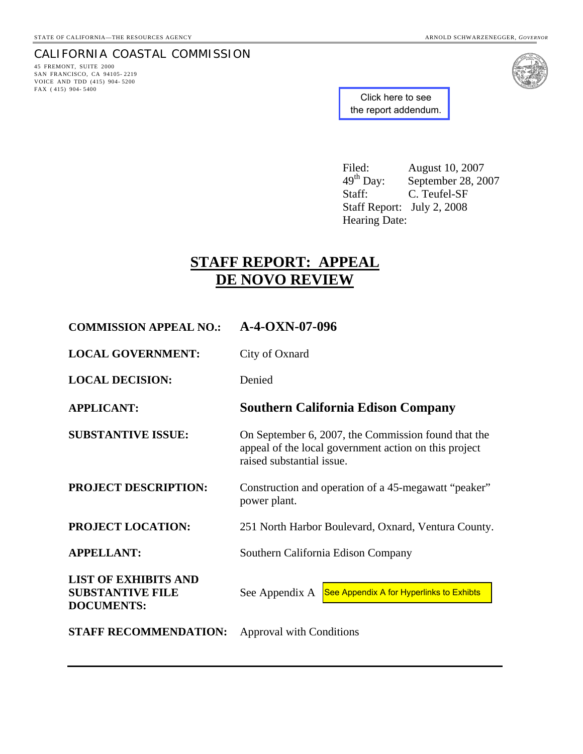# CALIFORNIA COASTAL COMMISSION

45 FREMONT, SUITE 2000 SAN FRANCISCO, CA 94105- 2219 VOICE AND TDD (415) 904- 5200 FAX ( 415) 904- 5400



Click here to see [the report addendum.](http://documents.coastal.ca.gov/reports/2008/8/W7a-8-2008-a1.pdf)

Filed: August 10, 2007<br>49<sup>th</sup> Day: September 28, 20 49<sup>th</sup> Day: September 28, 2007<br>Staff: C. Teufel-SF C. Teufel-SF Staff Report: July 2, 2008 Hearing Date:

# **STAFF REPORT: APPEAL DE NOVO REVIEW**

| <b>COMMISSION APPEAL NO.:</b>                                               | $A-4-OXN-07-096$                                                                                                                          |
|-----------------------------------------------------------------------------|-------------------------------------------------------------------------------------------------------------------------------------------|
| <b>LOCAL GOVERNMENT:</b>                                                    | City of Oxnard                                                                                                                            |
| <b>LOCAL DECISION:</b>                                                      | Denied                                                                                                                                    |
| <b>APPLICANT:</b>                                                           | <b>Southern California Edison Company</b>                                                                                                 |
| <b>SUBSTANTIVE ISSUE:</b>                                                   | On September 6, 2007, the Commission found that the<br>appeal of the local government action on this project<br>raised substantial issue. |
| <b>PROJECT DESCRIPTION:</b>                                                 | Construction and operation of a 45-megawatt "peaker"<br>power plant.                                                                      |
| <b>PROJECT LOCATION:</b>                                                    | 251 North Harbor Boulevard, Oxnard, Ventura County.                                                                                       |
| <b>APPELLANT:</b>                                                           | Southern California Edison Company                                                                                                        |
| <b>LIST OF EXHIBITS AND</b><br><b>SUBSTANTIVE FILE</b><br><b>DOCUMENTS:</b> | See Appendix A for Hyperlinks to Exhibts<br>See Appendix A                                                                                |
| <b>STAFF RECOMMENDATION:</b>                                                | <b>Approval with Conditions</b>                                                                                                           |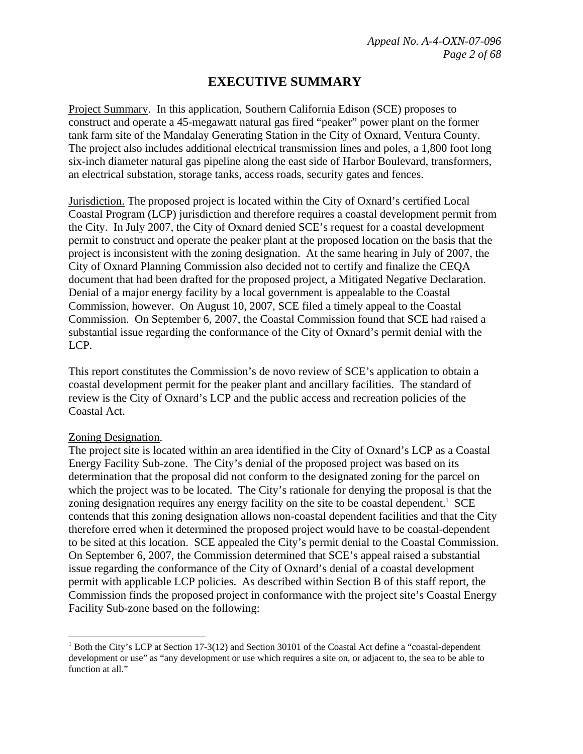# **EXECUTIVE SUMMARY**

Project Summary. In this application, Southern California Edison (SCE) proposes to construct and operate a 45-megawatt natural gas fired "peaker" power plant on the former tank farm site of the Mandalay Generating Station in the City of Oxnard, Ventura County. The project also includes additional electrical transmission lines and poles, a 1,800 foot long six-inch diameter natural gas pipeline along the east side of Harbor Boulevard, transformers, an electrical substation, storage tanks, access roads, security gates and fences.

Jurisdiction. The proposed project is located within the City of Oxnard's certified Local Coastal Program (LCP) jurisdiction and therefore requires a coastal development permit from the City. In July 2007, the City of Oxnard denied SCE's request for a coastal development permit to construct and operate the peaker plant at the proposed location on the basis that the project is inconsistent with the zoning designation. At the same hearing in July of 2007, the City of Oxnard Planning Commission also decided not to certify and finalize the CEQA document that had been drafted for the proposed project, a Mitigated Negative Declaration. Denial of a major energy facility by a local government is appealable to the Coastal Commission, however. On August 10, 2007, SCE filed a timely appeal to the Coastal Commission. On September 6, 2007, the Coastal Commission found that SCE had raised a substantial issue regarding the conformance of the City of Oxnard's permit denial with the LCP.

This report constitutes the Commission's de novo review of SCE's application to obtain a coastal development permit for the peaker plant and ancillary facilities. The standard of review is the City of Oxnard's LCP and the public access and recreation policies of the Coastal Act.

#### Zoning Designation.

 $\overline{a}$ 

The project site is located within an area identified in the City of Oxnard's LCP as a Coastal Energy Facility Sub-zone. The City's denial of the proposed project was based on its determination that the proposal did not conform to the designated zoning for the parcel on which the project was to be located. The City's rationale for denying the proposal is that the zoning designation requires any energy facility on the site to be coastal dependent.<sup>1</sup> SCE contends that this zoning designation allows non-coastal dependent facilities and that the City therefore erred when it determined the proposed project would have to be coastal-dependent to be sited at this location. SCE appealed the City's permit denial to the Coastal Commission. On September 6, 2007, the Commission determined that SCE's appeal raised a substantial issue regarding the conformance of the City of Oxnard's denial of a coastal development permit with applicable LCP policies. As described within Section B of this staff report, the Commission finds the proposed project in conformance with the project site's Coastal Energy Facility Sub-zone based on the following:

<sup>&</sup>lt;sup>1</sup> Both the City's LCP at Section 17-3(12) and Section 30101 of the Coastal Act define a "coastal-dependent" development or use" as "any development or use which requires a site on, or adjacent to, the sea to be able to function at all."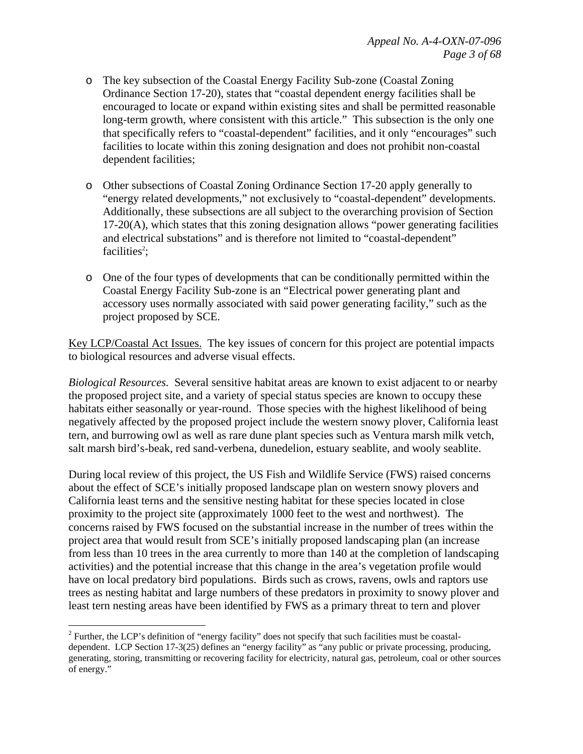- o The key subsection of the Coastal Energy Facility Sub-zone (Coastal Zoning Ordinance Section 17-20), states that "coastal dependent energy facilities shall be encouraged to locate or expand within existing sites and shall be permitted reasonable long-term growth, where consistent with this article." This subsection is the only one that specifically refers to "coastal-dependent" facilities, and it only "encourages" such facilities to locate within this zoning designation and does not prohibit non-coastal dependent facilities;
- o Other subsections of Coastal Zoning Ordinance Section 17-20 apply generally to "energy related developments," not exclusively to "coastal-dependent" developments. Additionally, these subsections are all subject to the overarching provision of Section  $17-20(A)$ , which states that this zoning designation allows "power generating facilities and electrical substations" and is therefore not limited to "coastal-dependent" facilities<sup>2</sup>;
- o One of the four types of developments that can be conditionally permitted within the Coastal Energy Facility Sub-zone is an "Electrical power generating plant and accessory uses normally associated with said power generating facility," such as the project proposed by SCE.

Key LCP/Coastal Act Issues. The key issues of concern for this project are potential impacts to biological resources and adverse visual effects.

*Biological Resources.* Several sensitive habitat areas are known to exist adjacent to or nearby the proposed project site, and a variety of special status species are known to occupy these habitats either seasonally or year-round. Those species with the highest likelihood of being negatively affected by the proposed project include the western snowy plover, California least tern, and burrowing owl as well as rare dune plant species such as Ventura marsh milk vetch, salt marsh bird's-beak, red sand-verbena, dunedelion, estuary seablite, and wooly seablite.

During local review of this project, the US Fish and Wildlife Service (FWS) raised concerns about the effect of SCE's initially proposed landscape plan on western snowy plovers and California least terns and the sensitive nesting habitat for these species located in close proximity to the project site (approximately 1000 feet to the west and northwest). The concerns raised by FWS focused on the substantial increase in the number of trees within the project area that would result from SCE's initially proposed landscaping plan (an increase from less than 10 trees in the area currently to more than 140 at the completion of landscaping activities) and the potential increase that this change in the area's vegetation profile would have on local predatory bird populations. Birds such as crows, ravens, owls and raptors use trees as nesting habitat and large numbers of these predators in proximity to snowy plover and least tern nesting areas have been identified by FWS as a primary threat to tern and plover

 $\overline{a}$ 

 $2^2$  Further, the LCP's definition of "energy facility" does not specify that such facilities must be coastaldependent. LCP Section 17-3(25) defines an "energy facility" as "any public or private processing, producing, generating, storing, transmitting or recovering facility for electricity, natural gas, petroleum, coal or other sources of energy."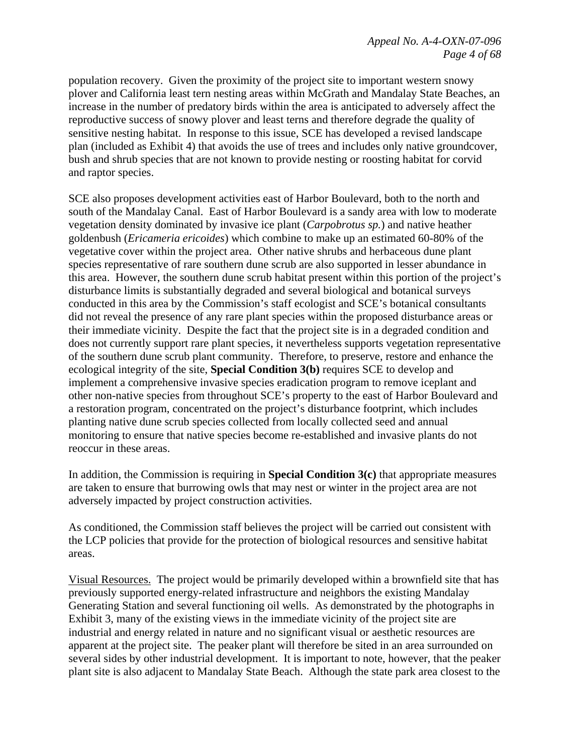population recovery. Given the proximity of the project site to important western snowy plover and California least tern nesting areas within McGrath and Mandalay State Beaches, an increase in the number of predatory birds within the area is anticipated to adversely affect the reproductive success of snowy plover and least terns and therefore degrade the quality of sensitive nesting habitat. In response to this issue, SCE has developed a revised landscape plan (included as Exhibit 4) that avoids the use of trees and includes only native groundcover, bush and shrub species that are not known to provide nesting or roosting habitat for corvid and raptor species.

SCE also proposes development activities east of Harbor Boulevard, both to the north and south of the Mandalay Canal. East of Harbor Boulevard is a sandy area with low to moderate vegetation density dominated by invasive ice plant (*Carpobrotus sp.*) and native heather goldenbush (*Ericameria ericoides*) which combine to make up an estimated 60-80% of the vegetative cover within the project area. Other native shrubs and herbaceous dune plant species representative of rare southern dune scrub are also supported in lesser abundance in this area. However, the southern dune scrub habitat present within this portion of the project's disturbance limits is substantially degraded and several biological and botanical surveys conducted in this area by the Commission's staff ecologist and SCE's botanical consultants did not reveal the presence of any rare plant species within the proposed disturbance areas or their immediate vicinity. Despite the fact that the project site is in a degraded condition and does not currently support rare plant species, it nevertheless supports vegetation representative of the southern dune scrub plant community. Therefore, to preserve, restore and enhance the ecological integrity of the site, **Special Condition 3(b)** requires SCE to develop and implement a comprehensive invasive species eradication program to remove iceplant and other non-native species from throughout SCE's property to the east of Harbor Boulevard and a restoration program, concentrated on the project's disturbance footprint, which includes planting native dune scrub species collected from locally collected seed and annual monitoring to ensure that native species become re-established and invasive plants do not reoccur in these areas.

In addition, the Commission is requiring in **Special Condition 3(c)** that appropriate measures are taken to ensure that burrowing owls that may nest or winter in the project area are not adversely impacted by project construction activities.

As conditioned, the Commission staff believes the project will be carried out consistent with the LCP policies that provide for the protection of biological resources and sensitive habitat areas.

Visual Resources. The project would be primarily developed within a brownfield site that has previously supported energy-related infrastructure and neighbors the existing Mandalay Generating Station and several functioning oil wells. As demonstrated by the photographs in Exhibit 3, many of the existing views in the immediate vicinity of the project site are industrial and energy related in nature and no significant visual or aesthetic resources are apparent at the project site. The peaker plant will therefore be sited in an area surrounded on several sides by other industrial development. It is important to note, however, that the peaker plant site is also adjacent to Mandalay State Beach. Although the state park area closest to the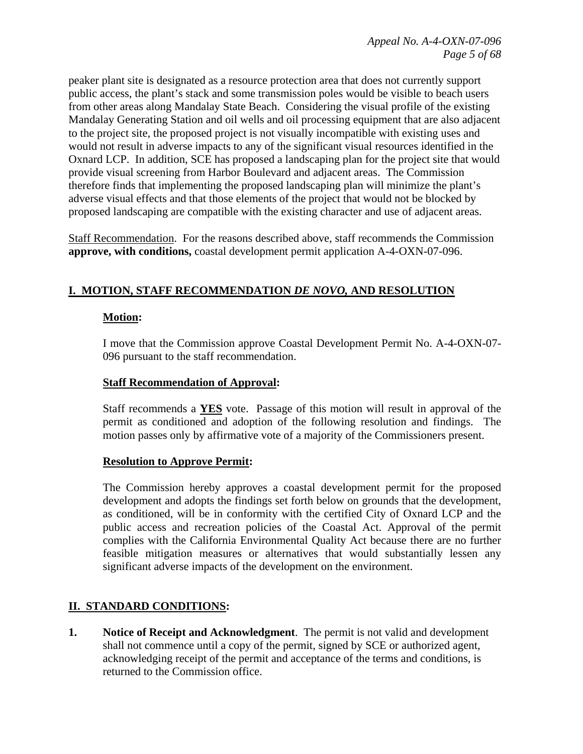peaker plant site is designated as a resource protection area that does not currently support public access, the plant's stack and some transmission poles would be visible to beach users from other areas along Mandalay State Beach. Considering the visual profile of the existing Mandalay Generating Station and oil wells and oil processing equipment that are also adjacent to the project site, the proposed project is not visually incompatible with existing uses and would not result in adverse impacts to any of the significant visual resources identified in the Oxnard LCP. In addition, SCE has proposed a landscaping plan for the project site that would provide visual screening from Harbor Boulevard and adjacent areas. The Commission therefore finds that implementing the proposed landscaping plan will minimize the plant's adverse visual effects and that those elements of the project that would not be blocked by proposed landscaping are compatible with the existing character and use of adjacent areas.

Staff Recommendation. For the reasons described above, staff recommends the Commission **approve, with conditions,** coastal development permit application A-4-OXN-07-096.

### **I. MOTION, STAFF RECOMMENDATION** *DE NOVO,* **AND RESOLUTION**

#### **Motion:**

I move that the Commission approve Coastal Development Permit No. A-4-OXN-07- 096 pursuant to the staff recommendation.

#### **Staff Recommendation of Approval:**

Staff recommends a **YES** vote. Passage of this motion will result in approval of the permit as conditioned and adoption of the following resolution and findings. The motion passes only by affirmative vote of a majority of the Commissioners present.

#### **Resolution to Approve Permit:**

The Commission hereby approves a coastal development permit for the proposed development and adopts the findings set forth below on grounds that the development, as conditioned, will be in conformity with the certified City of Oxnard LCP and the public access and recreation policies of the Coastal Act. Approval of the permit complies with the California Environmental Quality Act because there are no further feasible mitigation measures or alternatives that would substantially lessen any significant adverse impacts of the development on the environment.

# **II. STANDARD CONDITIONS:**

**1. Notice of Receipt and Acknowledgment**. The permit is not valid and development shall not commence until a copy of the permit, signed by SCE or authorized agent, acknowledging receipt of the permit and acceptance of the terms and conditions, is returned to the Commission office.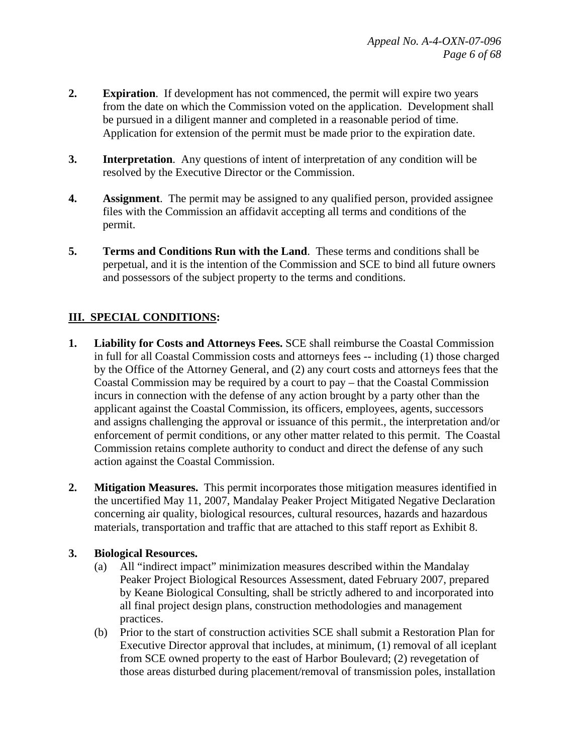- **2. Expiration**. If development has not commenced, the permit will expire two years from the date on which the Commission voted on the application. Development shall be pursued in a diligent manner and completed in a reasonable period of time. Application for extension of the permit must be made prior to the expiration date.
- **3. Interpretation**. Any questions of intent of interpretation of any condition will be resolved by the Executive Director or the Commission.
- **4. Assignment**. The permit may be assigned to any qualified person, provided assignee files with the Commission an affidavit accepting all terms and conditions of the permit.
- **5. Terms and Conditions Run with the Land**. These terms and conditions shall be perpetual, and it is the intention of the Commission and SCE to bind all future owners and possessors of the subject property to the terms and conditions.

# **III. SPECIAL CONDITIONS:**

- **1. Liability for Costs and Attorneys Fees.** SCE shall reimburse the Coastal Commission in full for all Coastal Commission costs and attorneys fees -- including (1) those charged by the Office of the Attorney General, and (2) any court costs and attorneys fees that the Coastal Commission may be required by a court to pay – that the Coastal Commission incurs in connection with the defense of any action brought by a party other than the applicant against the Coastal Commission, its officers, employees, agents, successors and assigns challenging the approval or issuance of this permit., the interpretation and/or enforcement of permit conditions, or any other matter related to this permit. The Coastal Commission retains complete authority to conduct and direct the defense of any such action against the Coastal Commission.
- **2. Mitigation Measures.** This permit incorporates those mitigation measures identified in the uncertified May 11, 2007, Mandalay Peaker Project Mitigated Negative Declaration concerning air quality, biological resources, cultural resources, hazards and hazardous materials, transportation and traffic that are attached to this staff report as Exhibit 8.

#### **3. Biological Resources.**

- (a) All "indirect impact" minimization measures described within the Mandalay Peaker Project Biological Resources Assessment, dated February 2007, prepared by Keane Biological Consulting, shall be strictly adhered to and incorporated into all final project design plans, construction methodologies and management practices.
- (b) Prior to the start of construction activities SCE shall submit a Restoration Plan for Executive Director approval that includes, at minimum, (1) removal of all iceplant from SCE owned property to the east of Harbor Boulevard; (2) revegetation of those areas disturbed during placement/removal of transmission poles, installation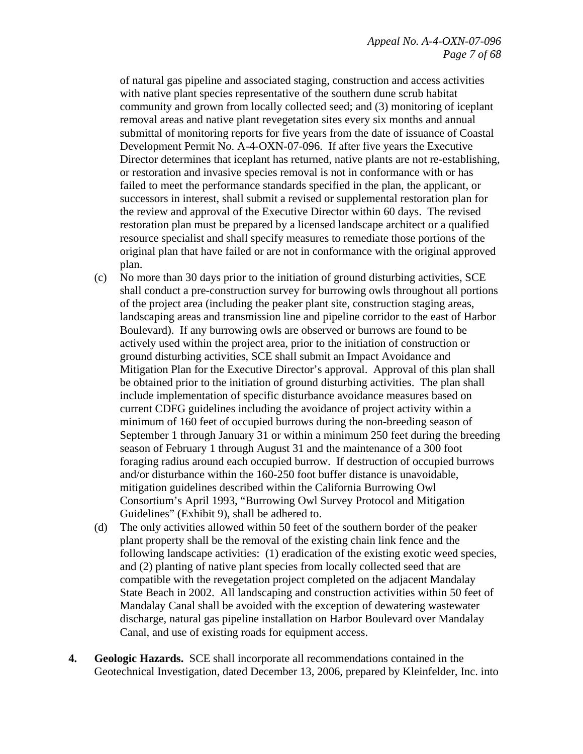of natural gas pipeline and associated staging, construction and access activities with native plant species representative of the southern dune scrub habitat community and grown from locally collected seed; and (3) monitoring of iceplant removal areas and native plant revegetation sites every six months and annual submittal of monitoring reports for five years from the date of issuance of Coastal Development Permit No. A-4-OXN-07-096. If after five years the Executive Director determines that iceplant has returned, native plants are not re-establishing, or restoration and invasive species removal is not in conformance with or has failed to meet the performance standards specified in the plan, the applicant, or successors in interest, shall submit a revised or supplemental restoration plan for the review and approval of the Executive Director within 60 days. The revised restoration plan must be prepared by a licensed landscape architect or a qualified resource specialist and shall specify measures to remediate those portions of the original plan that have failed or are not in conformance with the original approved plan.

- (c) No more than 30 days prior to the initiation of ground disturbing activities, SCE shall conduct a pre-construction survey for burrowing owls throughout all portions of the project area (including the peaker plant site, construction staging areas, landscaping areas and transmission line and pipeline corridor to the east of Harbor Boulevard). If any burrowing owls are observed or burrows are found to be actively used within the project area, prior to the initiation of construction or ground disturbing activities, SCE shall submit an Impact Avoidance and Mitigation Plan for the Executive Director's approval. Approval of this plan shall be obtained prior to the initiation of ground disturbing activities. The plan shall include implementation of specific disturbance avoidance measures based on current CDFG guidelines including the avoidance of project activity within a minimum of 160 feet of occupied burrows during the non-breeding season of September 1 through January 31 or within a minimum 250 feet during the breeding season of February 1 through August 31 and the maintenance of a 300 foot foraging radius around each occupied burrow. If destruction of occupied burrows and/or disturbance within the 160-250 foot buffer distance is unavoidable, mitigation guidelines described within the California Burrowing Owl Consortium's April 1993, "Burrowing Owl Survey Protocol and Mitigation Guidelines" (Exhibit 9), shall be adhered to.
- (d) The only activities allowed within 50 feet of the southern border of the peaker plant property shall be the removal of the existing chain link fence and the following landscape activities: (1) eradication of the existing exotic weed species, and (2) planting of native plant species from locally collected seed that are compatible with the revegetation project completed on the adjacent Mandalay State Beach in 2002. All landscaping and construction activities within 50 feet of Mandalay Canal shall be avoided with the exception of dewatering wastewater discharge, natural gas pipeline installation on Harbor Boulevard over Mandalay Canal, and use of existing roads for equipment access.
- **4. Geologic Hazards.** SCE shall incorporate all recommendations contained in the Geotechnical Investigation, dated December 13, 2006, prepared by Kleinfelder, Inc. into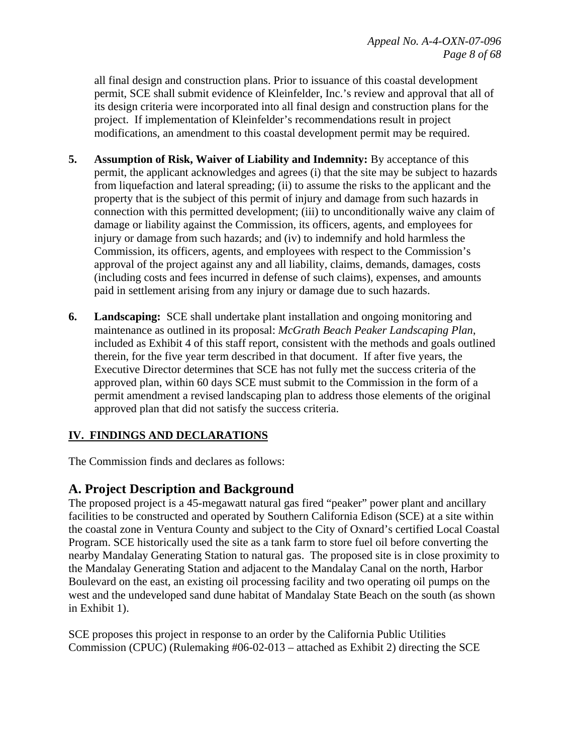all final design and construction plans. Prior to issuance of this coastal development permit, SCE shall submit evidence of Kleinfelder, Inc.'s review and approval that all of its design criteria were incorporated into all final design and construction plans for the project. If implementation of Kleinfelder's recommendations result in project modifications, an amendment to this coastal development permit may be required.

- **5. Assumption of Risk, Waiver of Liability and Indemnity:** By acceptance of this permit, the applicant acknowledges and agrees (i) that the site may be subject to hazards from liquefaction and lateral spreading; (ii) to assume the risks to the applicant and the property that is the subject of this permit of injury and damage from such hazards in connection with this permitted development; (iii) to unconditionally waive any claim of damage or liability against the Commission, its officers, agents, and employees for injury or damage from such hazards; and (iv) to indemnify and hold harmless the Commission, its officers, agents, and employees with respect to the Commission's approval of the project against any and all liability, claims, demands, damages, costs (including costs and fees incurred in defense of such claims), expenses, and amounts paid in settlement arising from any injury or damage due to such hazards.
- **6. Landscaping:** SCE shall undertake plant installation and ongoing monitoring and maintenance as outlined in its proposal: *McGrath Beach Peaker Landscaping Plan*, included as Exhibit 4 of this staff report, consistent with the methods and goals outlined therein, for the five year term described in that document. If after five years, the Executive Director determines that SCE has not fully met the success criteria of the approved plan, within 60 days SCE must submit to the Commission in the form of a permit amendment a revised landscaping plan to address those elements of the original approved plan that did not satisfy the success criteria.

### **IV. FINDINGS AND DECLARATIONS**

The Commission finds and declares as follows:

# **A. Project Description and Background**

The proposed project is a 45-megawatt natural gas fired "peaker" power plant and ancillary facilities to be constructed and operated by Southern California Edison (SCE) at a site within the coastal zone in Ventura County and subject to the City of Oxnard's certified Local Coastal Program. SCE historically used the site as a tank farm to store fuel oil before converting the nearby Mandalay Generating Station to natural gas. The proposed site is in close proximity to the Mandalay Generating Station and adjacent to the Mandalay Canal on the north, Harbor Boulevard on the east, an existing oil processing facility and two operating oil pumps on the west and the undeveloped sand dune habitat of Mandalay State Beach on the south (as shown in Exhibit 1).

SCE proposes this project in response to an order by the California Public Utilities Commission (CPUC) (Rulemaking #06-02-013 – attached as Exhibit 2) directing the SCE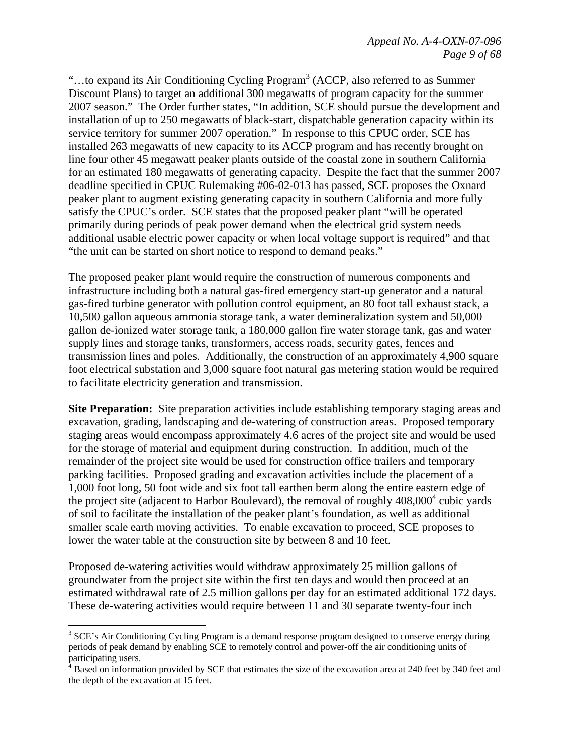"...to expand its Air Conditioning Cycling Program<sup>3</sup> (ACCP, also referred to as Summer Discount Plans) to target an additional 300 megawatts of program capacity for the summer 2007 season." The Order further states, "In addition, SCE should pursue the development and installation of up to 250 megawatts of black-start, dispatchable generation capacity within its service territory for summer 2007 operation." In response to this CPUC order, SCE has installed 263 megawatts of new capacity to its ACCP program and has recently brought on line four other 45 megawatt peaker plants outside of the coastal zone in southern California for an estimated 180 megawatts of generating capacity. Despite the fact that the summer 2007 deadline specified in CPUC Rulemaking #06-02-013 has passed, SCE proposes the Oxnard peaker plant to augment existing generating capacity in southern California and more fully satisfy the CPUC's order. SCE states that the proposed peaker plant "will be operated primarily during periods of peak power demand when the electrical grid system needs additional usable electric power capacity or when local voltage support is required" and that "the unit can be started on short notice to respond to demand peaks."

The proposed peaker plant would require the construction of numerous components and infrastructure including both a natural gas-fired emergency start-up generator and a natural gas-fired turbine generator with pollution control equipment, an 80 foot tall exhaust stack, a 10,500 gallon aqueous ammonia storage tank, a water demineralization system and 50,000 gallon de-ionized water storage tank, a 180,000 gallon fire water storage tank, gas and water supply lines and storage tanks, transformers, access roads, security gates, fences and transmission lines and poles. Additionally, the construction of an approximately 4,900 square foot electrical substation and 3,000 square foot natural gas metering station would be required to facilitate electricity generation and transmission.

**Site Preparation:** Site preparation activities include establishing temporary staging areas and excavation, grading, landscaping and de-watering of construction areas. Proposed temporary staging areas would encompass approximately 4.6 acres of the project site and would be used for the storage of material and equipment during construction. In addition, much of the remainder of the project site would be used for construction office trailers and temporary parking facilities. Proposed grading and excavation activities include the placement of a 1,000 foot long, 50 foot wide and six foot tall earthen berm along the entire eastern edge of the project site (adjacent to Harbor Boulevard), the removal of roughly  $408,000^4$  cubic yards of soil to facilitate the installation of the peaker plant's foundation, as well as additional smaller scale earth moving activities. To enable excavation to proceed, SCE proposes to lower the water table at the construction site by between 8 and 10 feet.

Proposed de-watering activities would withdraw approximately 25 million gallons of groundwater from the project site within the first ten days and would then proceed at an estimated withdrawal rate of 2.5 million gallons per day for an estimated additional 172 days. These de-watering activities would require between 11 and 30 separate twenty-four inch

1

<sup>&</sup>lt;sup>3</sup> SCE's Air Conditioning Cycling Program is a demand response program designed to conserve energy during periods of peak demand by enabling SCE to remotely control and power-off the air conditioning units of

participating users.<br><sup>4</sup> Based on information provided by SCE that estimates the size of the excavation area at 240 feet by 340 feet and the depth of the excavation at 15 feet.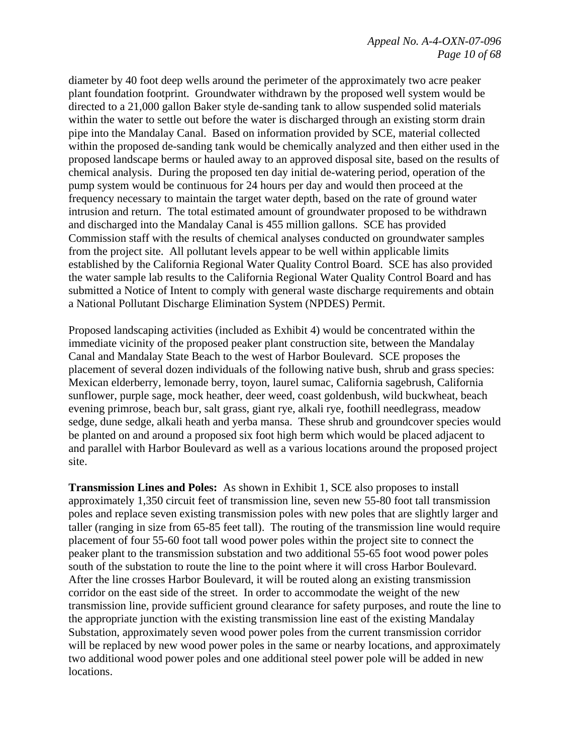#### *Appeal No. A-4-OXN-07-096 Page 10 of 68*

diameter by 40 foot deep wells around the perimeter of the approximately two acre peaker plant foundation footprint. Groundwater withdrawn by the proposed well system would be directed to a 21,000 gallon Baker style de-sanding tank to allow suspended solid materials within the water to settle out before the water is discharged through an existing storm drain pipe into the Mandalay Canal. Based on information provided by SCE, material collected within the proposed de-sanding tank would be chemically analyzed and then either used in the proposed landscape berms or hauled away to an approved disposal site, based on the results of chemical analysis. During the proposed ten day initial de-watering period, operation of the pump system would be continuous for 24 hours per day and would then proceed at the frequency necessary to maintain the target water depth, based on the rate of ground water intrusion and return. The total estimated amount of groundwater proposed to be withdrawn and discharged into the Mandalay Canal is 455 million gallons. SCE has provided Commission staff with the results of chemical analyses conducted on groundwater samples from the project site. All pollutant levels appear to be well within applicable limits established by the California Regional Water Quality Control Board. SCE has also provided the water sample lab results to the California Regional Water Quality Control Board and has submitted a Notice of Intent to comply with general waste discharge requirements and obtain a National Pollutant Discharge Elimination System (NPDES) Permit.

Proposed landscaping activities (included as Exhibit 4) would be concentrated within the immediate vicinity of the proposed peaker plant construction site, between the Mandalay Canal and Mandalay State Beach to the west of Harbor Boulevard. SCE proposes the placement of several dozen individuals of the following native bush, shrub and grass species: Mexican elderberry, lemonade berry, toyon, laurel sumac, California sagebrush, California sunflower, purple sage, mock heather, deer weed, coast goldenbush, wild buckwheat, beach evening primrose, beach bur, salt grass, giant rye, alkali rye, foothill needlegrass, meadow sedge, dune sedge, alkali heath and yerba mansa. These shrub and groundcover species would be planted on and around a proposed six foot high berm which would be placed adjacent to and parallel with Harbor Boulevard as well as a various locations around the proposed project site.

**Transmission Lines and Poles:** As shown in Exhibit 1, SCE also proposes to install approximately 1,350 circuit feet of transmission line, seven new 55-80 foot tall transmission poles and replace seven existing transmission poles with new poles that are slightly larger and taller (ranging in size from 65-85 feet tall). The routing of the transmission line would require placement of four 55-60 foot tall wood power poles within the project site to connect the peaker plant to the transmission substation and two additional 55-65 foot wood power poles south of the substation to route the line to the point where it will cross Harbor Boulevard. After the line crosses Harbor Boulevard, it will be routed along an existing transmission corridor on the east side of the street. In order to accommodate the weight of the new transmission line, provide sufficient ground clearance for safety purposes, and route the line to the appropriate junction with the existing transmission line east of the existing Mandalay Substation, approximately seven wood power poles from the current transmission corridor will be replaced by new wood power poles in the same or nearby locations, and approximately two additional wood power poles and one additional steel power pole will be added in new locations.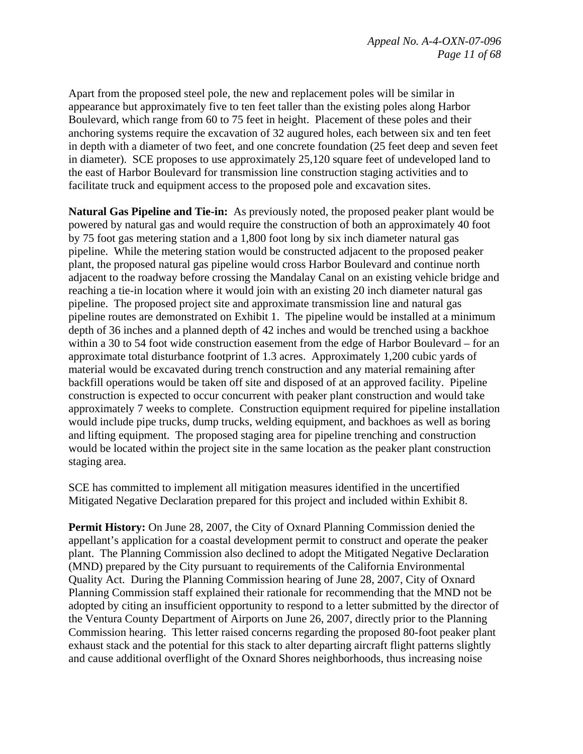Apart from the proposed steel pole, the new and replacement poles will be similar in appearance but approximately five to ten feet taller than the existing poles along Harbor Boulevard, which range from 60 to 75 feet in height. Placement of these poles and their anchoring systems require the excavation of 32 augured holes, each between six and ten feet in depth with a diameter of two feet, and one concrete foundation (25 feet deep and seven feet in diameter). SCE proposes to use approximately 25,120 square feet of undeveloped land to the east of Harbor Boulevard for transmission line construction staging activities and to facilitate truck and equipment access to the proposed pole and excavation sites.

**Natural Gas Pipeline and Tie-in:** As previously noted, the proposed peaker plant would be powered by natural gas and would require the construction of both an approximately 40 foot by 75 foot gas metering station and a 1,800 foot long by six inch diameter natural gas pipeline. While the metering station would be constructed adjacent to the proposed peaker plant, the proposed natural gas pipeline would cross Harbor Boulevard and continue north adjacent to the roadway before crossing the Mandalay Canal on an existing vehicle bridge and reaching a tie-in location where it would join with an existing 20 inch diameter natural gas pipeline. The proposed project site and approximate transmission line and natural gas pipeline routes are demonstrated on Exhibit 1. The pipeline would be installed at a minimum depth of 36 inches and a planned depth of 42 inches and would be trenched using a backhoe within a 30 to 54 foot wide construction easement from the edge of Harbor Boulevard – for an approximate total disturbance footprint of 1.3 acres. Approximately 1,200 cubic yards of material would be excavated during trench construction and any material remaining after backfill operations would be taken off site and disposed of at an approved facility. Pipeline construction is expected to occur concurrent with peaker plant construction and would take approximately 7 weeks to complete. Construction equipment required for pipeline installation would include pipe trucks, dump trucks, welding equipment, and backhoes as well as boring and lifting equipment. The proposed staging area for pipeline trenching and construction would be located within the project site in the same location as the peaker plant construction staging area.

SCE has committed to implement all mitigation measures identified in the uncertified Mitigated Negative Declaration prepared for this project and included within Exhibit 8.

Permit History: On June 28, 2007, the City of Oxnard Planning Commission denied the appellant's application for a coastal development permit to construct and operate the peaker plant. The Planning Commission also declined to adopt the Mitigated Negative Declaration (MND) prepared by the City pursuant to requirements of the California Environmental Quality Act. During the Planning Commission hearing of June 28, 2007, City of Oxnard Planning Commission staff explained their rationale for recommending that the MND not be adopted by citing an insufficient opportunity to respond to a letter submitted by the director of the Ventura County Department of Airports on June 26, 2007, directly prior to the Planning Commission hearing. This letter raised concerns regarding the proposed 80-foot peaker plant exhaust stack and the potential for this stack to alter departing aircraft flight patterns slightly and cause additional overflight of the Oxnard Shores neighborhoods, thus increasing noise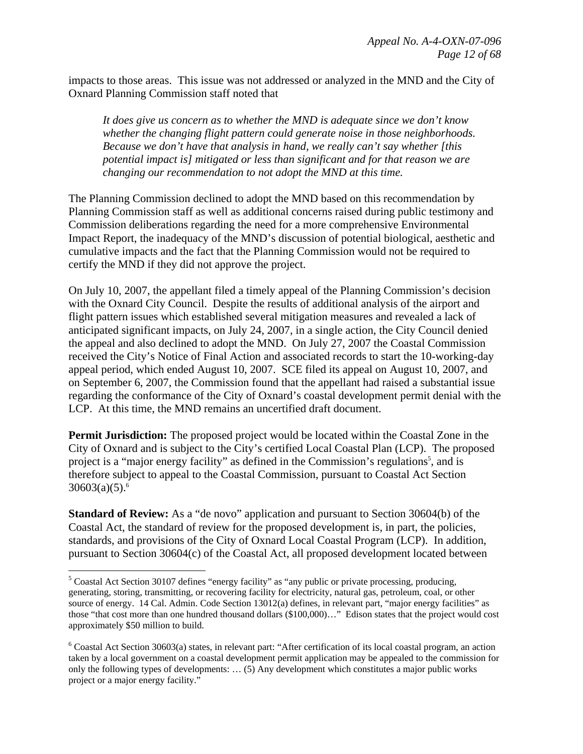impacts to those areas. This issue was not addressed or analyzed in the MND and the City of Oxnard Planning Commission staff noted that

*It does give us concern as to whether the MND is adequate since we don't know whether the changing flight pattern could generate noise in those neighborhoods. Because we don't have that analysis in hand, we really can't say whether [this potential impact is] mitigated or less than significant and for that reason we are changing our recommendation to not adopt the MND at this time.* 

The Planning Commission declined to adopt the MND based on this recommendation by Planning Commission staff as well as additional concerns raised during public testimony and Commission deliberations regarding the need for a more comprehensive Environmental Impact Report, the inadequacy of the MND's discussion of potential biological, aesthetic and cumulative impacts and the fact that the Planning Commission would not be required to certify the MND if they did not approve the project.

On July 10, 2007, the appellant filed a timely appeal of the Planning Commission's decision with the Oxnard City Council. Despite the results of additional analysis of the airport and flight pattern issues which established several mitigation measures and revealed a lack of anticipated significant impacts, on July 24, 2007, in a single action, the City Council denied the appeal and also declined to adopt the MND. On July 27, 2007 the Coastal Commission received the City's Notice of Final Action and associated records to start the 10-working-day appeal period, which ended August 10, 2007. SCE filed its appeal on August 10, 2007, and on September 6, 2007, the Commission found that the appellant had raised a substantial issue regarding the conformance of the City of Oxnard's coastal development permit denial with the LCP. At this time, the MND remains an uncertified draft document.

**Permit Jurisdiction:** The proposed project would be located within the Coastal Zone in the City of Oxnard and is subject to the City's certified Local Coastal Plan (LCP). The proposed project is a "major energy facility" as defined in the Commission's regulations<sup>5</sup>, and is therefore subject to appeal to the Coastal Commission, pursuant to Coastal Act Section  $30603(a)(5).$ <sup>6</sup>

**Standard of Review:** As a "de novo" application and pursuant to Section 30604(b) of the Coastal Act, the standard of review for the proposed development is, in part, the policies, standards, and provisions of the City of Oxnard Local Coastal Program (LCP). In addition, pursuant to Section 30604(c) of the Coastal Act, all proposed development located between

1

 $<sup>5</sup>$  Coastal Act Section 30107 defines "energy facility" as "any public or private processing, producing,</sup> generating, storing, transmitting, or recovering facility for electricity, natural gas, petroleum, coal, or other source of energy. 14 Cal. Admin. Code Section 13012(a) defines, in relevant part, "major energy facilities" as those "that cost more than one hundred thousand dollars (\$100,000)…" Edison states that the project would cost approximately \$50 million to build.

 $6$  Coastal Act Section 30603(a) states, in relevant part: "After certification of its local coastal program, an action taken by a local government on a coastal development permit application may be appealed to the commission for only the following types of developments: … (5) Any development which constitutes a major public works project or a major energy facility."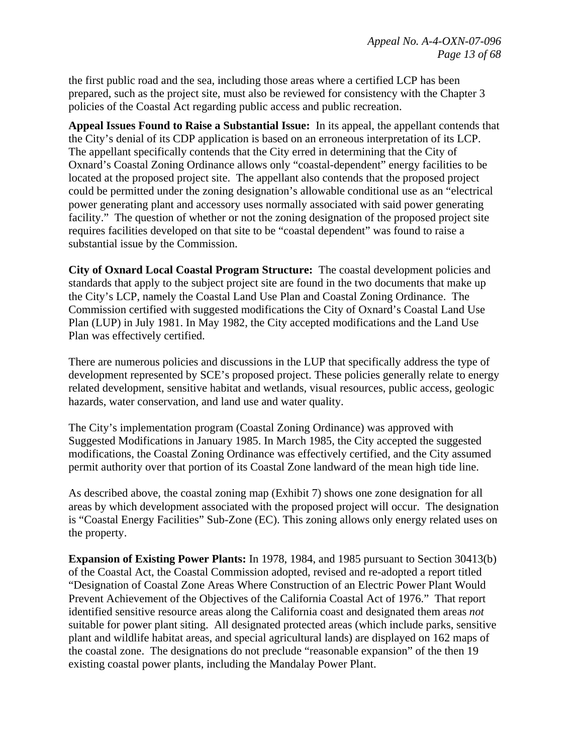the first public road and the sea, including those areas where a certified LCP has been prepared, such as the project site, must also be reviewed for consistency with the Chapter 3 policies of the Coastal Act regarding public access and public recreation.

**Appeal Issues Found to Raise a Substantial Issue:** In its appeal, the appellant contends that the City's denial of its CDP application is based on an erroneous interpretation of its LCP. The appellant specifically contends that the City erred in determining that the City of Oxnard's Coastal Zoning Ordinance allows only "coastal-dependent" energy facilities to be located at the proposed project site. The appellant also contends that the proposed project could be permitted under the zoning designation's allowable conditional use as an "electrical power generating plant and accessory uses normally associated with said power generating facility." The question of whether or not the zoning designation of the proposed project site requires facilities developed on that site to be "coastal dependent" was found to raise a substantial issue by the Commission.

**City of Oxnard Local Coastal Program Structure:** The coastal development policies and standards that apply to the subject project site are found in the two documents that make up the City's LCP, namely the Coastal Land Use Plan and Coastal Zoning Ordinance. The Commission certified with suggested modifications the City of Oxnard's Coastal Land Use Plan (LUP) in July 1981. In May 1982, the City accepted modifications and the Land Use Plan was effectively certified.

There are numerous policies and discussions in the LUP that specifically address the type of development represented by SCE's proposed project. These policies generally relate to energy related development, sensitive habitat and wetlands, visual resources, public access, geologic hazards, water conservation, and land use and water quality.

The City's implementation program (Coastal Zoning Ordinance) was approved with Suggested Modifications in January 1985. In March 1985, the City accepted the suggested modifications, the Coastal Zoning Ordinance was effectively certified, and the City assumed permit authority over that portion of its Coastal Zone landward of the mean high tide line.

As described above, the coastal zoning map (Exhibit 7) shows one zone designation for all areas by which development associated with the proposed project will occur. The designation is "Coastal Energy Facilities" Sub-Zone (EC). This zoning allows only energy related uses on the property.

**Expansion of Existing Power Plants:** In 1978, 1984, and 1985 pursuant to Section 30413(b) of the Coastal Act, the Coastal Commission adopted, revised and re-adopted a report titled "Designation of Coastal Zone Areas Where Construction of an Electric Power Plant Would Prevent Achievement of the Objectives of the California Coastal Act of 1976." That report identified sensitive resource areas along the California coast and designated them areas *not* suitable for power plant siting. All designated protected areas (which include parks, sensitive plant and wildlife habitat areas, and special agricultural lands) are displayed on 162 maps of the coastal zone. The designations do not preclude "reasonable expansion" of the then 19 existing coastal power plants, including the Mandalay Power Plant.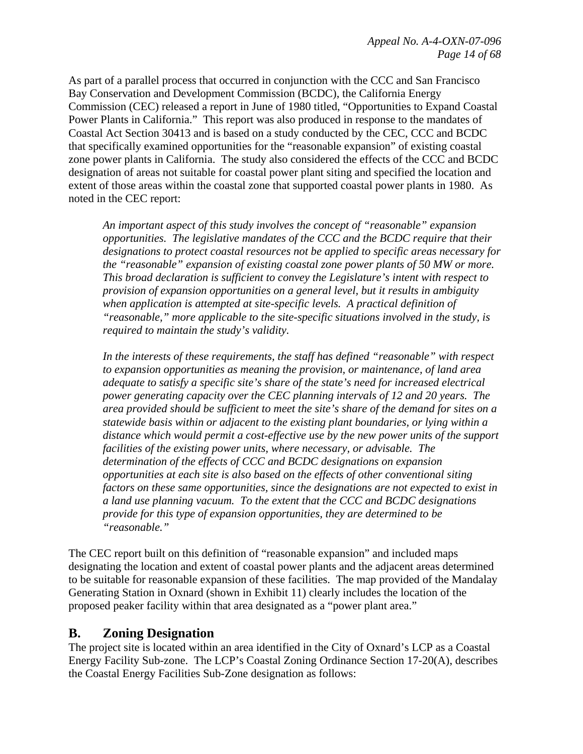As part of a parallel process that occurred in conjunction with the CCC and San Francisco Bay Conservation and Development Commission (BCDC), the California Energy Commission (CEC) released a report in June of 1980 titled, "Opportunities to Expand Coastal Power Plants in California." This report was also produced in response to the mandates of Coastal Act Section 30413 and is based on a study conducted by the CEC, CCC and BCDC that specifically examined opportunities for the "reasonable expansion" of existing coastal zone power plants in California. The study also considered the effects of the CCC and BCDC designation of areas not suitable for coastal power plant siting and specified the location and extent of those areas within the coastal zone that supported coastal power plants in 1980. As noted in the CEC report:

*An important aspect of this study involves the concept of "reasonable" expansion opportunities. The legislative mandates of the CCC and the BCDC require that their designations to protect coastal resources not be applied to specific areas necessary for the "reasonable" expansion of existing coastal zone power plants of 50 MW or more. This broad declaration is sufficient to convey the Legislature's intent with respect to provision of expansion opportunities on a general level, but it results in ambiguity when application is attempted at site-specific levels. A practical definition of "reasonable," more applicable to the site-specific situations involved in the study, is required to maintain the study's validity.* 

*In the interests of these requirements, the staff has defined "reasonable" with respect to expansion opportunities as meaning the provision, or maintenance, of land area adequate to satisfy a specific site's share of the state's need for increased electrical power generating capacity over the CEC planning intervals of 12 and 20 years. The area provided should be sufficient to meet the site's share of the demand for sites on a statewide basis within or adjacent to the existing plant boundaries, or lying within a distance which would permit a cost-effective use by the new power units of the support facilities of the existing power units, where necessary, or advisable. The determination of the effects of CCC and BCDC designations on expansion opportunities at each site is also based on the effects of other conventional siting factors on these same opportunities, since the designations are not expected to exist in a land use planning vacuum. To the extent that the CCC and BCDC designations provide for this type of expansion opportunities, they are determined to be "reasonable."* 

The CEC report built on this definition of "reasonable expansion" and included maps designating the location and extent of coastal power plants and the adjacent areas determined to be suitable for reasonable expansion of these facilities. The map provided of the Mandalay Generating Station in Oxnard (shown in Exhibit 11) clearly includes the location of the proposed peaker facility within that area designated as a "power plant area."

# **B. Zoning Designation**

The project site is located within an area identified in the City of Oxnard's LCP as a Coastal Energy Facility Sub-zone. The LCP's Coastal Zoning Ordinance Section 17-20(A), describes the Coastal Energy Facilities Sub-Zone designation as follows: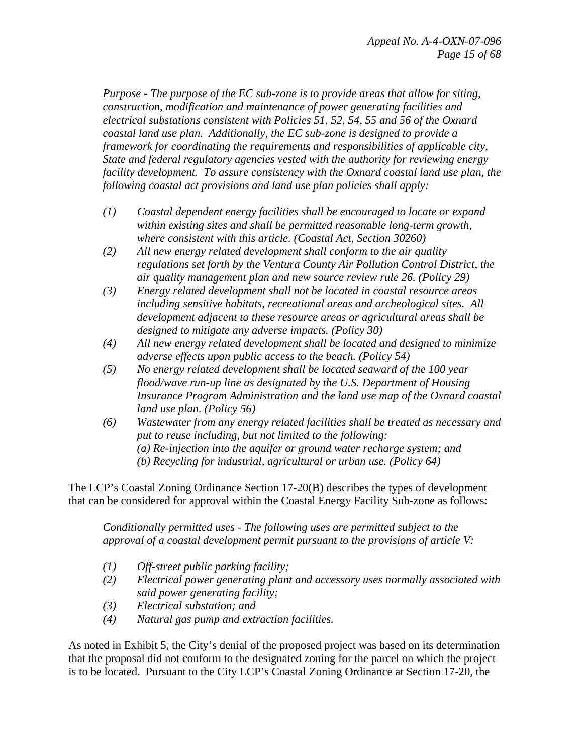*Purpose - The purpose of the EC sub-zone is to provide areas that allow for siting, construction, modification and maintenance of power generating facilities and electrical substations consistent with Policies 51, 52, 54, 55 and 56 of the Oxnard coastal land use plan. Additionally, the EC sub-zone is designed to provide a framework for coordinating the requirements and responsibilities of applicable city, State and federal regulatory agencies vested with the authority for reviewing energy facility development. To assure consistency with the Oxnard coastal land use plan, the following coastal act provisions and land use plan policies shall apply:* 

- *(1) Coastal dependent energy facilities shall be encouraged to locate or expand within existing sites and shall be permitted reasonable long-term growth, where consistent with this article. (Coastal Act, Section 30260)*
- *(2) All new energy related development shall conform to the air quality regulations set forth by the Ventura County Air Pollution Control District, the air quality management plan and new source review rule 26. (Policy 29)*
- *(3) Energy related development shall not be located in coastal resource areas including sensitive habitats, recreational areas and archeological sites. All development adjacent to these resource areas or agricultural areas shall be designed to mitigate any adverse impacts. (Policy 30)*
- *(4) All new energy related development shall be located and designed to minimize adverse effects upon public access to the beach. (Policy 54)*
- *(5) No energy related development shall be located seaward of the 100 year flood/wave run-up line as designated by the U.S. Department of Housing Insurance Program Administration and the land use map of the Oxnard coastal land use plan. (Policy 56)*
- *(6) Wastewater from any energy related facilities shall be treated as necessary and put to reuse including, but not limited to the following: (a) Re-injection into the aquifer or ground water recharge system; and (b) Recycling for industrial, agricultural or urban use. (Policy 64)*

The LCP's Coastal Zoning Ordinance Section 17-20(B) describes the types of development that can be considered for approval within the Coastal Energy Facility Sub-zone as follows:

*Conditionally permitted uses - The following uses are permitted subject to the approval of a coastal development permit pursuant to the provisions of article V:* 

- *(1) Off-street public parking facility;*
- *(2) Electrical power generating plant and accessory uses normally associated with said power generating facility;*
- *(3) Electrical substation; and*
- *(4) Natural gas pump and extraction facilities.*

As noted in Exhibit 5, the City's denial of the proposed project was based on its determination that the proposal did not conform to the designated zoning for the parcel on which the project is to be located. Pursuant to the City LCP's Coastal Zoning Ordinance at Section 17-20, the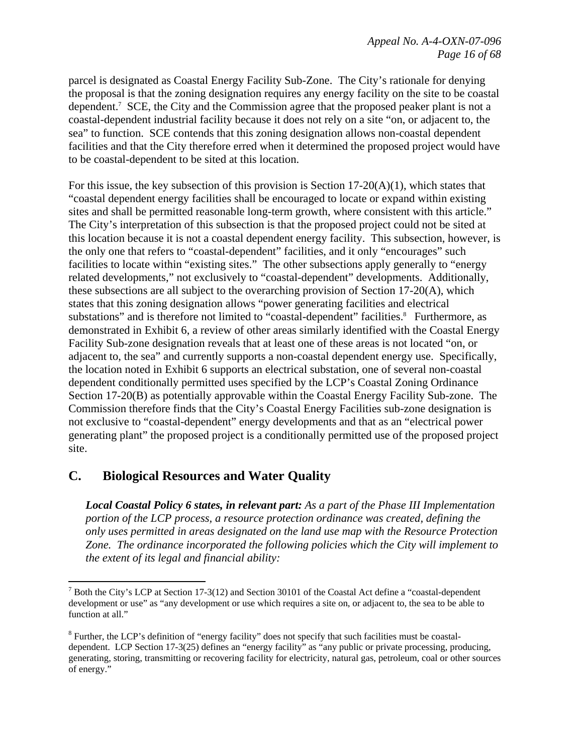parcel is designated as Coastal Energy Facility Sub-Zone. The City's rationale for denying the proposal is that the zoning designation requires any energy facility on the site to be coastal dependent.<sup>7</sup> SCE, the City and the Commission agree that the proposed peaker plant is not a coastal-dependent industrial facility because it does not rely on a site "on, or adjacent to, the sea" to function. SCE contends that this zoning designation allows non-coastal dependent facilities and that the City therefore erred when it determined the proposed project would have to be coastal-dependent to be sited at this location.

For this issue, the key subsection of this provision is Section  $17-20(A)(1)$ , which states that "coastal dependent energy facilities shall be encouraged to locate or expand within existing sites and shall be permitted reasonable long-term growth, where consistent with this article." The City's interpretation of this subsection is that the proposed project could not be sited at this location because it is not a coastal dependent energy facility. This subsection, however, is the only one that refers to "coastal-dependent" facilities, and it only "encourages" such facilities to locate within "existing sites." The other subsections apply generally to "energy related developments," not exclusively to "coastal-dependent" developments. Additionally, these subsections are all subject to the overarching provision of Section 17-20(A), which states that this zoning designation allows "power generating facilities and electrical substations" and is therefore not limited to "coastal-dependent" facilities.<sup>8</sup> Furthermore, as demonstrated in Exhibit 6, a review of other areas similarly identified with the Coastal Energy Facility Sub-zone designation reveals that at least one of these areas is not located "on, or adjacent to, the sea" and currently supports a non-coastal dependent energy use. Specifically, the location noted in Exhibit 6 supports an electrical substation, one of several non-coastal dependent conditionally permitted uses specified by the LCP's Coastal Zoning Ordinance Section 17-20(B) as potentially approvable within the Coastal Energy Facility Sub-zone. The Commission therefore finds that the City's Coastal Energy Facilities sub-zone designation is not exclusive to "coastal-dependent" energy developments and that as an "electrical power generating plant" the proposed project is a conditionally permitted use of the proposed project site.

# **C. Biological Resources and Water Quality**

 $\overline{a}$ 

*Local Coastal Policy 6 states, in relevant part: As a part of the Phase III Implementation portion of the LCP process, a resource protection ordinance was created, defining the only uses permitted in areas designated on the land use map with the Resource Protection Zone. The ordinance incorporated the following policies which the City will implement to the extent of its legal and financial ability:* 

<sup>&</sup>lt;sup>7</sup> Both the City's LCP at Section 17-3(12) and Section 30101 of the Coastal Act define a "coastal-dependent" development or use" as "any development or use which requires a site on, or adjacent to, the sea to be able to function at all."

<sup>&</sup>lt;sup>8</sup> Further, the LCP's definition of "energy facility" does not specify that such facilities must be coastaldependent. LCP Section 17-3(25) defines an "energy facility" as "any public or private processing, producing, generating, storing, transmitting or recovering facility for electricity, natural gas, petroleum, coal or other sources of energy."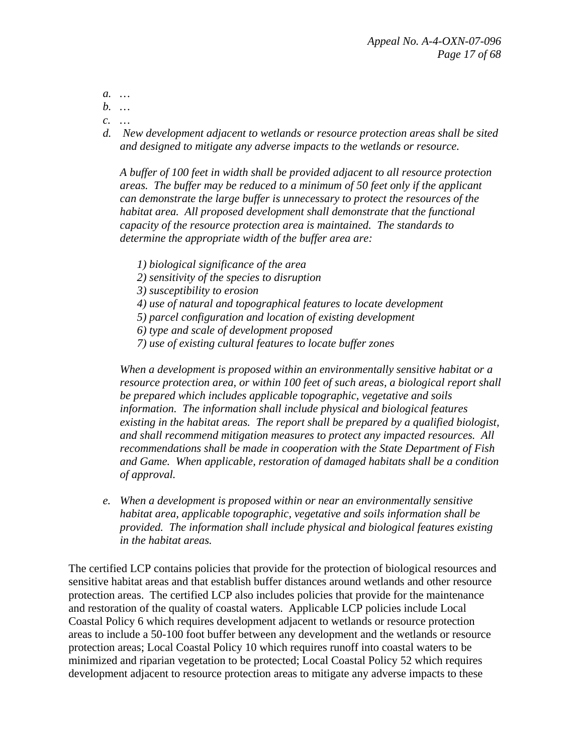*a. …* 

- *b. …*
- *c. …*
- *d. New development adjacent to wetlands or resource protection areas shall be sited and designed to mitigate any adverse impacts to the wetlands or resource.*

*A buffer of 100 feet in width shall be provided adjacent to all resource protection areas. The buffer may be reduced to a minimum of 50 feet only if the applicant can demonstrate the large buffer is unnecessary to protect the resources of the habitat area. All proposed development shall demonstrate that the functional capacity of the resource protection area is maintained. The standards to determine the appropriate width of the buffer area are:* 

- *1) biological significance of the area*
- *2) sensitivity of the species to disruption*
- *3) susceptibility to erosion*
- *4) use of natural and topographical features to locate development*
- *5) parcel configuration and location of existing development*
- *6) type and scale of development proposed*
- *7) use of existing cultural features to locate buffer zones*

*When a development is proposed within an environmentally sensitive habitat or a resource protection area, or within 100 feet of such areas, a biological report shall be prepared which includes applicable topographic, vegetative and soils information. The information shall include physical and biological features existing in the habitat areas. The report shall be prepared by a qualified biologist, and shall recommend mitigation measures to protect any impacted resources. All recommendations shall be made in cooperation with the State Department of Fish and Game. When applicable, restoration of damaged habitats shall be a condition of approval.* 

*e. When a development is proposed within or near an environmentally sensitive habitat area, applicable topographic, vegetative and soils information shall be provided. The information shall include physical and biological features existing in the habitat areas.* 

The certified LCP contains policies that provide for the protection of biological resources and sensitive habitat areas and that establish buffer distances around wetlands and other resource protection areas. The certified LCP also includes policies that provide for the maintenance and restoration of the quality of coastal waters. Applicable LCP policies include Local Coastal Policy 6 which requires development adjacent to wetlands or resource protection areas to include a 50-100 foot buffer between any development and the wetlands or resource protection areas; Local Coastal Policy 10 which requires runoff into coastal waters to be minimized and riparian vegetation to be protected; Local Coastal Policy 52 which requires development adjacent to resource protection areas to mitigate any adverse impacts to these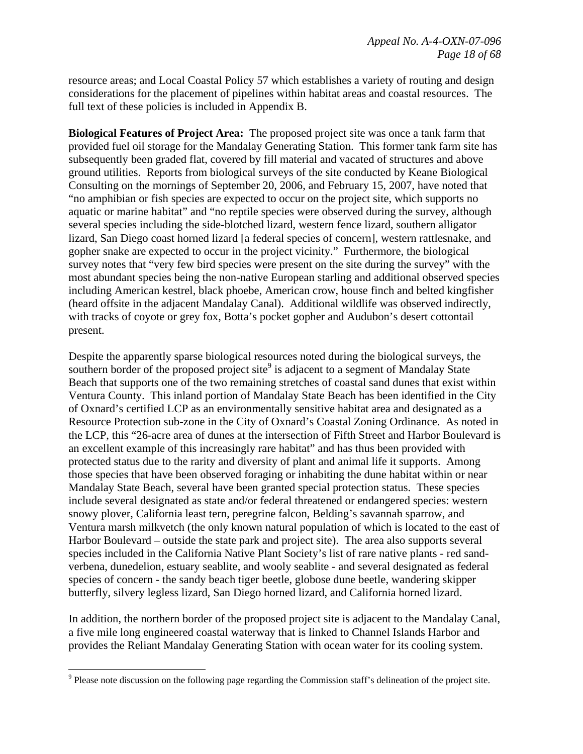resource areas; and Local Coastal Policy 57 which establishes a variety of routing and design considerations for the placement of pipelines within habitat areas and coastal resources. The full text of these policies is included in Appendix B.

**Biological Features of Project Area:** The proposed project site was once a tank farm that provided fuel oil storage for the Mandalay Generating Station. This former tank farm site has subsequently been graded flat, covered by fill material and vacated of structures and above ground utilities. Reports from biological surveys of the site conducted by Keane Biological Consulting on the mornings of September 20, 2006, and February 15, 2007, have noted that "no amphibian or fish species are expected to occur on the project site, which supports no aquatic or marine habitat" and "no reptile species were observed during the survey, although several species including the side-blotched lizard, western fence lizard, southern alligator lizard, San Diego coast horned lizard [a federal species of concern], western rattlesnake, and gopher snake are expected to occur in the project vicinity." Furthermore, the biological survey notes that "very few bird species were present on the site during the survey" with the most abundant species being the non-native European starling and additional observed species including American kestrel, black phoebe, American crow, house finch and belted kingfisher (heard offsite in the adjacent Mandalay Canal). Additional wildlife was observed indirectly, with tracks of coyote or grey fox, Botta's pocket gopher and Audubon's desert cottontail present.

Despite the apparently sparse biological resources noted during the biological surveys, the southern border of the proposed project site<sup>9</sup> is adjacent to a segment of Mandalay State Beach that supports one of the two remaining stretches of coastal sand dunes that exist within Ventura County. This inland portion of Mandalay State Beach has been identified in the City of Oxnard's certified LCP as an environmentally sensitive habitat area and designated as a Resource Protection sub-zone in the City of Oxnard's Coastal Zoning Ordinance. As noted in the LCP, this "26-acre area of dunes at the intersection of Fifth Street and Harbor Boulevard is an excellent example of this increasingly rare habitat" and has thus been provided with protected status due to the rarity and diversity of plant and animal life it supports. Among those species that have been observed foraging or inhabiting the dune habitat within or near Mandalay State Beach, several have been granted special protection status. These species include several designated as state and/or federal threatened or endangered species: western snowy plover, California least tern, peregrine falcon, Belding's savannah sparrow, and Ventura marsh milkvetch (the only known natural population of which is located to the east of Harbor Boulevard – outside the state park and project site). The area also supports several species included in the California Native Plant Society's list of rare native plants - red sandverbena, dunedelion, estuary seablite, and wooly seablite - and several designated as federal species of concern - the sandy beach tiger beetle, globose dune beetle, wandering skipper butterfly, silvery legless lizard, San Diego horned lizard, and California horned lizard.

In addition, the northern border of the proposed project site is adjacent to the Mandalay Canal, a five mile long engineered coastal waterway that is linked to Channel Islands Harbor and provides the Reliant Mandalay Generating Station with ocean water for its cooling system.

<u>.</u>

 $9$  Please note discussion on the following page regarding the Commission staff's delineation of the project site.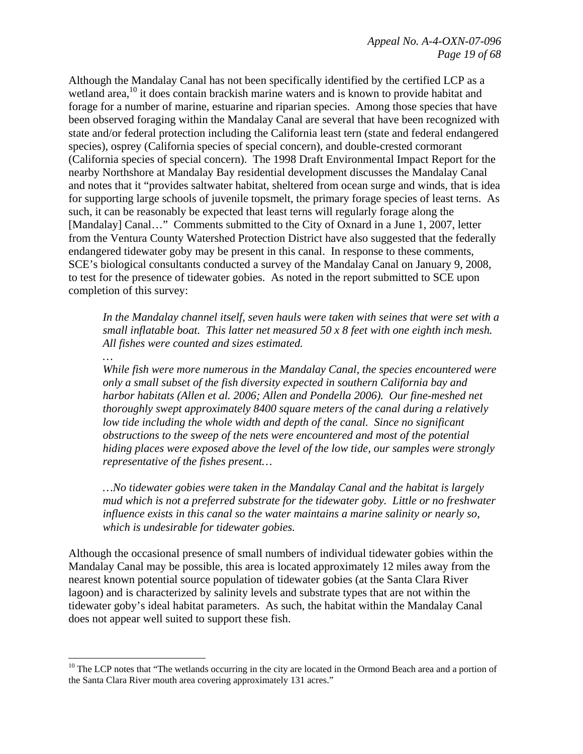Although the Mandalay Canal has not been specifically identified by the certified LCP as a wetland area,<sup>10</sup> it does contain brackish marine waters and is known to provide habitat and forage for a number of marine, estuarine and riparian species. Among those species that have been observed foraging within the Mandalay Canal are several that have been recognized with state and/or federal protection including the California least tern (state and federal endangered species), osprey (California species of special concern), and double-crested cormorant (California species of special concern). The 1998 Draft Environmental Impact Report for the nearby Northshore at Mandalay Bay residential development discusses the Mandalay Canal and notes that it "provides saltwater habitat, sheltered from ocean surge and winds, that is idea for supporting large schools of juvenile topsmelt, the primary forage species of least terns. As such, it can be reasonably be expected that least terns will regularly forage along the [Mandalay] Canal..." Comments submitted to the City of Oxnard in a June 1, 2007, letter from the Ventura County Watershed Protection District have also suggested that the federally endangered tidewater goby may be present in this canal. In response to these comments, SCE's biological consultants conducted a survey of the Mandalay Canal on January 9, 2008, to test for the presence of tidewater gobies. As noted in the report submitted to SCE upon completion of this survey:

*In the Mandalay channel itself, seven hauls were taken with seines that were set with a small inflatable boat. This latter net measured 50 x 8 feet with one eighth inch mesh. All fishes were counted and sizes estimated.* 

# *…*

1

*While fish were more numerous in the Mandalay Canal, the species encountered were only a small subset of the fish diversity expected in southern California bay and harbor habitats (Allen et al. 2006; Allen and Pondella 2006). Our fine-meshed net thoroughly swept approximately 8400 square meters of the canal during a relatively low tide including the whole width and depth of the canal. Since no significant obstructions to the sweep of the nets were encountered and most of the potential hiding places were exposed above the level of the low tide, our samples were strongly representative of the fishes present…* 

*…No tidewater gobies were taken in the Mandalay Canal and the habitat is largely mud which is not a preferred substrate for the tidewater goby. Little or no freshwater influence exists in this canal so the water maintains a marine salinity or nearly so, which is undesirable for tidewater gobies.* 

Although the occasional presence of small numbers of individual tidewater gobies within the Mandalay Canal may be possible, this area is located approximately 12 miles away from the nearest known potential source population of tidewater gobies (at the Santa Clara River lagoon) and is characterized by salinity levels and substrate types that are not within the tidewater goby's ideal habitat parameters. As such, the habitat within the Mandalay Canal does not appear well suited to support these fish.

<sup>&</sup>lt;sup>10</sup> The LCP notes that "The wetlands occurring in the city are located in the Ormond Beach area and a portion of the Santa Clara River mouth area covering approximately 131 acres."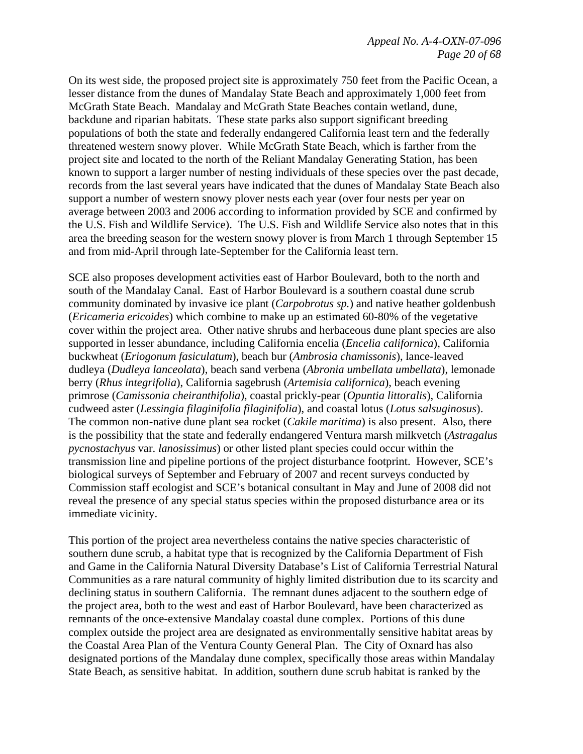On its west side, the proposed project site is approximately 750 feet from the Pacific Ocean, a lesser distance from the dunes of Mandalay State Beach and approximately 1,000 feet from McGrath State Beach. Mandalay and McGrath State Beaches contain wetland, dune, backdune and riparian habitats. These state parks also support significant breeding populations of both the state and federally endangered California least tern and the federally threatened western snowy plover. While McGrath State Beach, which is farther from the project site and located to the north of the Reliant Mandalay Generating Station, has been known to support a larger number of nesting individuals of these species over the past decade, records from the last several years have indicated that the dunes of Mandalay State Beach also support a number of western snowy plover nests each year (over four nests per year on average between 2003 and 2006 according to information provided by SCE and confirmed by the U.S. Fish and Wildlife Service). The U.S. Fish and Wildlife Service also notes that in this area the breeding season for the western snowy plover is from March 1 through September 15 and from mid-April through late-September for the California least tern.

SCE also proposes development activities east of Harbor Boulevard, both to the north and south of the Mandalay Canal. East of Harbor Boulevard is a southern coastal dune scrub community dominated by invasive ice plant (*Carpobrotus sp.*) and native heather goldenbush (*Ericameria ericoides*) which combine to make up an estimated 60-80% of the vegetative cover within the project area. Other native shrubs and herbaceous dune plant species are also supported in lesser abundance, including California encelia (*Encelia californica*), California buckwheat (*Eriogonum fasiculatum*), beach bur (*Ambrosia chamissonis*), lance-leaved dudleya (*Dudleya lanceolata*), beach sand verbena (*Abronia umbellata umbellata*), lemonade berry (*Rhus integrifolia*), California sagebrush (*Artemisia californica*), beach evening primrose (*Camissonia cheiranthifolia*), coastal prickly-pear (*Opuntia littoralis*), California cudweed aster (*Lessingia filaginifolia filaginifolia*), and coastal lotus (*Lotus salsuginosus*). The common non-native dune plant sea rocket (*Cakile maritima*) is also present. Also, there is the possibility that the state and federally endangered Ventura marsh milkvetch (*Astragalus pycnostachyus* var. *lanosissimus*) or other listed plant species could occur within the transmission line and pipeline portions of the project disturbance footprint. However, SCE's biological surveys of September and February of 2007 and recent surveys conducted by Commission staff ecologist and SCE's botanical consultant in May and June of 2008 did not reveal the presence of any special status species within the proposed disturbance area or its immediate vicinity.

This portion of the project area nevertheless contains the native species characteristic of southern dune scrub, a habitat type that is recognized by the California Department of Fish and Game in the California Natural Diversity Database's List of California Terrestrial Natural Communities as a rare natural community of highly limited distribution due to its scarcity and declining status in southern California. The remnant dunes adjacent to the southern edge of the project area, both to the west and east of Harbor Boulevard, have been characterized as remnants of the once-extensive Mandalay coastal dune complex. Portions of this dune complex outside the project area are designated as environmentally sensitive habitat areas by the Coastal Area Plan of the Ventura County General Plan. The City of Oxnard has also designated portions of the Mandalay dune complex, specifically those areas within Mandalay State Beach, as sensitive habitat. In addition, southern dune scrub habitat is ranked by the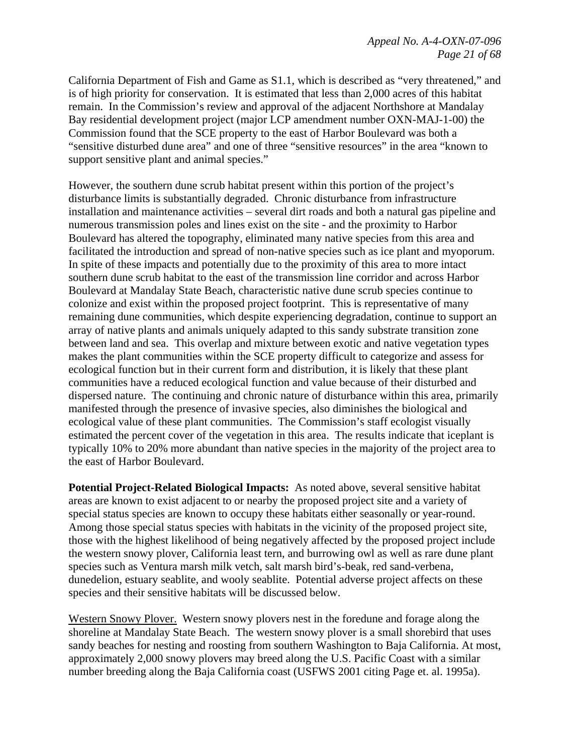California Department of Fish and Game as S1.1, which is described as "very threatened," and is of high priority for conservation. It is estimated that less than 2,000 acres of this habitat remain. In the Commission's review and approval of the adjacent Northshore at Mandalay Bay residential development project (major LCP amendment number OXN-MAJ-1-00) the Commission found that the SCE property to the east of Harbor Boulevard was both a "sensitive disturbed dune area" and one of three "sensitive resources" in the area "known to support sensitive plant and animal species."

However, the southern dune scrub habitat present within this portion of the project's disturbance limits is substantially degraded. Chronic disturbance from infrastructure installation and maintenance activities – several dirt roads and both a natural gas pipeline and numerous transmission poles and lines exist on the site - and the proximity to Harbor Boulevard has altered the topography, eliminated many native species from this area and facilitated the introduction and spread of non-native species such as ice plant and myoporum. In spite of these impacts and potentially due to the proximity of this area to more intact southern dune scrub habitat to the east of the transmission line corridor and across Harbor Boulevard at Mandalay State Beach, characteristic native dune scrub species continue to colonize and exist within the proposed project footprint. This is representative of many remaining dune communities, which despite experiencing degradation, continue to support an array of native plants and animals uniquely adapted to this sandy substrate transition zone between land and sea. This overlap and mixture between exotic and native vegetation types makes the plant communities within the SCE property difficult to categorize and assess for ecological function but in their current form and distribution, it is likely that these plant communities have a reduced ecological function and value because of their disturbed and dispersed nature. The continuing and chronic nature of disturbance within this area, primarily manifested through the presence of invasive species, also diminishes the biological and ecological value of these plant communities. The Commission's staff ecologist visually estimated the percent cover of the vegetation in this area. The results indicate that iceplant is typically 10% to 20% more abundant than native species in the majority of the project area to the east of Harbor Boulevard.

**Potential Project-Related Biological Impacts:** As noted above, several sensitive habitat areas are known to exist adjacent to or nearby the proposed project site and a variety of special status species are known to occupy these habitats either seasonally or year-round. Among those special status species with habitats in the vicinity of the proposed project site, those with the highest likelihood of being negatively affected by the proposed project include the western snowy plover, California least tern, and burrowing owl as well as rare dune plant species such as Ventura marsh milk vetch, salt marsh bird's-beak, red sand-verbena, dunedelion, estuary seablite, and wooly seablite. Potential adverse project affects on these species and their sensitive habitats will be discussed below.

Western Snowy Plover.Western snowy plovers nest in the foredune and forage along the shoreline at Mandalay State Beach. The western snowy plover is a small shorebird that uses sandy beaches for nesting and roosting from southern Washington to Baja California. At most, approximately 2,000 snowy plovers may breed along the U.S. Pacific Coast with a similar number breeding along the Baja California coast (USFWS 2001 citing Page et. al. 1995a).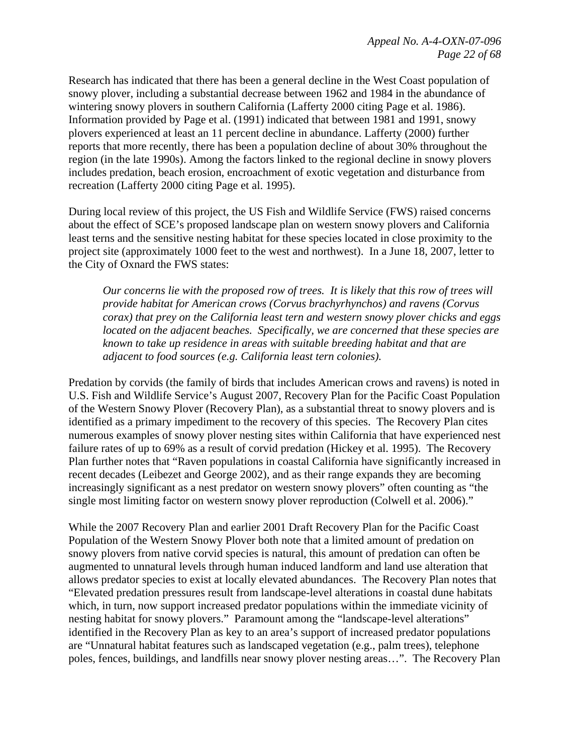Research has indicated that there has been a general decline in the West Coast population of snowy plover, including a substantial decrease between 1962 and 1984 in the abundance of wintering snowy plovers in southern California (Lafferty 2000 citing Page et al. 1986). Information provided by Page et al. (1991) indicated that between 1981 and 1991, snowy plovers experienced at least an 11 percent decline in abundance. Lafferty (2000) further reports that more recently, there has been a population decline of about 30% throughout the region (in the late 1990s). Among the factors linked to the regional decline in snowy plovers includes predation, beach erosion, encroachment of exotic vegetation and disturbance from recreation (Lafferty 2000 citing Page et al. 1995).

During local review of this project, the US Fish and Wildlife Service (FWS) raised concerns about the effect of SCE's proposed landscape plan on western snowy plovers and California least terns and the sensitive nesting habitat for these species located in close proximity to the project site (approximately 1000 feet to the west and northwest). In a June 18, 2007, letter to the City of Oxnard the FWS states:

*Our concerns lie with the proposed row of trees. It is likely that this row of trees will provide habitat for American crows (Corvus brachyrhynchos) and ravens (Corvus corax) that prey on the California least tern and western snowy plover chicks and eggs located on the adjacent beaches. Specifically, we are concerned that these species are known to take up residence in areas with suitable breeding habitat and that are adjacent to food sources (e.g. California least tern colonies).* 

Predation by corvids (the family of birds that includes American crows and ravens) is noted in U.S. Fish and Wildlife Service's August 2007, Recovery Plan for the Pacific Coast Population of the Western Snowy Plover (Recovery Plan), as a substantial threat to snowy plovers and is identified as a primary impediment to the recovery of this species. The Recovery Plan cites numerous examples of snowy plover nesting sites within California that have experienced nest failure rates of up to 69% as a result of corvid predation (Hickey et al. 1995). The Recovery Plan further notes that "Raven populations in coastal California have significantly increased in recent decades (Leibezet and George 2002), and as their range expands they are becoming increasingly significant as a nest predator on western snowy plovers" often counting as "the single most limiting factor on western snowy plover reproduction (Colwell et al. 2006)."

While the 2007 Recovery Plan and earlier 2001 Draft Recovery Plan for the Pacific Coast Population of the Western Snowy Plover both note that a limited amount of predation on snowy plovers from native corvid species is natural, this amount of predation can often be augmented to unnatural levels through human induced landform and land use alteration that allows predator species to exist at locally elevated abundances. The Recovery Plan notes that "Elevated predation pressures result from landscape-level alterations in coastal dune habitats which, in turn, now support increased predator populations within the immediate vicinity of nesting habitat for snowy plovers." Paramount among the "landscape-level alterations" identified in the Recovery Plan as key to an area's support of increased predator populations are "Unnatural habitat features such as landscaped vegetation (e.g., palm trees), telephone poles, fences, buildings, and landfills near snowy plover nesting areas…". The Recovery Plan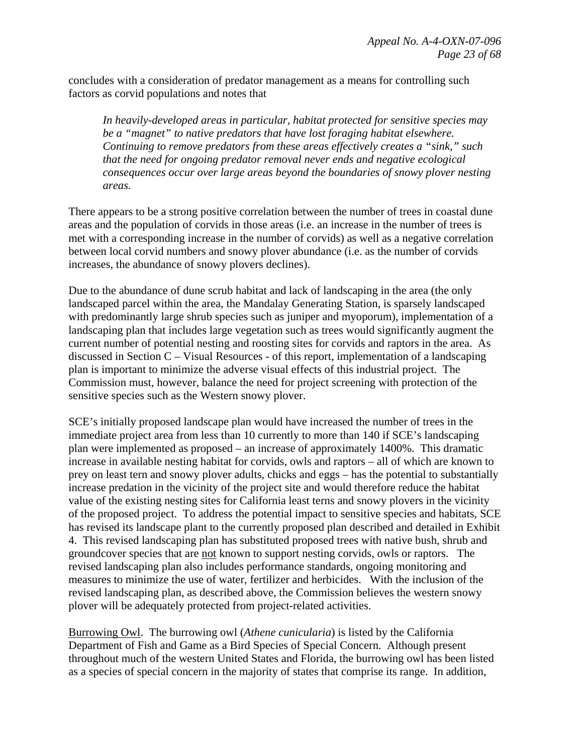concludes with a consideration of predator management as a means for controlling such factors as corvid populations and notes that

*In heavily-developed areas in particular, habitat protected for sensitive species may be a "magnet" to native predators that have lost foraging habitat elsewhere. Continuing to remove predators from these areas effectively creates a "sink," such that the need for ongoing predator removal never ends and negative ecological consequences occur over large areas beyond the boundaries of snowy plover nesting areas.*

There appears to be a strong positive correlation between the number of trees in coastal dune areas and the population of corvids in those areas (i.e. an increase in the number of trees is met with a corresponding increase in the number of corvids) as well as a negative correlation between local corvid numbers and snowy plover abundance (i.e. as the number of corvids increases, the abundance of snowy plovers declines).

Due to the abundance of dune scrub habitat and lack of landscaping in the area (the only landscaped parcel within the area, the Mandalay Generating Station, is sparsely landscaped with predominantly large shrub species such as juniper and myoporum), implementation of a landscaping plan that includes large vegetation such as trees would significantly augment the current number of potential nesting and roosting sites for corvids and raptors in the area. As discussed in Section C – Visual Resources - of this report, implementation of a landscaping plan is important to minimize the adverse visual effects of this industrial project. The Commission must, however, balance the need for project screening with protection of the sensitive species such as the Western snowy plover.

SCE's initially proposed landscape plan would have increased the number of trees in the immediate project area from less than 10 currently to more than 140 if SCE's landscaping plan were implemented as proposed – an increase of approximately 1400%. This dramatic increase in available nesting habitat for corvids, owls and raptors – all of which are known to prey on least tern and snowy plover adults, chicks and eggs – has the potential to substantially increase predation in the vicinity of the project site and would therefore reduce the habitat value of the existing nesting sites for California least terns and snowy plovers in the vicinity of the proposed project. To address the potential impact to sensitive species and habitats, SCE has revised its landscape plant to the currently proposed plan described and detailed in Exhibit 4. This revised landscaping plan has substituted proposed trees with native bush, shrub and groundcover species that are not known to support nesting corvids, owls or raptors. The revised landscaping plan also includes performance standards, ongoing monitoring and measures to minimize the use of water, fertilizer and herbicides. With the inclusion of the revised landscaping plan, as described above, the Commission believes the western snowy plover will be adequately protected from project-related activities.

Burrowing Owl. The burrowing owl (*Athene cunicularia*) is listed by the California Department of Fish and Game as a Bird Species of Special Concern. Although present throughout much of the western United States and Florida, the burrowing owl has been listed as a species of special concern in the majority of states that comprise its range. In addition,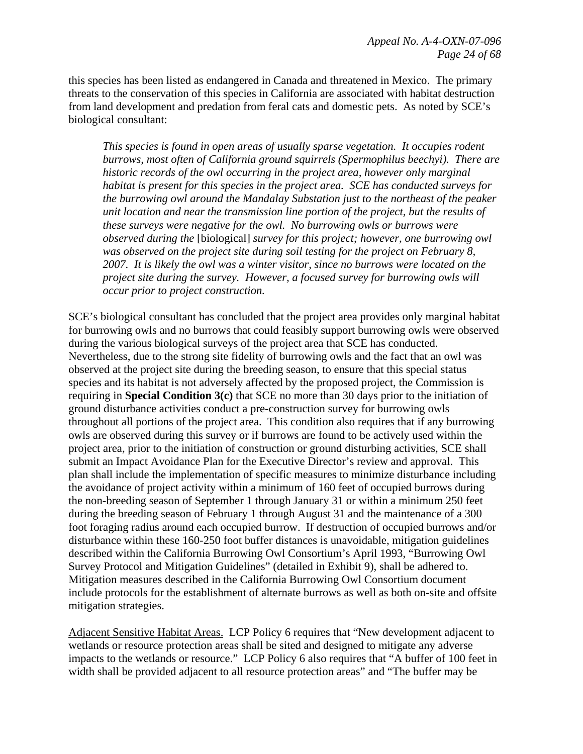this species has been listed as endangered in Canada and threatened in Mexico. The primary threats to the conservation of this species in California are associated with habitat destruction from land development and predation from feral cats and domestic pets. As noted by SCE's biological consultant:

*This species is found in open areas of usually sparse vegetation. It occupies rodent burrows, most often of California ground squirrels (Spermophilus beechyi). There are historic records of the owl occurring in the project area, however only marginal habitat is present for this species in the project area. SCE has conducted surveys for the burrowing owl around the Mandalay Substation just to the northeast of the peaker unit location and near the transmission line portion of the project, but the results of these surveys were negative for the owl. No burrowing owls or burrows were observed during the* [biological] *survey for this project; however, one burrowing owl was observed on the project site during soil testing for the project on February 8, 2007. It is likely the owl was a winter visitor, since no burrows were located on the project site during the survey. However, a focused survey for burrowing owls will occur prior to project construction.* 

SCE's biological consultant has concluded that the project area provides only marginal habitat for burrowing owls and no burrows that could feasibly support burrowing owls were observed during the various biological surveys of the project area that SCE has conducted. Nevertheless, due to the strong site fidelity of burrowing owls and the fact that an owl was observed at the project site during the breeding season, to ensure that this special status species and its habitat is not adversely affected by the proposed project, the Commission is requiring in **Special Condition 3(c)** that SCE no more than 30 days prior to the initiation of ground disturbance activities conduct a pre-construction survey for burrowing owls throughout all portions of the project area. This condition also requires that if any burrowing owls are observed during this survey or if burrows are found to be actively used within the project area, prior to the initiation of construction or ground disturbing activities, SCE shall submit an Impact Avoidance Plan for the Executive Director's review and approval. This plan shall include the implementation of specific measures to minimize disturbance including the avoidance of project activity within a minimum of 160 feet of occupied burrows during the non-breeding season of September 1 through January 31 or within a minimum 250 feet during the breeding season of February 1 through August 31 and the maintenance of a 300 foot foraging radius around each occupied burrow. If destruction of occupied burrows and/or disturbance within these 160-250 foot buffer distances is unavoidable, mitigation guidelines described within the California Burrowing Owl Consortium's April 1993, "Burrowing Owl Survey Protocol and Mitigation Guidelines" (detailed in Exhibit 9), shall be adhered to. Mitigation measures described in the California Burrowing Owl Consortium document include protocols for the establishment of alternate burrows as well as both on-site and offsite mitigation strategies.

Adjacent Sensitive Habitat Areas. LCP Policy 6 requires that "New development adjacent to wetlands or resource protection areas shall be sited and designed to mitigate any adverse impacts to the wetlands or resource." LCP Policy 6 also requires that "A buffer of 100 feet in width shall be provided adjacent to all resource protection areas" and "The buffer may be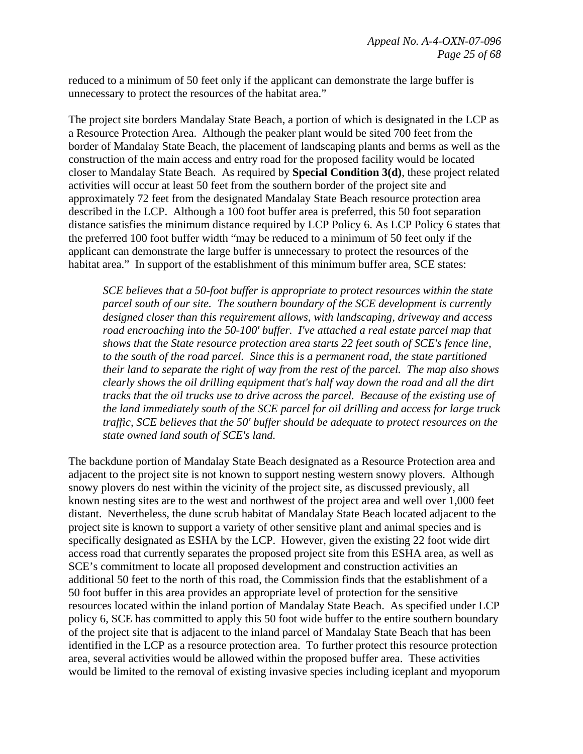reduced to a minimum of 50 feet only if the applicant can demonstrate the large buffer is unnecessary to protect the resources of the habitat area."

The project site borders Mandalay State Beach, a portion of which is designated in the LCP as a Resource Protection Area. Although the peaker plant would be sited 700 feet from the border of Mandalay State Beach, the placement of landscaping plants and berms as well as the construction of the main access and entry road for the proposed facility would be located closer to Mandalay State Beach. As required by **Special Condition 3(d)**, these project related activities will occur at least 50 feet from the southern border of the project site and approximately 72 feet from the designated Mandalay State Beach resource protection area described in the LCP. Although a 100 foot buffer area is preferred, this 50 foot separation distance satisfies the minimum distance required by LCP Policy 6. As LCP Policy 6 states that the preferred 100 foot buffer width "may be reduced to a minimum of 50 feet only if the applicant can demonstrate the large buffer is unnecessary to protect the resources of the habitat area." In support of the establishment of this minimum buffer area, SCE states:

*SCE believes that a 50-foot buffer is appropriate to protect resources within the state parcel south of our site. The southern boundary of the SCE development is currently designed closer than this requirement allows, with landscaping, driveway and access road encroaching into the 50-100' buffer. I've attached a real estate parcel map that shows that the State resource protection area starts 22 feet south of SCE's fence line, to the south of the road parcel. Since this is a permanent road, the state partitioned their land to separate the right of way from the rest of the parcel. The map also shows clearly shows the oil drilling equipment that's half way down the road and all the dirt tracks that the oil trucks use to drive across the parcel. Because of the existing use of the land immediately south of the SCE parcel for oil drilling and access for large truck traffic, SCE believes that the 50' buffer should be adequate to protect resources on the state owned land south of SCE's land.* 

The backdune portion of Mandalay State Beach designated as a Resource Protection area and adjacent to the project site is not known to support nesting western snowy plovers. Although snowy plovers do nest within the vicinity of the project site, as discussed previously, all known nesting sites are to the west and northwest of the project area and well over 1,000 feet distant. Nevertheless, the dune scrub habitat of Mandalay State Beach located adjacent to the project site is known to support a variety of other sensitive plant and animal species and is specifically designated as ESHA by the LCP. However, given the existing 22 foot wide dirt access road that currently separates the proposed project site from this ESHA area, as well as SCE's commitment to locate all proposed development and construction activities an additional 50 feet to the north of this road, the Commission finds that the establishment of a 50 foot buffer in this area provides an appropriate level of protection for the sensitive resources located within the inland portion of Mandalay State Beach. As specified under LCP policy 6, SCE has committed to apply this 50 foot wide buffer to the entire southern boundary of the project site that is adjacent to the inland parcel of Mandalay State Beach that has been identified in the LCP as a resource protection area. To further protect this resource protection area, several activities would be allowed within the proposed buffer area. These activities would be limited to the removal of existing invasive species including iceplant and myoporum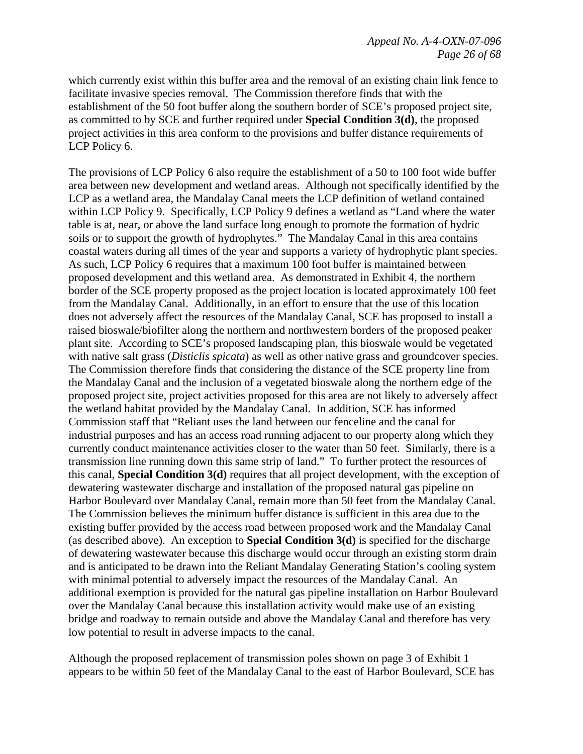which currently exist within this buffer area and the removal of an existing chain link fence to facilitate invasive species removal. The Commission therefore finds that with the establishment of the 50 foot buffer along the southern border of SCE's proposed project site, as committed to by SCE and further required under **Special Condition 3(d)**, the proposed project activities in this area conform to the provisions and buffer distance requirements of LCP Policy 6.

The provisions of LCP Policy 6 also require the establishment of a 50 to 100 foot wide buffer area between new development and wetland areas. Although not specifically identified by the LCP as a wetland area, the Mandalay Canal meets the LCP definition of wetland contained within LCP Policy 9. Specifically, LCP Policy 9 defines a wetland as "Land where the water table is at, near, or above the land surface long enough to promote the formation of hydric soils or to support the growth of hydrophytes." The Mandalay Canal in this area contains coastal waters during all times of the year and supports a variety of hydrophytic plant species. As such, LCP Policy 6 requires that a maximum 100 foot buffer is maintained between proposed development and this wetland area. As demonstrated in Exhibit 4, the northern border of the SCE property proposed as the project location is located approximately 100 feet from the Mandalay Canal. Additionally, in an effort to ensure that the use of this location does not adversely affect the resources of the Mandalay Canal, SCE has proposed to install a raised bioswale/biofilter along the northern and northwestern borders of the proposed peaker plant site. According to SCE's proposed landscaping plan, this bioswale would be vegetated with native salt grass (*Disticlis spicata*) as well as other native grass and groundcover species. The Commission therefore finds that considering the distance of the SCE property line from the Mandalay Canal and the inclusion of a vegetated bioswale along the northern edge of the proposed project site, project activities proposed for this area are not likely to adversely affect the wetland habitat provided by the Mandalay Canal. In addition, SCE has informed Commission staff that "Reliant uses the land between our fenceline and the canal for industrial purposes and has an access road running adjacent to our property along which they currently conduct maintenance activities closer to the water than 50 feet. Similarly, there is a transmission line running down this same strip of land." To further protect the resources of this canal, **Special Condition 3(d)** requires that all project development, with the exception of dewatering wastewater discharge and installation of the proposed natural gas pipeline on Harbor Boulevard over Mandalay Canal, remain more than 50 feet from the Mandalay Canal. The Commission believes the minimum buffer distance is sufficient in this area due to the existing buffer provided by the access road between proposed work and the Mandalay Canal (as described above). An exception to **Special Condition 3(d)** is specified for the discharge of dewatering wastewater because this discharge would occur through an existing storm drain and is anticipated to be drawn into the Reliant Mandalay Generating Station's cooling system with minimal potential to adversely impact the resources of the Mandalay Canal. An additional exemption is provided for the natural gas pipeline installation on Harbor Boulevard over the Mandalay Canal because this installation activity would make use of an existing bridge and roadway to remain outside and above the Mandalay Canal and therefore has very low potential to result in adverse impacts to the canal.

Although the proposed replacement of transmission poles shown on page 3 of Exhibit 1 appears to be within 50 feet of the Mandalay Canal to the east of Harbor Boulevard, SCE has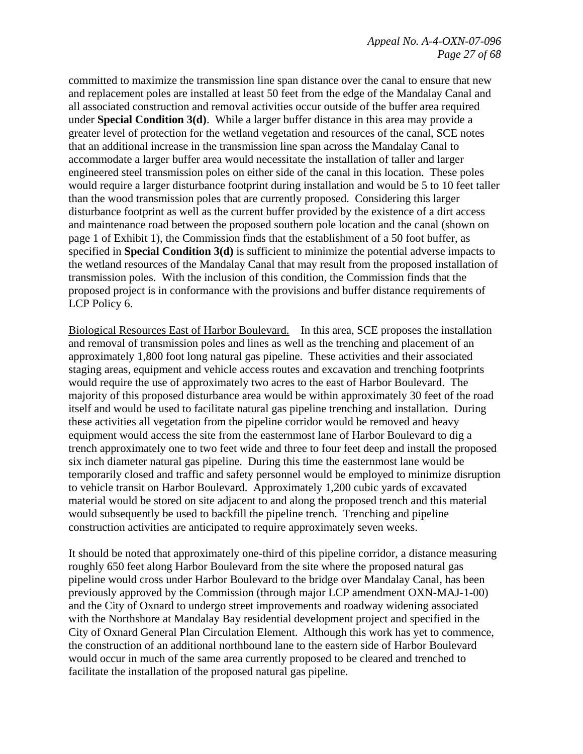committed to maximize the transmission line span distance over the canal to ensure that new and replacement poles are installed at least 50 feet from the edge of the Mandalay Canal and all associated construction and removal activities occur outside of the buffer area required under **Special Condition 3(d)**. While a larger buffer distance in this area may provide a greater level of protection for the wetland vegetation and resources of the canal, SCE notes that an additional increase in the transmission line span across the Mandalay Canal to accommodate a larger buffer area would necessitate the installation of taller and larger engineered steel transmission poles on either side of the canal in this location. These poles would require a larger disturbance footprint during installation and would be 5 to 10 feet taller than the wood transmission poles that are currently proposed. Considering this larger disturbance footprint as well as the current buffer provided by the existence of a dirt access and maintenance road between the proposed southern pole location and the canal (shown on page 1 of Exhibit 1), the Commission finds that the establishment of a 50 foot buffer, as specified in **Special Condition 3(d)** is sufficient to minimize the potential adverse impacts to the wetland resources of the Mandalay Canal that may result from the proposed installation of transmission poles. With the inclusion of this condition, the Commission finds that the proposed project is in conformance with the provisions and buffer distance requirements of LCP Policy 6.

Biological Resources East of Harbor Boulevard. In this area, SCE proposes the installation and removal of transmission poles and lines as well as the trenching and placement of an approximately 1,800 foot long natural gas pipeline. These activities and their associated staging areas, equipment and vehicle access routes and excavation and trenching footprints would require the use of approximately two acres to the east of Harbor Boulevard. The majority of this proposed disturbance area would be within approximately 30 feet of the road itself and would be used to facilitate natural gas pipeline trenching and installation. During these activities all vegetation from the pipeline corridor would be removed and heavy equipment would access the site from the easternmost lane of Harbor Boulevard to dig a trench approximately one to two feet wide and three to four feet deep and install the proposed six inch diameter natural gas pipeline. During this time the easternmost lane would be temporarily closed and traffic and safety personnel would be employed to minimize disruption to vehicle transit on Harbor Boulevard. Approximately 1,200 cubic yards of excavated material would be stored on site adjacent to and along the proposed trench and this material would subsequently be used to backfill the pipeline trench. Trenching and pipeline construction activities are anticipated to require approximately seven weeks.

It should be noted that approximately one-third of this pipeline corridor, a distance measuring roughly 650 feet along Harbor Boulevard from the site where the proposed natural gas pipeline would cross under Harbor Boulevard to the bridge over Mandalay Canal, has been previously approved by the Commission (through major LCP amendment OXN-MAJ-1-00) and the City of Oxnard to undergo street improvements and roadway widening associated with the Northshore at Mandalay Bay residential development project and specified in the City of Oxnard General Plan Circulation Element. Although this work has yet to commence, the construction of an additional northbound lane to the eastern side of Harbor Boulevard would occur in much of the same area currently proposed to be cleared and trenched to facilitate the installation of the proposed natural gas pipeline.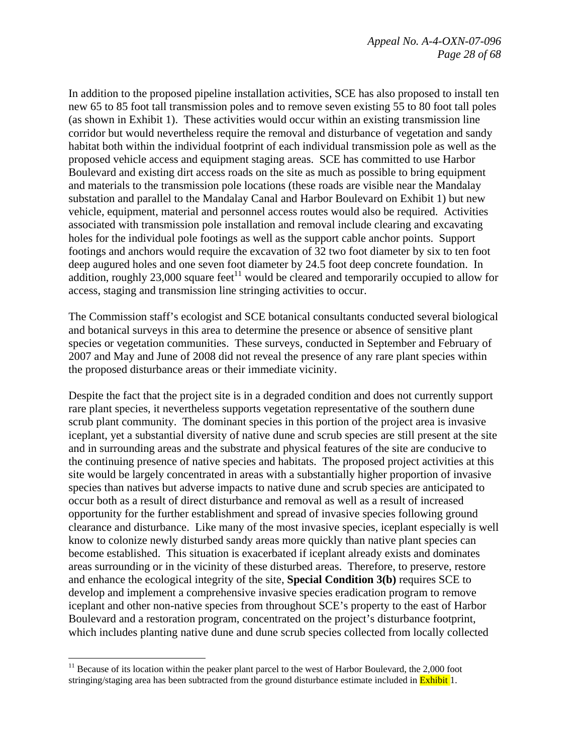In addition to the proposed pipeline installation activities, SCE has also proposed to install ten new 65 to 85 foot tall transmission poles and to remove seven existing 55 to 80 foot tall poles (as shown in Exhibit 1). These activities would occur within an existing transmission line corridor but would nevertheless require the removal and disturbance of vegetation and sandy habitat both within the individual footprint of each individual transmission pole as well as the proposed vehicle access and equipment staging areas. SCE has committed to use Harbor Boulevard and existing dirt access roads on the site as much as possible to bring equipment and materials to the transmission pole locations (these roads are visible near the Mandalay substation and parallel to the Mandalay Canal and Harbor Boulevard on Exhibit 1) but new vehicle, equipment, material and personnel access routes would also be required. Activities associated with transmission pole installation and removal include clearing and excavating holes for the individual pole footings as well as the support cable anchor points. Support footings and anchors would require the excavation of 32 two foot diameter by six to ten foot deep augured holes and one seven foot diameter by 24.5 foot deep concrete foundation. In addition, roughly 23,000 square feet<sup>11</sup> would be cleared and temporarily occupied to allow for access, staging and transmission line stringing activities to occur.

The Commission staff's ecologist and SCE botanical consultants conducted several biological and botanical surveys in this area to determine the presence or absence of sensitive plant species or vegetation communities. These surveys, conducted in September and February of 2007 and May and June of 2008 did not reveal the presence of any rare plant species within the proposed disturbance areas or their immediate vicinity.

Despite the fact that the project site is in a degraded condition and does not currently support rare plant species, it nevertheless supports vegetation representative of the southern dune scrub plant community. The dominant species in this portion of the project area is invasive iceplant, yet a substantial diversity of native dune and scrub species are still present at the site and in surrounding areas and the substrate and physical features of the site are conducive to the continuing presence of native species and habitats. The proposed project activities at this site would be largely concentrated in areas with a substantially higher proportion of invasive species than natives but adverse impacts to native dune and scrub species are anticipated to occur both as a result of direct disturbance and removal as well as a result of increased opportunity for the further establishment and spread of invasive species following ground clearance and disturbance. Like many of the most invasive species, iceplant especially is well know to colonize newly disturbed sandy areas more quickly than native plant species can become established. This situation is exacerbated if iceplant already exists and dominates areas surrounding or in the vicinity of these disturbed areas. Therefore, to preserve, restore and enhance the ecological integrity of the site, **Special Condition 3(b)** requires SCE to develop and implement a comprehensive invasive species eradication program to remove iceplant and other non-native species from throughout SCE's property to the east of Harbor Boulevard and a restoration program, concentrated on the project's disturbance footprint, which includes planting native dune and dune scrub species collected from locally collected

1

 $11$  Because of its location within the peaker plant parcel to the west of Harbor Boulevard, the 2,000 foot stringing/staging area has been subtracted from the ground disturbance estimate included in **Exhibit** 1.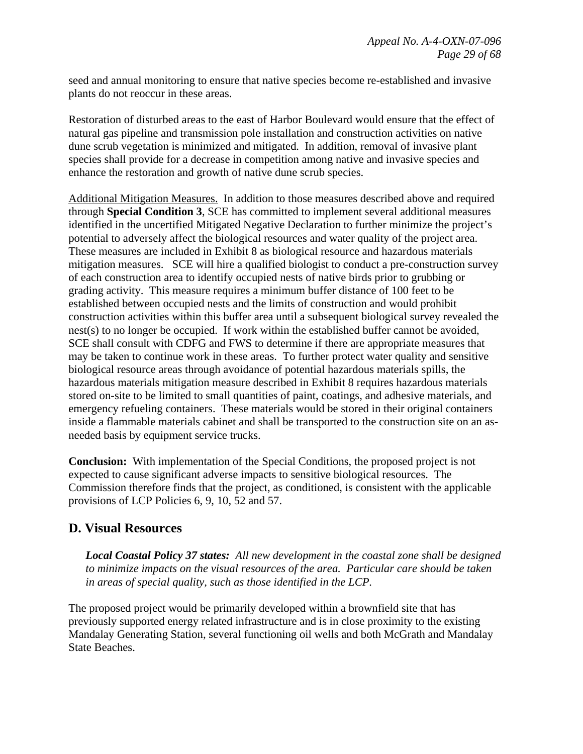seed and annual monitoring to ensure that native species become re-established and invasive plants do not reoccur in these areas.

Restoration of disturbed areas to the east of Harbor Boulevard would ensure that the effect of natural gas pipeline and transmission pole installation and construction activities on native dune scrub vegetation is minimized and mitigated. In addition, removal of invasive plant species shall provide for a decrease in competition among native and invasive species and enhance the restoration and growth of native dune scrub species.

Additional Mitigation Measures. In addition to those measures described above and required through **Special Condition 3**, SCE has committed to implement several additional measures identified in the uncertified Mitigated Negative Declaration to further minimize the project's potential to adversely affect the biological resources and water quality of the project area. These measures are included in Exhibit 8 as biological resource and hazardous materials mitigation measures. SCE will hire a qualified biologist to conduct a pre-construction survey of each construction area to identify occupied nests of native birds prior to grubbing or grading activity. This measure requires a minimum buffer distance of 100 feet to be established between occupied nests and the limits of construction and would prohibit construction activities within this buffer area until a subsequent biological survey revealed the nest(s) to no longer be occupied. If work within the established buffer cannot be avoided, SCE shall consult with CDFG and FWS to determine if there are appropriate measures that may be taken to continue work in these areas. To further protect water quality and sensitive biological resource areas through avoidance of potential hazardous materials spills, the hazardous materials mitigation measure described in Exhibit 8 requires hazardous materials stored on-site to be limited to small quantities of paint, coatings, and adhesive materials, and emergency refueling containers. These materials would be stored in their original containers inside a flammable materials cabinet and shall be transported to the construction site on an asneeded basis by equipment service trucks.

**Conclusion:** With implementation of the Special Conditions, the proposed project is not expected to cause significant adverse impacts to sensitive biological resources. The Commission therefore finds that the project, as conditioned, is consistent with the applicable provisions of LCP Policies 6, 9, 10, 52 and 57.

# **D. Visual Resources**

*Local Coastal Policy 37 states: All new development in the coastal zone shall be designed to minimize impacts on the visual resources of the area. Particular care should be taken in areas of special quality, such as those identified in the LCP.*

The proposed project would be primarily developed within a brownfield site that has previously supported energy related infrastructure and is in close proximity to the existing Mandalay Generating Station, several functioning oil wells and both McGrath and Mandalay State Beaches.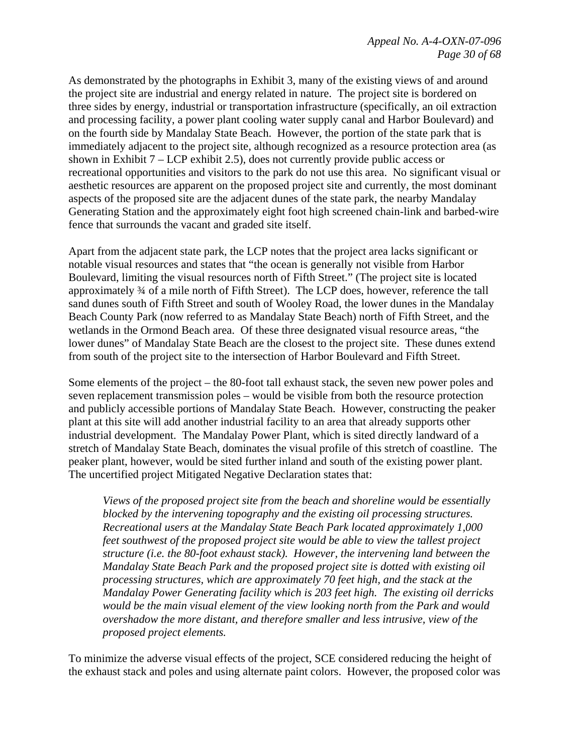As demonstrated by the photographs in Exhibit 3, many of the existing views of and around the project site are industrial and energy related in nature. The project site is bordered on three sides by energy, industrial or transportation infrastructure (specifically, an oil extraction and processing facility, a power plant cooling water supply canal and Harbor Boulevard) and on the fourth side by Mandalay State Beach. However, the portion of the state park that is immediately adjacent to the project site, although recognized as a resource protection area (as shown in Exhibit  $7 - LCP$  exhibit 2.5), does not currently provide public access or recreational opportunities and visitors to the park do not use this area. No significant visual or aesthetic resources are apparent on the proposed project site and currently, the most dominant aspects of the proposed site are the adjacent dunes of the state park, the nearby Mandalay Generating Station and the approximately eight foot high screened chain-link and barbed-wire fence that surrounds the vacant and graded site itself.

Apart from the adjacent state park, the LCP notes that the project area lacks significant or notable visual resources and states that "the ocean is generally not visible from Harbor Boulevard, limiting the visual resources north of Fifth Street." (The project site is located approximately ¾ of a mile north of Fifth Street). The LCP does, however, reference the tall sand dunes south of Fifth Street and south of Wooley Road, the lower dunes in the Mandalay Beach County Park (now referred to as Mandalay State Beach) north of Fifth Street, and the wetlands in the Ormond Beach area. Of these three designated visual resource areas, "the lower dunes" of Mandalay State Beach are the closest to the project site. These dunes extend from south of the project site to the intersection of Harbor Boulevard and Fifth Street.

Some elements of the project – the 80-foot tall exhaust stack, the seven new power poles and seven replacement transmission poles – would be visible from both the resource protection and publicly accessible portions of Mandalay State Beach. However, constructing the peaker plant at this site will add another industrial facility to an area that already supports other industrial development. The Mandalay Power Plant, which is sited directly landward of a stretch of Mandalay State Beach, dominates the visual profile of this stretch of coastline. The peaker plant, however, would be sited further inland and south of the existing power plant. The uncertified project Mitigated Negative Declaration states that:

*Views of the proposed project site from the beach and shoreline would be essentially blocked by the intervening topography and the existing oil processing structures. Recreational users at the Mandalay State Beach Park located approximately 1,000 feet southwest of the proposed project site would be able to view the tallest project structure (i.e. the 80-foot exhaust stack). However, the intervening land between the Mandalay State Beach Park and the proposed project site is dotted with existing oil processing structures, which are approximately 70 feet high, and the stack at the Mandalay Power Generating facility which is 203 feet high. The existing oil derricks would be the main visual element of the view looking north from the Park and would overshadow the more distant, and therefore smaller and less intrusive, view of the proposed project elements.* 

To minimize the adverse visual effects of the project, SCE considered reducing the height of the exhaust stack and poles and using alternate paint colors. However, the proposed color was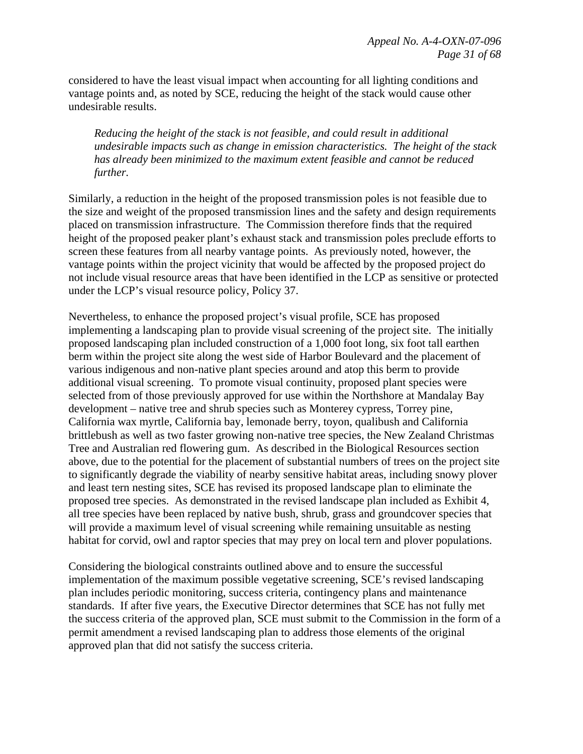considered to have the least visual impact when accounting for all lighting conditions and vantage points and, as noted by SCE, reducing the height of the stack would cause other undesirable results.

*Reducing the height of the stack is not feasible, and could result in additional undesirable impacts such as change in emission characteristics. The height of the stack has already been minimized to the maximum extent feasible and cannot be reduced further.* 

Similarly, a reduction in the height of the proposed transmission poles is not feasible due to the size and weight of the proposed transmission lines and the safety and design requirements placed on transmission infrastructure. The Commission therefore finds that the required height of the proposed peaker plant's exhaust stack and transmission poles preclude efforts to screen these features from all nearby vantage points. As previously noted, however, the vantage points within the project vicinity that would be affected by the proposed project do not include visual resource areas that have been identified in the LCP as sensitive or protected under the LCP's visual resource policy, Policy 37.

Nevertheless, to enhance the proposed project's visual profile, SCE has proposed implementing a landscaping plan to provide visual screening of the project site. The initially proposed landscaping plan included construction of a 1,000 foot long, six foot tall earthen berm within the project site along the west side of Harbor Boulevard and the placement of various indigenous and non-native plant species around and atop this berm to provide additional visual screening. To promote visual continuity, proposed plant species were selected from of those previously approved for use within the Northshore at Mandalay Bay development – native tree and shrub species such as Monterey cypress, Torrey pine, California wax myrtle, California bay, lemonade berry, toyon, qualibush and California brittlebush as well as two faster growing non-native tree species, the New Zealand Christmas Tree and Australian red flowering gum. As described in the Biological Resources section above, due to the potential for the placement of substantial numbers of trees on the project site to significantly degrade the viability of nearby sensitive habitat areas, including snowy plover and least tern nesting sites, SCE has revised its proposed landscape plan to eliminate the proposed tree species. As demonstrated in the revised landscape plan included as Exhibit 4, all tree species have been replaced by native bush, shrub, grass and groundcover species that will provide a maximum level of visual screening while remaining unsuitable as nesting habitat for corvid, owl and raptor species that may prey on local tern and plover populations.

Considering the biological constraints outlined above and to ensure the successful implementation of the maximum possible vegetative screening, SCE's revised landscaping plan includes periodic monitoring, success criteria, contingency plans and maintenance standards. If after five years, the Executive Director determines that SCE has not fully met the success criteria of the approved plan, SCE must submit to the Commission in the form of a permit amendment a revised landscaping plan to address those elements of the original approved plan that did not satisfy the success criteria.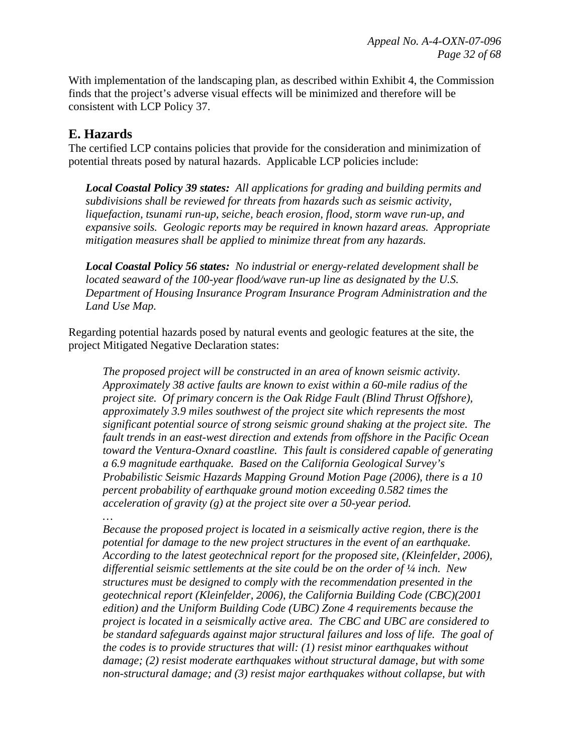With implementation of the landscaping plan, as described within Exhibit 4, the Commission finds that the project's adverse visual effects will be minimized and therefore will be consistent with LCP Policy 37.

### **E. Hazards**

The certified LCP contains policies that provide for the consideration and minimization of potential threats posed by natural hazards. Applicable LCP policies include:

*Local Coastal Policy 39 states: All applications for grading and building permits and subdivisions shall be reviewed for threats from hazards such as seismic activity, liquefaction, tsunami run-up, seiche, beach erosion, flood, storm wave run-up, and expansive soils. Geologic reports may be required in known hazard areas. Appropriate mitigation measures shall be applied to minimize threat from any hazards.* 

*Local Coastal Policy 56 states: No industrial or energy-related development shall be located seaward of the 100-year flood/wave run-up line as designated by the U.S. Department of Housing Insurance Program Insurance Program Administration and the Land Use Map.* 

Regarding potential hazards posed by natural events and geologic features at the site, the project Mitigated Negative Declaration states:

*The proposed project will be constructed in an area of known seismic activity. Approximately 38 active faults are known to exist within a 60-mile radius of the project site. Of primary concern is the Oak Ridge Fault (Blind Thrust Offshore), approximately 3.9 miles southwest of the project site which represents the most significant potential source of strong seismic ground shaking at the project site. The fault trends in an east-west direction and extends from offshore in the Pacific Ocean toward the Ventura-Oxnard coastline. This fault is considered capable of generating a 6.9 magnitude earthquake. Based on the California Geological Survey's Probabilistic Seismic Hazards Mapping Ground Motion Page (2006), there is a 10 percent probability of earthquake ground motion exceeding 0.582 times the acceleration of gravity (g) at the project site over a 50-year period. …* 

*Because the proposed project is located in a seismically active region, there is the potential for damage to the new project structures in the event of an earthquake. According to the latest geotechnical report for the proposed site, (Kleinfelder, 2006), differential seismic settlements at the site could be on the order of ¼ inch. New structures must be designed to comply with the recommendation presented in the geotechnical report (Kleinfelder, 2006), the California Building Code (CBC)(2001 edition) and the Uniform Building Code (UBC) Zone 4 requirements because the project is located in a seismically active area. The CBC and UBC are considered to be standard safeguards against major structural failures and loss of life. The goal of the codes is to provide structures that will: (1) resist minor earthquakes without damage; (2) resist moderate earthquakes without structural damage, but with some non-structural damage; and (3) resist major earthquakes without collapse, but with*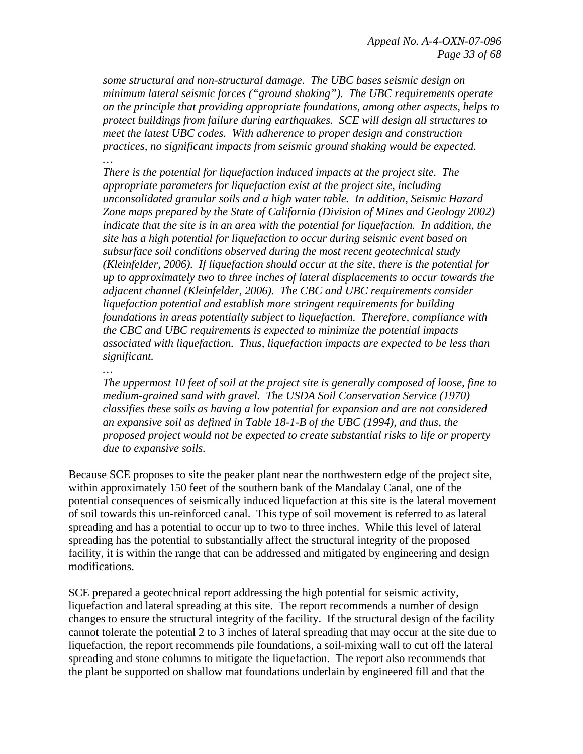*some structural and non-structural damage. The UBC bases seismic design on minimum lateral seismic forces ("ground shaking"). The UBC requirements operate on the principle that providing appropriate foundations, among other aspects, helps to protect buildings from failure during earthquakes. SCE will design all structures to meet the latest UBC codes. With adherence to proper design and construction practices, no significant impacts from seismic ground shaking would be expected. …* 

*There is the potential for liquefaction induced impacts at the project site. The appropriate parameters for liquefaction exist at the project site, including unconsolidated granular soils and a high water table. In addition, Seismic Hazard Zone maps prepared by the State of California (Division of Mines and Geology 2002) indicate that the site is in an area with the potential for liquefaction. In addition, the site has a high potential for liquefaction to occur during seismic event based on subsurface soil conditions observed during the most recent geotechnical study (Kleinfelder, 2006). If liquefaction should occur at the site, there is the potential for up to approximately two to three inches of lateral displacements to occur towards the adjacent channel (Kleinfelder, 2006). The CBC and UBC requirements consider liquefaction potential and establish more stringent requirements for building foundations in areas potentially subject to liquefaction. Therefore, compliance with the CBC and UBC requirements is expected to minimize the potential impacts associated with liquefaction. Thus, liquefaction impacts are expected to be less than significant.* 

*…* 

*The uppermost 10 feet of soil at the project site is generally composed of loose, fine to medium-grained sand with gravel. The USDA Soil Conservation Service (1970) classifies these soils as having a low potential for expansion and are not considered an expansive soil as defined in Table 18-1-B of the UBC (1994), and thus, the proposed project would not be expected to create substantial risks to life or property due to expansive soils.* 

Because SCE proposes to site the peaker plant near the northwestern edge of the project site, within approximately 150 feet of the southern bank of the Mandalay Canal, one of the potential consequences of seismically induced liquefaction at this site is the lateral movement of soil towards this un-reinforced canal. This type of soil movement is referred to as lateral spreading and has a potential to occur up to two to three inches. While this level of lateral spreading has the potential to substantially affect the structural integrity of the proposed facility, it is within the range that can be addressed and mitigated by engineering and design modifications.

SCE prepared a geotechnical report addressing the high potential for seismic activity, liquefaction and lateral spreading at this site. The report recommends a number of design changes to ensure the structural integrity of the facility. If the structural design of the facility cannot tolerate the potential 2 to 3 inches of lateral spreading that may occur at the site due to liquefaction, the report recommends pile foundations, a soil-mixing wall to cut off the lateral spreading and stone columns to mitigate the liquefaction. The report also recommends that the plant be supported on shallow mat foundations underlain by engineered fill and that the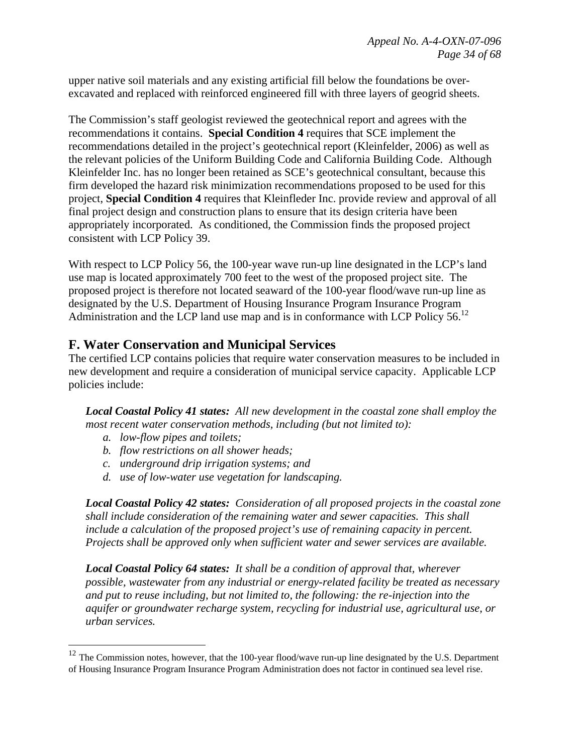upper native soil materials and any existing artificial fill below the foundations be overexcavated and replaced with reinforced engineered fill with three layers of geogrid sheets.

The Commission's staff geologist reviewed the geotechnical report and agrees with the recommendations it contains. **Special Condition 4** requires that SCE implement the recommendations detailed in the project's geotechnical report (Kleinfelder, 2006) as well as the relevant policies of the Uniform Building Code and California Building Code. Although Kleinfelder Inc. has no longer been retained as SCE's geotechnical consultant, because this firm developed the hazard risk minimization recommendations proposed to be used for this project, **Special Condition 4** requires that Kleinfleder Inc. provide review and approval of all final project design and construction plans to ensure that its design criteria have been appropriately incorporated. As conditioned, the Commission finds the proposed project consistent with LCP Policy 39.

With respect to LCP Policy 56, the 100-year wave run-up line designated in the LCP's land use map is located approximately 700 feet to the west of the proposed project site. The proposed project is therefore not located seaward of the 100-year flood/wave run-up line as designated by the U.S. Department of Housing Insurance Program Insurance Program Administration and the LCP land use map and is in conformance with LCP Policy 56.<sup>12</sup>

# **F. Water Conservation and Municipal Services**

The certified LCP contains policies that require water conservation measures to be included in new development and require a consideration of municipal service capacity. Applicable LCP policies include:

*Local Coastal Policy 41 states: All new development in the coastal zone shall employ the most recent water conservation methods, including (but not limited to):* 

*a. low-flow pipes and toilets;* 

1

- *b. flow restrictions on all shower heads;*
- *c. underground drip irrigation systems; and*
- *d. use of low-water use vegetation for landscaping.*

*Local Coastal Policy 42 states: Consideration of all proposed projects in the coastal zone shall include consideration of the remaining water and sewer capacities. This shall include a calculation of the proposed project's use of remaining capacity in percent. Projects shall be approved only when sufficient water and sewer services are available.* 

*Local Coastal Policy 64 states: It shall be a condition of approval that, wherever possible, wastewater from any industrial or energy-related facility be treated as necessary and put to reuse including, but not limited to, the following: the re-injection into the aquifer or groundwater recharge system, recycling for industrial use, agricultural use, or urban services.* 

 $12$  The Commission notes, however, that the 100-year flood/wave run-up line designated by the U.S. Department of Housing Insurance Program Insurance Program Administration does not factor in continued sea level rise.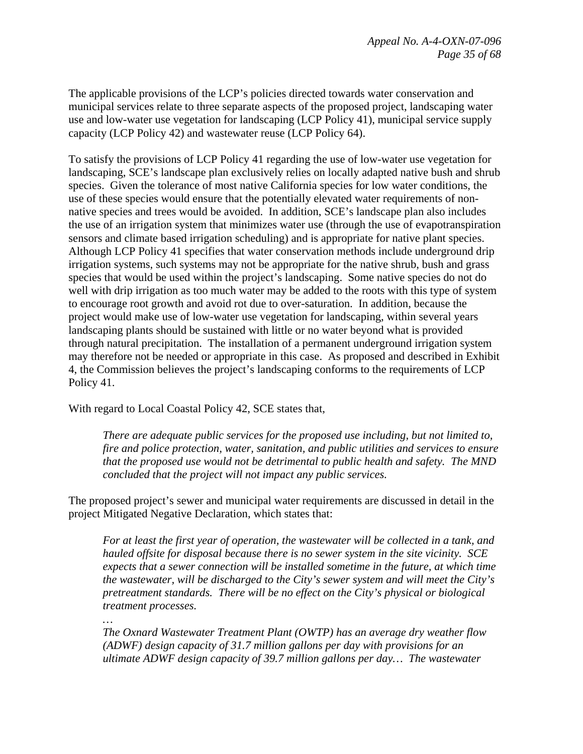The applicable provisions of the LCP's policies directed towards water conservation and municipal services relate to three separate aspects of the proposed project, landscaping water use and low-water use vegetation for landscaping (LCP Policy 41), municipal service supply capacity (LCP Policy 42) and wastewater reuse (LCP Policy 64).

To satisfy the provisions of LCP Policy 41 regarding the use of low-water use vegetation for landscaping, SCE's landscape plan exclusively relies on locally adapted native bush and shrub species. Given the tolerance of most native California species for low water conditions, the use of these species would ensure that the potentially elevated water requirements of nonnative species and trees would be avoided. In addition, SCE's landscape plan also includes the use of an irrigation system that minimizes water use (through the use of evapotranspiration sensors and climate based irrigation scheduling) and is appropriate for native plant species. Although LCP Policy 41 specifies that water conservation methods include underground drip irrigation systems, such systems may not be appropriate for the native shrub, bush and grass species that would be used within the project's landscaping. Some native species do not do well with drip irrigation as too much water may be added to the roots with this type of system to encourage root growth and avoid rot due to over-saturation. In addition, because the project would make use of low-water use vegetation for landscaping, within several years landscaping plants should be sustained with little or no water beyond what is provided through natural precipitation. The installation of a permanent underground irrigation system may therefore not be needed or appropriate in this case. As proposed and described in Exhibit 4, the Commission believes the project's landscaping conforms to the requirements of LCP Policy 41.

With regard to Local Coastal Policy 42, SCE states that,

*There are adequate public services for the proposed use including, but not limited to, fire and police protection, water, sanitation, and public utilities and services to ensure that the proposed use would not be detrimental to public health and safety. The MND concluded that the project will not impact any public services.* 

The proposed project's sewer and municipal water requirements are discussed in detail in the project Mitigated Negative Declaration, which states that:

*For at least the first year of operation, the wastewater will be collected in a tank, and hauled offsite for disposal because there is no sewer system in the site vicinity. SCE expects that a sewer connection will be installed sometime in the future, at which time the wastewater, will be discharged to the City's sewer system and will meet the City's pretreatment standards. There will be no effect on the City's physical or biological treatment processes.* 

*…* 

*The Oxnard Wastewater Treatment Plant (OWTP) has an average dry weather flow (ADWF) design capacity of 31.7 million gallons per day with provisions for an ultimate ADWF design capacity of 39.7 million gallons per day… The wastewater*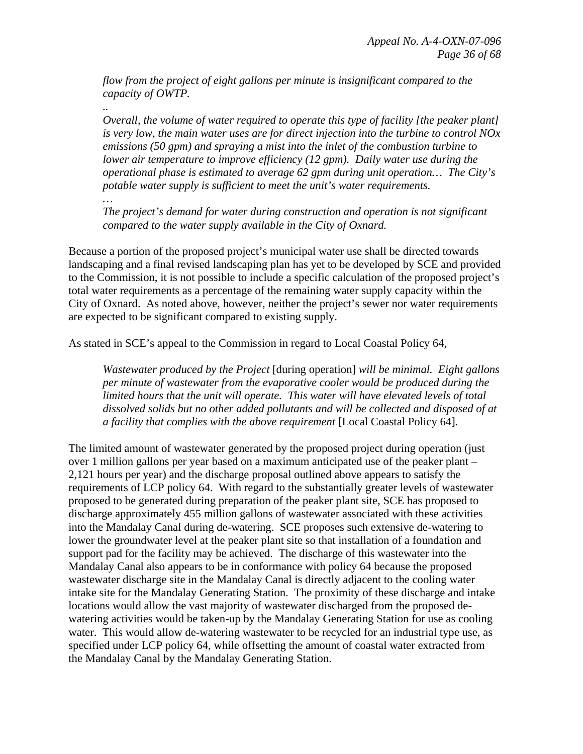*flow from the project of eight gallons per minute is insignificant compared to the capacity of OWTP.* 

*.. Overall, the volume of water required to operate this type of facility [the peaker plant] is very low, the main water uses are for direct injection into the turbine to control NOx emissions (50 gpm) and spraying a mist into the inlet of the combustion turbine to lower air temperature to improve efficiency (12 gpm). Daily water use during the operational phase is estimated to average 62 gpm during unit operation… The City's potable water supply is sufficient to meet the unit's water requirements.* 

*… The project's demand for water during construction and operation is not significant compared to the water supply available in the City of Oxnard.* 

Because a portion of the proposed project's municipal water use shall be directed towards landscaping and a final revised landscaping plan has yet to be developed by SCE and provided to the Commission, it is not possible to include a specific calculation of the proposed project's total water requirements as a percentage of the remaining water supply capacity within the City of Oxnard. As noted above, however, neither the project's sewer nor water requirements are expected to be significant compared to existing supply.

As stated in SCE's appeal to the Commission in regard to Local Coastal Policy 64,

*Wastewater produced by the Project* [during operation] *will be minimal. Eight gallons per minute of wastewater from the evaporative cooler would be produced during the limited hours that the unit will operate. This water will have elevated levels of total dissolved solids but no other added pollutants and will be collected and disposed of at a facility that complies with the above requirement* [Local Coastal Policy 64]*.* 

The limited amount of wastewater generated by the proposed project during operation (just over 1 million gallons per year based on a maximum anticipated use of the peaker plant – 2,121 hours per year) and the discharge proposal outlined above appears to satisfy the requirements of LCP policy 64. With regard to the substantially greater levels of wastewater proposed to be generated during preparation of the peaker plant site, SCE has proposed to discharge approximately 455 million gallons of wastewater associated with these activities into the Mandalay Canal during de-watering. SCE proposes such extensive de-watering to lower the groundwater level at the peaker plant site so that installation of a foundation and support pad for the facility may be achieved. The discharge of this wastewater into the Mandalay Canal also appears to be in conformance with policy 64 because the proposed wastewater discharge site in the Mandalay Canal is directly adjacent to the cooling water intake site for the Mandalay Generating Station. The proximity of these discharge and intake locations would allow the vast majority of wastewater discharged from the proposed dewatering activities would be taken-up by the Mandalay Generating Station for use as cooling water. This would allow de-watering wastewater to be recycled for an industrial type use, as specified under LCP policy 64, while offsetting the amount of coastal water extracted from the Mandalay Canal by the Mandalay Generating Station.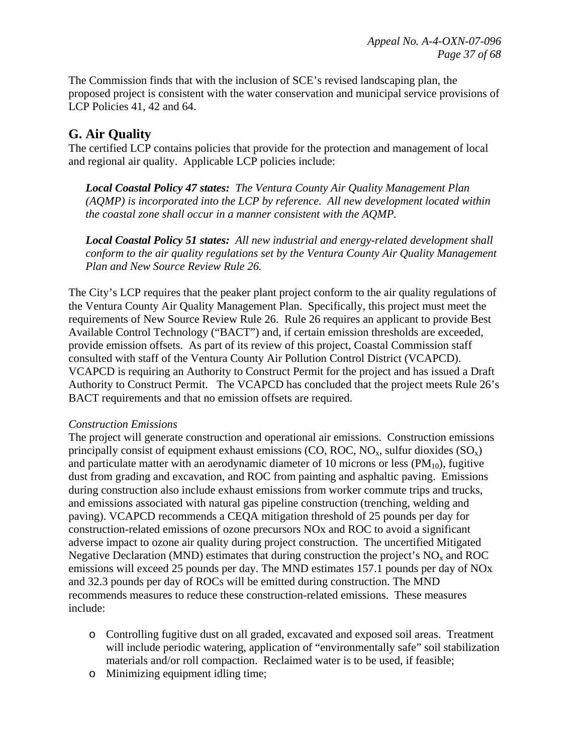The Commission finds that with the inclusion of SCE's revised landscaping plan, the proposed project is consistent with the water conservation and municipal service provisions of LCP Policies 41, 42 and 64.

# **G. Air Quality**

The certified LCP contains policies that provide for the protection and management of local and regional air quality. Applicable LCP policies include:

*Local Coastal Policy 47 states: The Ventura County Air Quality Management Plan (AQMP) is incorporated into the LCP by reference. All new development located within the coastal zone shall occur in a manner consistent with the AQMP.* 

*Local Coastal Policy 51 states: All new industrial and energy-related development shall conform to the air quality regulations set by the Ventura County Air Quality Management Plan and New Source Review Rule 26.* 

The City's LCP requires that the peaker plant project conform to the air quality regulations of the Ventura County Air Quality Management Plan. Specifically, this project must meet the requirements of New Source Review Rule 26. Rule 26 requires an applicant to provide Best Available Control Technology ("BACT") and, if certain emission thresholds are exceeded, provide emission offsets. As part of its review of this project, Coastal Commission staff consulted with staff of the Ventura County Air Pollution Control District (VCAPCD). VCAPCD is requiring an Authority to Construct Permit for the project and has issued a Draft Authority to Construct Permit. The VCAPCD has concluded that the project meets Rule 26's BACT requirements and that no emission offsets are required.

#### *Construction Emissions*

The project will generate construction and operational air emissions. Construction emissions principally consist of equipment exhaust emissions (CO, ROC, NO<sub>x</sub>, sulfur dioxides  $(SO<sub>x</sub>)$ ) and particulate matter with an aerodynamic diameter of 10 microns or less  $(PM_{10})$ , fugitive dust from grading and excavation, and ROC from painting and asphaltic paving. Emissions during construction also include exhaust emissions from worker commute trips and trucks, and emissions associated with natural gas pipeline construction (trenching, welding and paving). VCAPCD recommends a CEQA mitigation threshold of 25 pounds per day for construction-related emissions of ozone precursors NOx and ROC to avoid a significant adverse impact to ozone air quality during project construction. The uncertified Mitigated Negative Declaration (MND) estimates that during construction the project's  $NO<sub>x</sub>$  and ROC emissions will exceed 25 pounds per day. The MND estimates 157.1 pounds per day of NOx and 32.3 pounds per day of ROCs will be emitted during construction. The MND recommends measures to reduce these construction-related emissions. These measures include:

- o Controlling fugitive dust on all graded, excavated and exposed soil areas. Treatment will include periodic watering, application of "environmentally safe" soil stabilization materials and/or roll compaction. Reclaimed water is to be used, if feasible;
- o Minimizing equipment idling time;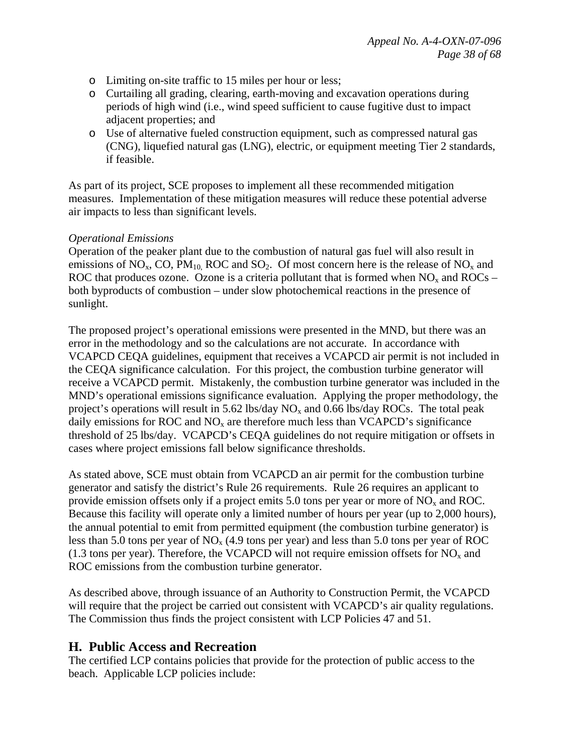- o Limiting on-site traffic to 15 miles per hour or less;
- o Curtailing all grading, clearing, earth-moving and excavation operations during periods of high wind (i.e., wind speed sufficient to cause fugitive dust to impact adjacent properties; and
- o Use of alternative fueled construction equipment, such as compressed natural gas (CNG), liquefied natural gas (LNG), electric, or equipment meeting Tier 2 standards, if feasible.

As part of its project, SCE proposes to implement all these recommended mitigation measures. Implementation of these mitigation measures will reduce these potential adverse air impacts to less than significant levels.

#### *Operational Emissions*

Operation of the peaker plant due to the combustion of natural gas fuel will also result in emissions of  $NO_x$ , CO,  $PM_{10}$ , ROC and SO<sub>2</sub>. Of most concern here is the release of  $NO_x$  and ROC that produces ozone. Ozone is a criteria pollutant that is formed when  $NO<sub>x</sub>$  and  $ROCs$  – both byproducts of combustion – under slow photochemical reactions in the presence of sunlight.

The proposed project's operational emissions were presented in the MND, but there was an error in the methodology and so the calculations are not accurate. In accordance with VCAPCD CEQA guidelines, equipment that receives a VCAPCD air permit is not included in the CEQA significance calculation. For this project, the combustion turbine generator will receive a VCAPCD permit. Mistakenly, the combustion turbine generator was included in the MND's operational emissions significance evaluation. Applying the proper methodology, the project's operations will result in 5.62 lbs/day  $NO<sub>x</sub>$  and 0.66 lbs/day ROCs. The total peak daily emissions for ROC and  $NO<sub>x</sub>$  are therefore much less than VCAPCD's significance threshold of 25 lbs/day. VCAPCD's CEQA guidelines do not require mitigation or offsets in cases where project emissions fall below significance thresholds.

As stated above, SCE must obtain from VCAPCD an air permit for the combustion turbine generator and satisfy the district's Rule 26 requirements. Rule 26 requires an applicant to provide emission offsets only if a project emits 5.0 tons per year or more of  $NO<sub>x</sub>$  and ROC. Because this facility will operate only a limited number of hours per year (up to 2,000 hours), the annual potential to emit from permitted equipment (the combustion turbine generator) is less than 5.0 tons per year of  $NO<sub>x</sub>$  (4.9 tons per year) and less than 5.0 tons per year of ROC (1.3 tons per year). Therefore, the VCAPCD will not require emission offsets for  $NO<sub>x</sub>$  and ROC emissions from the combustion turbine generator.

As described above, through issuance of an Authority to Construction Permit, the VCAPCD will require that the project be carried out consistent with VCAPCD's air quality regulations. The Commission thus finds the project consistent with LCP Policies 47 and 51.

### **H. Public Access and Recreation**

The certified LCP contains policies that provide for the protection of public access to the beach. Applicable LCP policies include: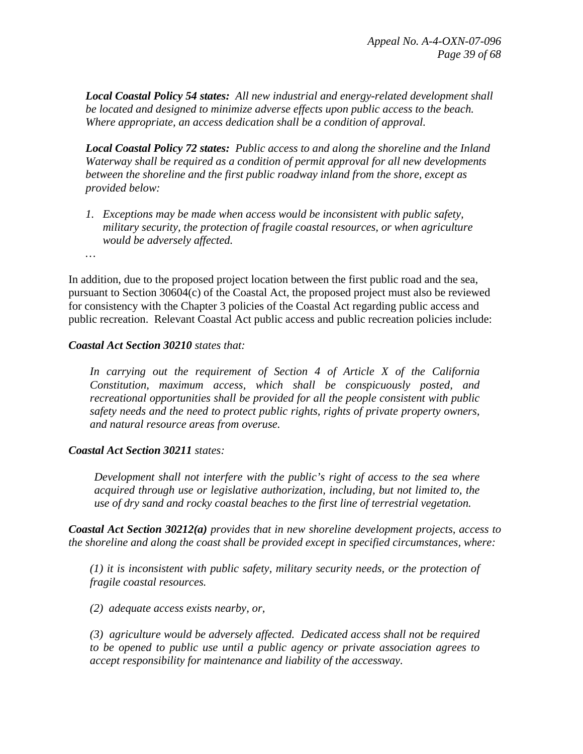*Local Coastal Policy 54 states: All new industrial and energy-related development shall be located and designed to minimize adverse effects upon public access to the beach. Where appropriate, an access dedication shall be a condition of approval.* 

*Local Coastal Policy 72 states: Public access to and along the shoreline and the Inland Waterway shall be required as a condition of permit approval for all new developments between the shoreline and the first public roadway inland from the shore, except as provided below:* 

*1. Exceptions may be made when access would be inconsistent with public safety, military security, the protection of fragile coastal resources, or when agriculture would be adversely affected.* 

*…* 

In addition, due to the proposed project location between the first public road and the sea, pursuant to Section 30604(c) of the Coastal Act, the proposed project must also be reviewed for consistency with the Chapter 3 policies of the Coastal Act regarding public access and public recreation. Relevant Coastal Act public access and public recreation policies include:

#### *Coastal Act Section 30210 states that:*

*In carrying out the requirement of Section 4 of Article X of the California Constitution, maximum access, which shall be conspicuously posted, and recreational opportunities shall be provided for all the people consistent with public safety needs and the need to protect public rights, rights of private property owners, and natural resource areas from overuse.* 

#### *Coastal Act Section 30211 states:*

*Development shall not interfere with the public's right of access to the sea where acquired through use or legislative authorization, including, but not limited to, the use of dry sand and rocky coastal beaches to the first line of terrestrial vegetation.* 

*Coastal Act Section 30212(a) provides that in new shoreline development projects, access to the shoreline and along the coast shall be provided except in specified circumstances, where:* 

*(1) it is inconsistent with public safety, military security needs, or the protection of fragile coastal resources.* 

*(2) adequate access exists nearby, or,* 

*(3) agriculture would be adversely affected. Dedicated access shall not be required to be opened to public use until a public agency or private association agrees to accept responsibility for maintenance and liability of the accessway.*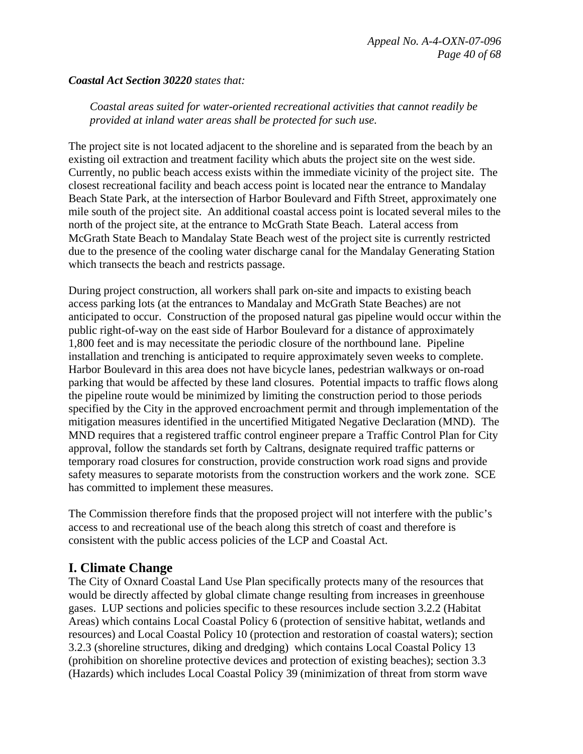#### *Coastal Act Section 30220 states that:*

*Coastal areas suited for water-oriented recreational activities that cannot readily be provided at inland water areas shall be protected for such use.* 

The project site is not located adjacent to the shoreline and is separated from the beach by an existing oil extraction and treatment facility which abuts the project site on the west side. Currently, no public beach access exists within the immediate vicinity of the project site. The closest recreational facility and beach access point is located near the entrance to Mandalay Beach State Park, at the intersection of Harbor Boulevard and Fifth Street, approximately one mile south of the project site. An additional coastal access point is located several miles to the north of the project site, at the entrance to McGrath State Beach. Lateral access from McGrath State Beach to Mandalay State Beach west of the project site is currently restricted due to the presence of the cooling water discharge canal for the Mandalay Generating Station which transects the beach and restricts passage.

During project construction, all workers shall park on-site and impacts to existing beach access parking lots (at the entrances to Mandalay and McGrath State Beaches) are not anticipated to occur. Construction of the proposed natural gas pipeline would occur within the public right-of-way on the east side of Harbor Boulevard for a distance of approximately 1,800 feet and is may necessitate the periodic closure of the northbound lane. Pipeline installation and trenching is anticipated to require approximately seven weeks to complete. Harbor Boulevard in this area does not have bicycle lanes, pedestrian walkways or on-road parking that would be affected by these land closures. Potential impacts to traffic flows along the pipeline route would be minimized by limiting the construction period to those periods specified by the City in the approved encroachment permit and through implementation of the mitigation measures identified in the uncertified Mitigated Negative Declaration (MND). The MND requires that a registered traffic control engineer prepare a Traffic Control Plan for City approval, follow the standards set forth by Caltrans, designate required traffic patterns or temporary road closures for construction, provide construction work road signs and provide safety measures to separate motorists from the construction workers and the work zone. SCE has committed to implement these measures.

The Commission therefore finds that the proposed project will not interfere with the public's access to and recreational use of the beach along this stretch of coast and therefore is consistent with the public access policies of the LCP and Coastal Act.

# **I. Climate Change**

The City of Oxnard Coastal Land Use Plan specifically protects many of the resources that would be directly affected by global climate change resulting from increases in greenhouse gases. LUP sections and policies specific to these resources include section 3.2.2 (Habitat Areas) which contains Local Coastal Policy 6 (protection of sensitive habitat, wetlands and resources) and Local Coastal Policy 10 (protection and restoration of coastal waters); section 3.2.3 (shoreline structures, diking and dredging) which contains Local Coastal Policy 13 (prohibition on shoreline protective devices and protection of existing beaches); section 3.3 (Hazards) which includes Local Coastal Policy 39 (minimization of threat from storm wave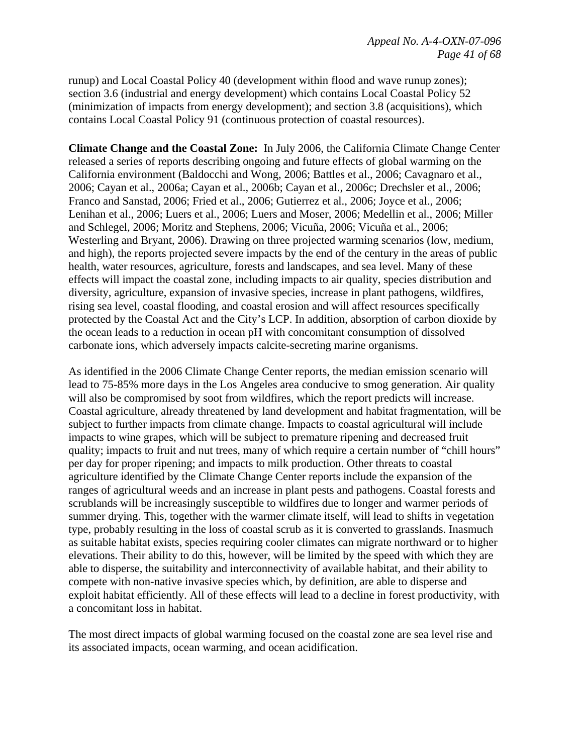runup) and Local Coastal Policy 40 (development within flood and wave runup zones); section 3.6 (industrial and energy development) which contains Local Coastal Policy 52 (minimization of impacts from energy development); and section 3.8 (acquisitions), which contains Local Coastal Policy 91 (continuous protection of coastal resources).

**Climate Change and the Coastal Zone:** In July 2006, the California Climate Change Center released a series of reports describing ongoing and future effects of global warming on the California environment (Baldocchi and Wong, 2006; Battles et al., 2006; Cavagnaro et al., 2006; Cayan et al., 2006a; Cayan et al., 2006b; Cayan et al., 2006c; Drechsler et al., 2006; Franco and Sanstad, 2006; Fried et al., 2006; Gutierrez et al., 2006; Joyce et al., 2006; Lenihan et al., 2006; Luers et al., 2006; Luers and Moser, 2006; Medellin et al., 2006; Miller and Schlegel, 2006; Moritz and Stephens, 2006; Vicuña, 2006; Vicuña et al., 2006; Westerling and Bryant, 2006). Drawing on three projected warming scenarios (low, medium, and high), the reports projected severe impacts by the end of the century in the areas of public health, water resources, agriculture, forests and landscapes, and sea level. Many of these effects will impact the coastal zone, including impacts to air quality, species distribution and diversity, agriculture, expansion of invasive species, increase in plant pathogens, wildfires, rising sea level, coastal flooding, and coastal erosion and will affect resources specifically protected by the Coastal Act and the City's LCP. In addition, absorption of carbon dioxide by the ocean leads to a reduction in ocean pH with concomitant consumption of dissolved carbonate ions, which adversely impacts calcite-secreting marine organisms.

As identified in the 2006 Climate Change Center reports, the median emission scenario will lead to 75-85% more days in the Los Angeles area conducive to smog generation. Air quality will also be compromised by soot from wildfires, which the report predicts will increase. Coastal agriculture, already threatened by land development and habitat fragmentation, will be subject to further impacts from climate change. Impacts to coastal agricultural will include impacts to wine grapes, which will be subject to premature ripening and decreased fruit quality; impacts to fruit and nut trees, many of which require a certain number of "chill hours" per day for proper ripening; and impacts to milk production. Other threats to coastal agriculture identified by the Climate Change Center reports include the expansion of the ranges of agricultural weeds and an increase in plant pests and pathogens. Coastal forests and scrublands will be increasingly susceptible to wildfires due to longer and warmer periods of summer drying. This, together with the warmer climate itself, will lead to shifts in vegetation type, probably resulting in the loss of coastal scrub as it is converted to grasslands. Inasmuch as suitable habitat exists, species requiring cooler climates can migrate northward or to higher elevations. Their ability to do this, however, will be limited by the speed with which they are able to disperse, the suitability and interconnectivity of available habitat, and their ability to compete with non-native invasive species which, by definition, are able to disperse and exploit habitat efficiently. All of these effects will lead to a decline in forest productivity, with a concomitant loss in habitat.

The most direct impacts of global warming focused on the coastal zone are sea level rise and its associated impacts, ocean warming, and ocean acidification.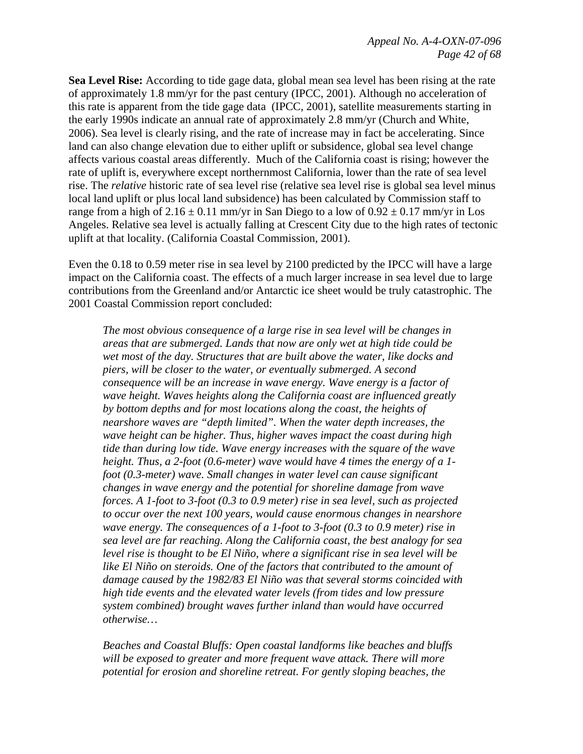**Sea Level Rise:** According to tide gage data, global mean sea level has been rising at the rate of approximately 1.8 mm/yr for the past century (IPCC, 2001). Although no acceleration of this rate is apparent from the tide gage data (IPCC, 2001), satellite measurements starting in the early 1990s indicate an annual rate of approximately 2.8 mm/yr (Church and White, 2006). Sea level is clearly rising, and the rate of increase may in fact be accelerating. Since land can also change elevation due to either uplift or subsidence, global sea level change affects various coastal areas differently. Much of the California coast is rising; however the rate of uplift is, everywhere except northernmost California, lower than the rate of sea level rise. The *relative* historic rate of sea level rise (relative sea level rise is global sea level minus local land uplift or plus local land subsidence) has been calculated by Commission staff to range from a high of  $2.16 \pm 0.11$  mm/yr in San Diego to a low of  $0.92 \pm 0.17$  mm/yr in Los Angeles. Relative sea level is actually falling at Crescent City due to the high rates of tectonic uplift at that locality. (California Coastal Commission, 2001).

Even the 0.18 to 0.59 meter rise in sea level by 2100 predicted by the IPCC will have a large impact on the California coast. The effects of a much larger increase in sea level due to large contributions from the Greenland and/or Antarctic ice sheet would be truly catastrophic. The 2001 Coastal Commission report concluded:

*The most obvious consequence of a large rise in sea level will be changes in areas that are submerged. Lands that now are only wet at high tide could be wet most of the day. Structures that are built above the water, like docks and piers, will be closer to the water, or eventually submerged. A second consequence will be an increase in wave energy. Wave energy is a factor of wave height. Waves heights along the California coast are influenced greatly by bottom depths and for most locations along the coast, the heights of nearshore waves are "depth limited". When the water depth increases, the wave height can be higher. Thus, higher waves impact the coast during high tide than during low tide. Wave energy increases with the square of the wave height. Thus, a 2-foot (0.6-meter) wave would have 4 times the energy of a 1 foot (0.3-meter) wave. Small changes in water level can cause significant changes in wave energy and the potential for shoreline damage from wave forces. A 1-foot to 3-foot (0.3 to 0.9 meter) rise in sea level, such as projected to occur over the next 100 years, would cause enormous changes in nearshore wave energy. The consequences of a 1-foot to 3-foot (0.3 to 0.9 meter) rise in sea level are far reaching. Along the California coast, the best analogy for sea level rise is thought to be El Niño, where a significant rise in sea level will be*  like El Niño on steroids. One of the factors that contributed to the amount of *damage caused by the 1982/83 El Niño was that several storms coincided with high tide events and the elevated water levels (from tides and low pressure system combined) brought waves further inland than would have occurred otherwise…*

*Beaches and Coastal Bluffs: Open coastal landforms like beaches and bluffs*  will be exposed to greater and more frequent wave attack. There will more *potential for erosion and shoreline retreat. For gently sloping beaches, the*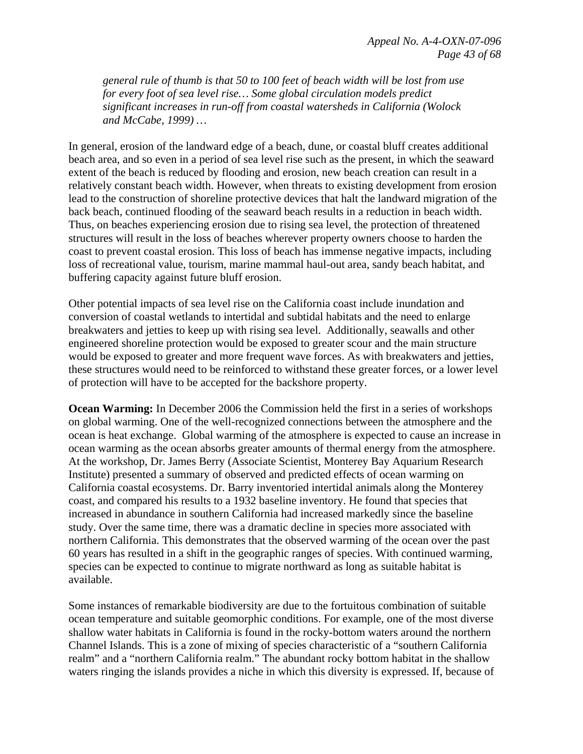*general rule of thumb is that 50 to 100 feet of beach width will be lost from use for every foot of sea level rise… Some global circulation models predict significant increases in run-off from coastal watersheds in California (Wolock and McCabe, 1999) …*

In general, erosion of the landward edge of a beach, dune, or coastal bluff creates additional beach area, and so even in a period of sea level rise such as the present, in which the seaward extent of the beach is reduced by flooding and erosion, new beach creation can result in a relatively constant beach width. However, when threats to existing development from erosion lead to the construction of shoreline protective devices that halt the landward migration of the back beach, continued flooding of the seaward beach results in a reduction in beach width. Thus, on beaches experiencing erosion due to rising sea level, the protection of threatened structures will result in the loss of beaches wherever property owners choose to harden the coast to prevent coastal erosion. This loss of beach has immense negative impacts, including loss of recreational value, tourism, marine mammal haul-out area, sandy beach habitat, and buffering capacity against future bluff erosion.

Other potential impacts of sea level rise on the California coast include inundation and conversion of coastal wetlands to intertidal and subtidal habitats and the need to enlarge breakwaters and jetties to keep up with rising sea level. Additionally, seawalls and other engineered shoreline protection would be exposed to greater scour and the main structure would be exposed to greater and more frequent wave forces. As with breakwaters and jetties, these structures would need to be reinforced to withstand these greater forces, or a lower level of protection will have to be accepted for the backshore property.

**Ocean Warming:** In December 2006 the Commission held the first in a series of workshops on global warming. One of the well-recognized connections between the atmosphere and the ocean is heat exchange. Global warming of the atmosphere is expected to cause an increase in ocean warming as the ocean absorbs greater amounts of thermal energy from the atmosphere. At the workshop, Dr. James Berry (Associate Scientist, Monterey Bay Aquarium Research Institute) presented a summary of observed and predicted effects of ocean warming on California coastal ecosystems. Dr. Barry inventoried intertidal animals along the Monterey coast, and compared his results to a 1932 baseline inventory. He found that species that increased in abundance in southern California had increased markedly since the baseline study. Over the same time, there was a dramatic decline in species more associated with northern California. This demonstrates that the observed warming of the ocean over the past 60 years has resulted in a shift in the geographic ranges of species. With continued warming, species can be expected to continue to migrate northward as long as suitable habitat is available.

Some instances of remarkable biodiversity are due to the fortuitous combination of suitable ocean temperature and suitable geomorphic conditions. For example, one of the most diverse shallow water habitats in California is found in the rocky-bottom waters around the northern Channel Islands. This is a zone of mixing of species characteristic of a "southern California realm" and a "northern California realm." The abundant rocky bottom habitat in the shallow waters ringing the islands provides a niche in which this diversity is expressed. If, because of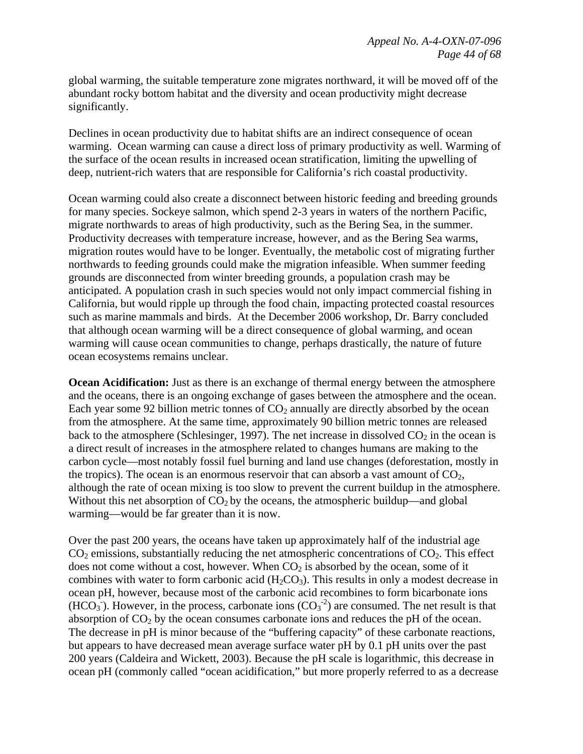global warming, the suitable temperature zone migrates northward, it will be moved off of the abundant rocky bottom habitat and the diversity and ocean productivity might decrease significantly.

Declines in ocean productivity due to habitat shifts are an indirect consequence of ocean warming. Ocean warming can cause a direct loss of primary productivity as well. Warming of the surface of the ocean results in increased ocean stratification, limiting the upwelling of deep, nutrient-rich waters that are responsible for California's rich coastal productivity.

Ocean warming could also create a disconnect between historic feeding and breeding grounds for many species. Sockeye salmon, which spend 2-3 years in waters of the northern Pacific, migrate northwards to areas of high productivity, such as the Bering Sea, in the summer. Productivity decreases with temperature increase, however, and as the Bering Sea warms, migration routes would have to be longer. Eventually, the metabolic cost of migrating further northwards to feeding grounds could make the migration infeasible. When summer feeding grounds are disconnected from winter breeding grounds, a population crash may be anticipated. A population crash in such species would not only impact commercial fishing in California, but would ripple up through the food chain, impacting protected coastal resources such as marine mammals and birds. At the December 2006 workshop, Dr. Barry concluded that although ocean warming will be a direct consequence of global warming, and ocean warming will cause ocean communities to change, perhaps drastically, the nature of future ocean ecosystems remains unclear.

**Ocean Acidification:** Just as there is an exchange of thermal energy between the atmosphere and the oceans, there is an ongoing exchange of gases between the atmosphere and the ocean. Each year some 92 billion metric tonnes of  $CO<sub>2</sub>$  annually are directly absorbed by the ocean from the atmosphere. At the same time, approximately 90 billion metric tonnes are released back to the atmosphere (Schlesinger, 1997). The net increase in dissolved  $CO_2$  in the ocean is a direct result of increases in the atmosphere related to changes humans are making to the carbon cycle—most notably fossil fuel burning and land use changes (deforestation, mostly in the tropics). The ocean is an enormous reservoir that can absorb a vast amount of  $CO<sub>2</sub>$ , although the rate of ocean mixing is too slow to prevent the current buildup in the atmosphere. Without this net absorption of  $CO<sub>2</sub>$  by the oceans, the atmospheric buildup—and global warming—would be far greater than it is now.

Over the past 200 years, the oceans have taken up approximately half of the industrial age  $CO<sub>2</sub>$  emissions, substantially reducing the net atmospheric concentrations of  $CO<sub>2</sub>$ . This effect does not come without a cost, however. When  $CO<sub>2</sub>$  is absorbed by the ocean, some of it combines with water to form carbonic acid  $(H_2CO_3)$ . This results in only a modest decrease in ocean pH, however, because most of the carbonic acid recombines to form bicarbonate ions  $(HCO<sub>3</sub>)$ . However, in the process, carbonate ions  $(CO<sub>3</sub><sup>-2</sup>)$  are consumed. The net result is that absorption of  $CO<sub>2</sub>$  by the ocean consumes carbonate ions and reduces the pH of the ocean. The decrease in pH is minor because of the "buffering capacity" of these carbonate reactions, but appears to have decreased mean average surface water pH by 0.1 pH units over the past 200 years (Caldeira and Wickett, 2003). Because the pH scale is logarithmic, this decrease in ocean pH (commonly called "ocean acidification," but more properly referred to as a decrease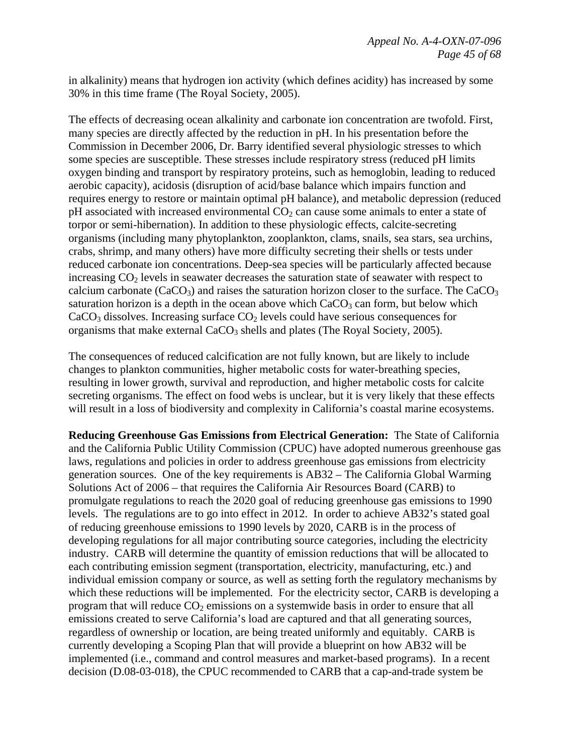in alkalinity) means that hydrogen ion activity (which defines acidity) has increased by some 30% in this time frame (The Royal Society, 2005).

The effects of decreasing ocean alkalinity and carbonate ion concentration are twofold. First, many species are directly affected by the reduction in pH. In his presentation before the Commission in December 2006, Dr. Barry identified several physiologic stresses to which some species are susceptible. These stresses include respiratory stress (reduced pH limits oxygen binding and transport by respiratory proteins, such as hemoglobin, leading to reduced aerobic capacity), acidosis (disruption of acid/base balance which impairs function and requires energy to restore or maintain optimal pH balance), and metabolic depression (reduced  $pH$  associated with increased environmental  $CO<sub>2</sub>$  can cause some animals to enter a state of torpor or semi-hibernation). In addition to these physiologic effects, calcite-secreting organisms (including many phytoplankton, zooplankton, clams, snails, sea stars, sea urchins, crabs, shrimp, and many others) have more difficulty secreting their shells or tests under reduced carbonate ion concentrations. Deep-sea species will be particularly affected because increasing  $CO<sub>2</sub>$  levels in seawater decreases the saturation state of seawater with respect to calcium carbonate  $(CaCO<sub>3</sub>)$  and raises the saturation horizon closer to the surface. The  $CaCO<sub>3</sub>$ saturation horizon is a depth in the ocean above which  $CaCO<sub>3</sub>$  can form, but below which  $CaCO<sub>3</sub>$  dissolves. Increasing surface  $CO<sub>2</sub>$  levels could have serious consequences for organisms that make external  $CaCO<sub>3</sub>$  shells and plates (The Royal Society, 2005).

The consequences of reduced calcification are not fully known, but are likely to include changes to plankton communities, higher metabolic costs for water-breathing species, resulting in lower growth, survival and reproduction, and higher metabolic costs for calcite secreting organisms. The effect on food webs is unclear, but it is very likely that these effects will result in a loss of biodiversity and complexity in California's coastal marine ecosystems.

**Reducing Greenhouse Gas Emissions from Electrical Generation:** The State of California and the California Public Utility Commission (CPUC) have adopted numerous greenhouse gas laws, regulations and policies in order to address greenhouse gas emissions from electricity generation sources. One of the key requirements is AB32 – The California Global Warming Solutions Act of 2006 – that requires the California Air Resources Board (CARB) to promulgate regulations to reach the 2020 goal of reducing greenhouse gas emissions to 1990 levels. The regulations are to go into effect in 2012. In order to achieve AB32's stated goal of reducing greenhouse emissions to 1990 levels by 2020, CARB is in the process of developing regulations for all major contributing source categories, including the electricity industry. CARB will determine the quantity of emission reductions that will be allocated to each contributing emission segment (transportation, electricity, manufacturing, etc.) and individual emission company or source, as well as setting forth the regulatory mechanisms by which these reductions will be implemented. For the electricity sector, CARB is developing a program that will reduce  $CO_2$  emissions on a systemwide basis in order to ensure that all emissions created to serve California's load are captured and that all generating sources, regardless of ownership or location, are being treated uniformly and equitably. CARB is currently developing a Scoping Plan that will provide a blueprint on how AB32 will be implemented (i.e., command and control measures and market-based programs). In a recent decision (D.08-03-018), the CPUC recommended to CARB that a cap-and-trade system be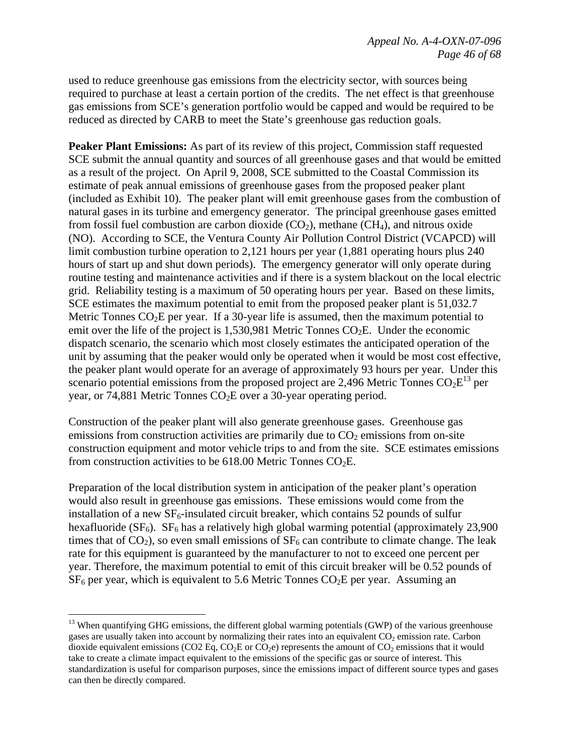used to reduce greenhouse gas emissions from the electricity sector, with sources being required to purchase at least a certain portion of the credits. The net effect is that greenhouse gas emissions from SCE's generation portfolio would be capped and would be required to be reduced as directed by CARB to meet the State's greenhouse gas reduction goals.

**Peaker Plant Emissions:** As part of its review of this project, Commission staff requested SCE submit the annual quantity and sources of all greenhouse gases and that would be emitted as a result of the project. On April 9, 2008, SCE submitted to the Coastal Commission its estimate of peak annual emissions of greenhouse gases from the proposed peaker plant (included as Exhibit 10). The peaker plant will emit greenhouse gases from the combustion of natural gases in its turbine and emergency generator. The principal greenhouse gases emitted from fossil fuel combustion are carbon dioxide  $(CO_2)$ , methane  $(CH_4)$ , and nitrous oxide (NO). According to SCE, the Ventura County Air Pollution Control District (VCAPCD) will limit combustion turbine operation to 2,121 hours per year (1,881 operating hours plus 240 hours of start up and shut down periods). The emergency generator will only operate during routine testing and maintenance activities and if there is a system blackout on the local electric grid. Reliability testing is a maximum of 50 operating hours per year. Based on these limits, SCE estimates the maximum potential to emit from the proposed peaker plant is 51,032.7 Metric Tonnes CO<sub>2</sub>E per year. If a 30-year life is assumed, then the maximum potential to emit over the life of the project is  $1,530,981$  Metric Tonnes  $CO<sub>2</sub>E$ . Under the economic dispatch scenario, the scenario which most closely estimates the anticipated operation of the unit by assuming that the peaker would only be operated when it would be most cost effective, the peaker plant would operate for an average of approximately 93 hours per year. Under this scenario potential emissions from the proposed project are 2,496 Metric Tonnes  $CO<sub>2</sub>E<sup>13</sup>$  per year, or 74,881 Metric Tonnes  $CO<sub>2</sub>E$  over a 30-year operating period.

Construction of the peaker plant will also generate greenhouse gases. Greenhouse gas emissions from construction activities are primarily due to  $CO<sub>2</sub>$  emissions from on-site construction equipment and motor vehicle trips to and from the site. SCE estimates emissions from construction activities to be  $618.00$  Metric Tonnes CO<sub>2</sub>E.

Preparation of the local distribution system in anticipation of the peaker plant's operation would also result in greenhouse gas emissions. These emissions would come from the installation of a new  $SF_6$ -insulated circuit breaker, which contains 52 pounds of sulfur hexafluoride ( $SF<sub>6</sub>$ ).  $SF<sub>6</sub>$  has a relatively high global warming potential (approximately 23,900 times that of  $CO<sub>2</sub>$ ), so even small emissions of  $SF<sub>6</sub>$  can contribute to climate change. The leak rate for this equipment is guaranteed by the manufacturer to not to exceed one percent per year. Therefore, the maximum potential to emit of this circuit breaker will be 0.52 pounds of  $SF<sub>6</sub>$  per year, which is equivalent to 5.6 Metric Tonnes  $CO<sub>2</sub>E$  per year. Assuming an

1

<sup>&</sup>lt;sup>13</sup> When quantifying GHG emissions, the different global warming potentials (GWP) of the various greenhouse gases are usually taken into account by normalizing their rates into an equivalent CO<sub>2</sub> emission rate. Carbon dioxide equivalent emissions (CO2 Eq, CO<sub>2</sub>E or CO<sub>2</sub>e) represents the amount of CO<sub>2</sub> emissions that it would take to create a climate impact equivalent to the emissions of the specific gas or source of interest. This standardization is useful for comparison purposes, since the emissions impact of different source types and gases can then be directly compared.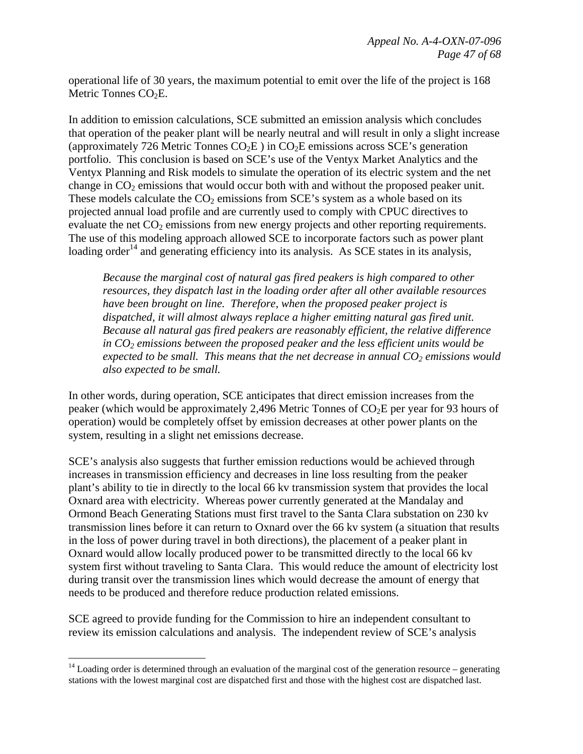operational life of 30 years, the maximum potential to emit over the life of the project is 168 Metric Tonnes  $CO<sub>2</sub>E$ .

In addition to emission calculations, SCE submitted an emission analysis which concludes that operation of the peaker plant will be nearly neutral and will result in only a slight increase (approximately 726 Metric Tonnes  $CO<sub>2</sub>E$ ) in  $CO<sub>2</sub>E$  emissions across SCE's generation portfolio. This conclusion is based on SCE's use of the Ventyx Market Analytics and the Ventyx Planning and Risk models to simulate the operation of its electric system and the net change in  $CO<sub>2</sub>$  emissions that would occur both with and without the proposed peaker unit. These models calculate the  $CO<sub>2</sub>$  emissions from SCE's system as a whole based on its projected annual load profile and are currently used to comply with CPUC directives to evaluate the net  $CO<sub>2</sub>$  emissions from new energy projects and other reporting requirements. The use of this modeling approach allowed SCE to incorporate factors such as power plant loading order<sup>14</sup> and generating efficiency into its analysis. As SCE states in its analysis,

*Because the marginal cost of natural gas fired peakers is high compared to other resources, they dispatch last in the loading order after all other available resources have been brought on line. Therefore, when the proposed peaker project is dispatched, it will almost always replace a higher emitting natural gas fired unit. Because all natural gas fired peakers are reasonably efficient, the relative difference*  in CO<sub>2</sub> emissions between the proposed peaker and the less efficient units would be *expected to be small. This means that the net decrease in annual CO<sub>2</sub> emissions would also expected to be small.* 

In other words, during operation, SCE anticipates that direct emission increases from the peaker (which would be approximately 2,496 Metric Tonnes of  $CO<sub>2</sub>E$  per year for 93 hours of operation) would be completely offset by emission decreases at other power plants on the system, resulting in a slight net emissions decrease.

SCE's analysis also suggests that further emission reductions would be achieved through increases in transmission efficiency and decreases in line loss resulting from the peaker plant's ability to tie in directly to the local 66 kv transmission system that provides the local Oxnard area with electricity. Whereas power currently generated at the Mandalay and Ormond Beach Generating Stations must first travel to the Santa Clara substation on 230 kv transmission lines before it can return to Oxnard over the 66 kv system (a situation that results in the loss of power during travel in both directions), the placement of a peaker plant in Oxnard would allow locally produced power to be transmitted directly to the local 66 kv system first without traveling to Santa Clara. This would reduce the amount of electricity lost during transit over the transmission lines which would decrease the amount of energy that needs to be produced and therefore reduce production related emissions.

SCE agreed to provide funding for the Commission to hire an independent consultant to review its emission calculations and analysis. The independent review of SCE's analysis

 $\overline{a}$ 

 $14$  Loading order is determined through an evaluation of the marginal cost of the generation resource – generating stations with the lowest marginal cost are dispatched first and those with the highest cost are dispatched last.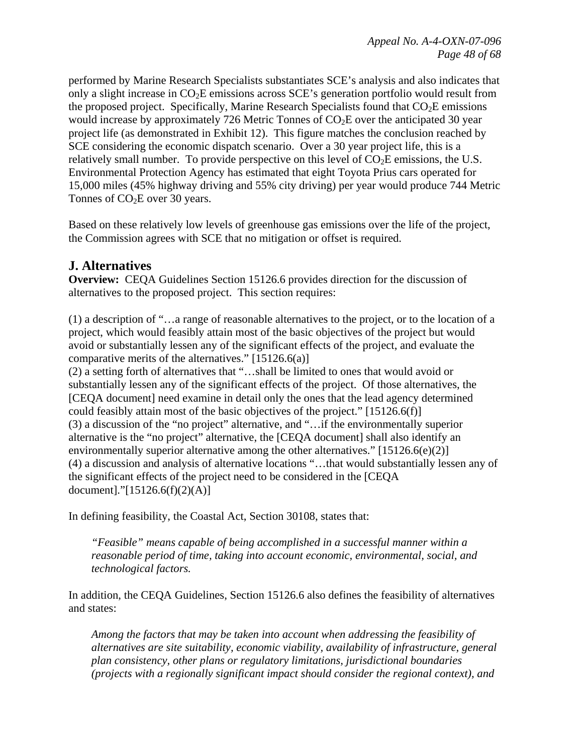performed by Marine Research Specialists substantiates SCE's analysis and also indicates that only a slight increase in CO2E emissions across SCE's generation portfolio would result from the proposed project. Specifically, Marine Research Specialists found that  $CO<sub>2</sub>E$  emissions would increase by approximately 726 Metric Tonnes of  $CO<sub>2</sub>E$  over the anticipated 30 year project life (as demonstrated in Exhibit 12). This figure matches the conclusion reached by SCE considering the economic dispatch scenario. Over a 30 year project life, this is a relatively small number. To provide perspective on this level of  $CO<sub>2</sub>E$  emissions, the U.S. Environmental Protection Agency has estimated that eight Toyota Prius cars operated for 15,000 miles (45% highway driving and 55% city driving) per year would produce 744 Metric Tonnes of CO<sub>2</sub>E over 30 years.

Based on these relatively low levels of greenhouse gas emissions over the life of the project, the Commission agrees with SCE that no mitigation or offset is required.

# **J. Alternatives**

**Overview:** CEQA Guidelines Section 15126.6 provides direction for the discussion of alternatives to the proposed project. This section requires:

(1) a description of "…a range of reasonable alternatives to the project, or to the location of a project, which would feasibly attain most of the basic objectives of the project but would avoid or substantially lessen any of the significant effects of the project, and evaluate the comparative merits of the alternatives." [15126.6(a)]

(2) a setting forth of alternatives that "…shall be limited to ones that would avoid or substantially lessen any of the significant effects of the project. Of those alternatives, the [CEQA document] need examine in detail only the ones that the lead agency determined could feasibly attain most of the basic objectives of the project." [15126.6(f)] (3) a discussion of the "no project" alternative, and "…if the environmentally superior alternative is the "no project" alternative, the [CEQA document] shall also identify an environmentally superior alternative among the other alternatives."  $[15126.6(e)(2)]$ (4) a discussion and analysis of alternative locations "…that would substantially lessen any of the significant effects of the project need to be considered in the [CEQA document]."[15126.6(f)(2)(A)]

In defining feasibility, the Coastal Act, Section 30108, states that:

*"Feasible" means capable of being accomplished in a successful manner within a reasonable period of time, taking into account economic, environmental, social, and technological factors.* 

In addition, the CEQA Guidelines, Section 15126.6 also defines the feasibility of alternatives and states:

*Among the factors that may be taken into account when addressing the feasibility of alternatives are site suitability, economic viability, availability of infrastructure, general plan consistency, other plans or regulatory limitations, jurisdictional boundaries (projects with a regionally significant impact should consider the regional context), and*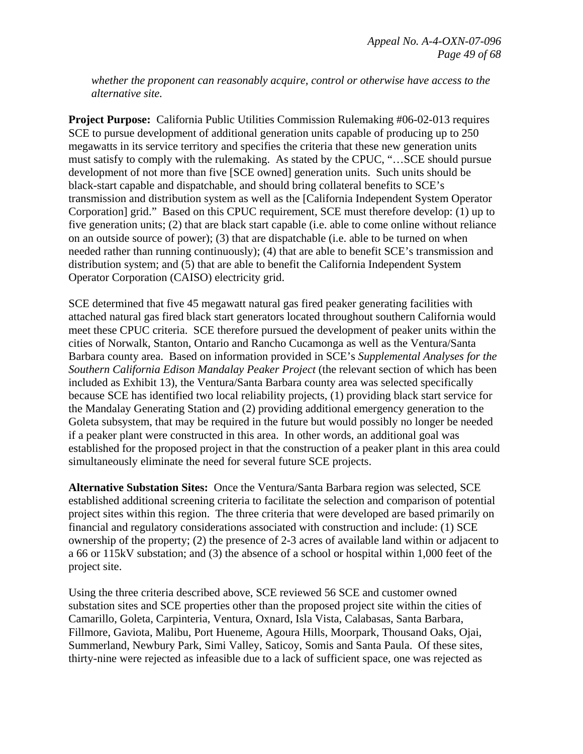*whether the proponent can reasonably acquire, control or otherwise have access to the alternative site.* 

**Project Purpose:** California Public Utilities Commission Rulemaking #06-02-013 requires SCE to pursue development of additional generation units capable of producing up to 250 megawatts in its service territory and specifies the criteria that these new generation units must satisfy to comply with the rulemaking. As stated by the CPUC, "…SCE should pursue development of not more than five [SCE owned] generation units. Such units should be black-start capable and dispatchable, and should bring collateral benefits to SCE's transmission and distribution system as well as the [California Independent System Operator Corporation] grid." Based on this CPUC requirement, SCE must therefore develop: (1) up to five generation units; (2) that are black start capable (i.e. able to come online without reliance on an outside source of power); (3) that are dispatchable (i.e. able to be turned on when needed rather than running continuously); (4) that are able to benefit SCE's transmission and distribution system; and (5) that are able to benefit the California Independent System Operator Corporation (CAISO) electricity grid.

SCE determined that five 45 megawatt natural gas fired peaker generating facilities with attached natural gas fired black start generators located throughout southern California would meet these CPUC criteria. SCE therefore pursued the development of peaker units within the cities of Norwalk, Stanton, Ontario and Rancho Cucamonga as well as the Ventura/Santa Barbara county area. Based on information provided in SCE's *Supplemental Analyses for the Southern California Edison Mandalay Peaker Project* (the relevant section of which has been included as Exhibit 13), the Ventura/Santa Barbara county area was selected specifically because SCE has identified two local reliability projects, (1) providing black start service for the Mandalay Generating Station and (2) providing additional emergency generation to the Goleta subsystem, that may be required in the future but would possibly no longer be needed if a peaker plant were constructed in this area. In other words, an additional goal was established for the proposed project in that the construction of a peaker plant in this area could simultaneously eliminate the need for several future SCE projects.

**Alternative Substation Sites:** Once the Ventura/Santa Barbara region was selected, SCE established additional screening criteria to facilitate the selection and comparison of potential project sites within this region. The three criteria that were developed are based primarily on financial and regulatory considerations associated with construction and include: (1) SCE ownership of the property; (2) the presence of 2-3 acres of available land within or adjacent to a 66 or 115kV substation; and (3) the absence of a school or hospital within 1,000 feet of the project site.

Using the three criteria described above, SCE reviewed 56 SCE and customer owned substation sites and SCE properties other than the proposed project site within the cities of Camarillo, Goleta, Carpinteria, Ventura, Oxnard, Isla Vista, Calabasas, Santa Barbara, Fillmore, Gaviota, Malibu, Port Hueneme, Agoura Hills, Moorpark, Thousand Oaks, Ojai, Summerland, Newbury Park, Simi Valley, Saticoy, Somis and Santa Paula. Of these sites, thirty-nine were rejected as infeasible due to a lack of sufficient space, one was rejected as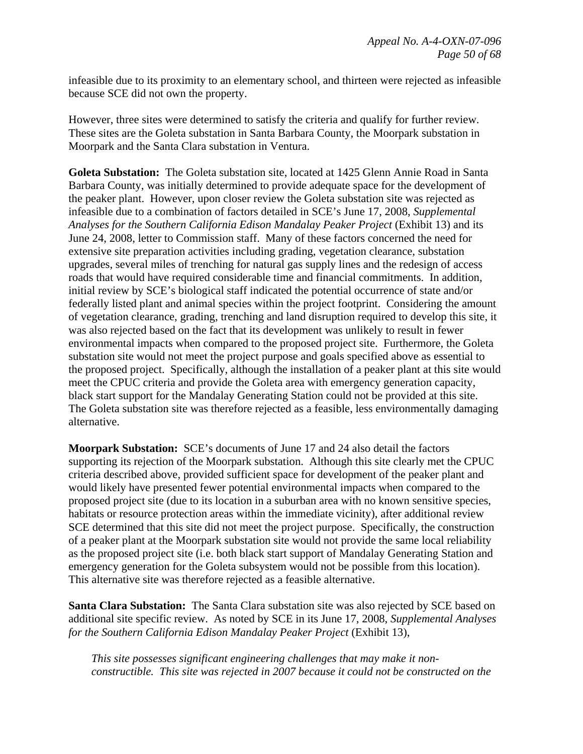infeasible due to its proximity to an elementary school, and thirteen were rejected as infeasible because SCE did not own the property.

However, three sites were determined to satisfy the criteria and qualify for further review. These sites are the Goleta substation in Santa Barbara County, the Moorpark substation in Moorpark and the Santa Clara substation in Ventura.

**Goleta Substation:** The Goleta substation site, located at 1425 Glenn Annie Road in Santa Barbara County, was initially determined to provide adequate space for the development of the peaker plant. However, upon closer review the Goleta substation site was rejected as infeasible due to a combination of factors detailed in SCE's June 17, 2008, *Supplemental Analyses for the Southern California Edison Mandalay Peaker Project* (Exhibit 13) and its June 24, 2008, letter to Commission staff. Many of these factors concerned the need for extensive site preparation activities including grading, vegetation clearance, substation upgrades, several miles of trenching for natural gas supply lines and the redesign of access roads that would have required considerable time and financial commitments. In addition, initial review by SCE's biological staff indicated the potential occurrence of state and/or federally listed plant and animal species within the project footprint. Considering the amount of vegetation clearance, grading, trenching and land disruption required to develop this site, it was also rejected based on the fact that its development was unlikely to result in fewer environmental impacts when compared to the proposed project site. Furthermore, the Goleta substation site would not meet the project purpose and goals specified above as essential to the proposed project. Specifically, although the installation of a peaker plant at this site would meet the CPUC criteria and provide the Goleta area with emergency generation capacity, black start support for the Mandalay Generating Station could not be provided at this site. The Goleta substation site was therefore rejected as a feasible, less environmentally damaging alternative.

**Moorpark Substation:** SCE's documents of June 17 and 24 also detail the factors supporting its rejection of the Moorpark substation. Although this site clearly met the CPUC criteria described above, provided sufficient space for development of the peaker plant and would likely have presented fewer potential environmental impacts when compared to the proposed project site (due to its location in a suburban area with no known sensitive species, habitats or resource protection areas within the immediate vicinity), after additional review SCE determined that this site did not meet the project purpose. Specifically, the construction of a peaker plant at the Moorpark substation site would not provide the same local reliability as the proposed project site (i.e. both black start support of Mandalay Generating Station and emergency generation for the Goleta subsystem would not be possible from this location). This alternative site was therefore rejected as a feasible alternative.

**Santa Clara Substation:** The Santa Clara substation site was also rejected by SCE based on additional site specific review. As noted by SCE in its June 17, 2008, *Supplemental Analyses for the Southern California Edison Mandalay Peaker Project* (Exhibit 13),

*This site possesses significant engineering challenges that may make it nonconstructible. This site was rejected in 2007 because it could not be constructed on the*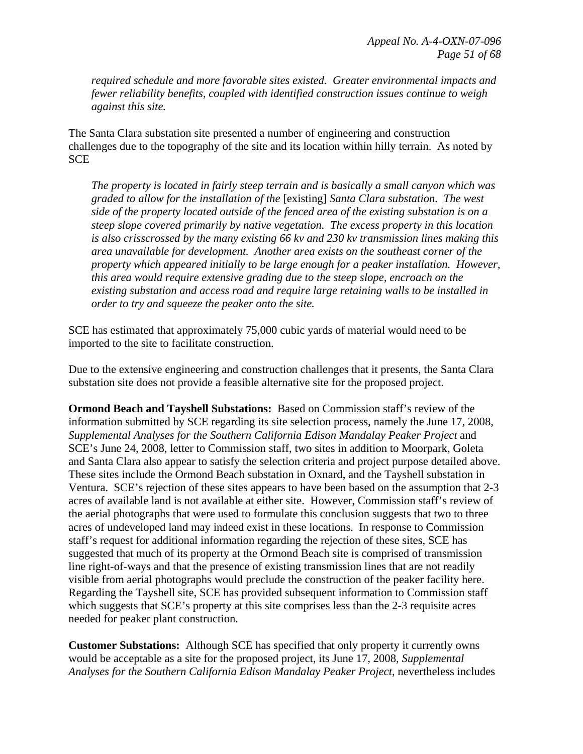*required schedule and more favorable sites existed. Greater environmental impacts and fewer reliability benefits, coupled with identified construction issues continue to weigh against this site.* 

The Santa Clara substation site presented a number of engineering and construction challenges due to the topography of the site and its location within hilly terrain. As noted by **SCE** 

*The property is located in fairly steep terrain and is basically a small canyon which was graded to allow for the installation of the* [existing] *Santa Clara substation. The west side of the property located outside of the fenced area of the existing substation is on a steep slope covered primarily by native vegetation. The excess property in this location is also crisscrossed by the many existing 66 kv and 230 kv transmission lines making this area unavailable for development. Another area exists on the southeast corner of the property which appeared initially to be large enough for a peaker installation. However, this area would require extensive grading due to the steep slope, encroach on the existing substation and access road and require large retaining walls to be installed in order to try and squeeze the peaker onto the site.* 

SCE has estimated that approximately 75,000 cubic yards of material would need to be imported to the site to facilitate construction.

Due to the extensive engineering and construction challenges that it presents, the Santa Clara substation site does not provide a feasible alternative site for the proposed project.

**Ormond Beach and Tayshell Substations:** Based on Commission staff's review of the information submitted by SCE regarding its site selection process, namely the June 17, 2008, *Supplemental Analyses for the Southern California Edison Mandalay Peaker Project* and SCE's June 24, 2008, letter to Commission staff, two sites in addition to Moorpark, Goleta and Santa Clara also appear to satisfy the selection criteria and project purpose detailed above. These sites include the Ormond Beach substation in Oxnard, and the Tayshell substation in Ventura. SCE's rejection of these sites appears to have been based on the assumption that 2-3 acres of available land is not available at either site. However, Commission staff's review of the aerial photographs that were used to formulate this conclusion suggests that two to three acres of undeveloped land may indeed exist in these locations. In response to Commission staff's request for additional information regarding the rejection of these sites, SCE has suggested that much of its property at the Ormond Beach site is comprised of transmission line right-of-ways and that the presence of existing transmission lines that are not readily visible from aerial photographs would preclude the construction of the peaker facility here. Regarding the Tayshell site, SCE has provided subsequent information to Commission staff which suggests that SCE's property at this site comprises less than the 2-3 requisite acres needed for peaker plant construction.

**Customer Substations:** Although SCE has specified that only property it currently owns would be acceptable as a site for the proposed project, its June 17, 2008, *Supplemental Analyses for the Southern California Edison Mandalay Peaker Project*, nevertheless includes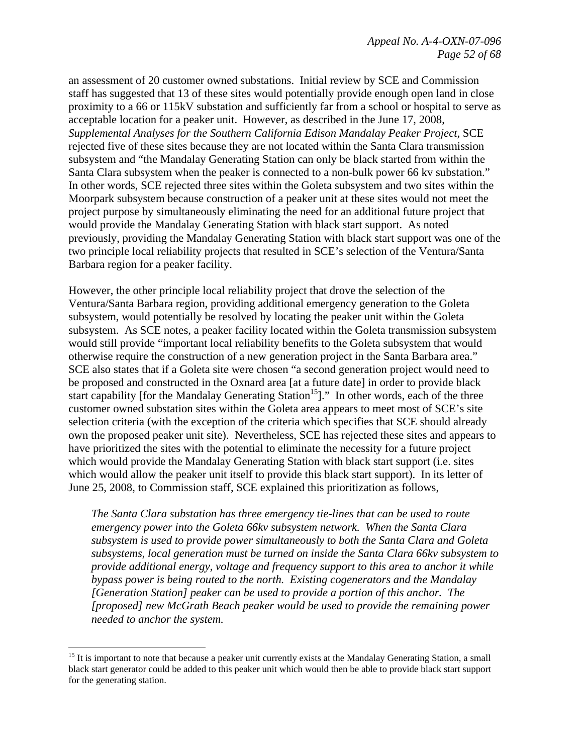an assessment of 20 customer owned substations. Initial review by SCE and Commission staff has suggested that 13 of these sites would potentially provide enough open land in close proximity to a 66 or 115kV substation and sufficiently far from a school or hospital to serve as acceptable location for a peaker unit. However, as described in the June 17, 2008, *Supplemental Analyses for the Southern California Edison Mandalay Peaker Project*, SCE rejected five of these sites because they are not located within the Santa Clara transmission subsystem and "the Mandalay Generating Station can only be black started from within the Santa Clara subsystem when the peaker is connected to a non-bulk power 66 kv substation." In other words, SCE rejected three sites within the Goleta subsystem and two sites within the Moorpark subsystem because construction of a peaker unit at these sites would not meet the project purpose by simultaneously eliminating the need for an additional future project that would provide the Mandalay Generating Station with black start support. As noted previously, providing the Mandalay Generating Station with black start support was one of the two principle local reliability projects that resulted in SCE's selection of the Ventura/Santa Barbara region for a peaker facility.

However, the other principle local reliability project that drove the selection of the Ventura/Santa Barbara region, providing additional emergency generation to the Goleta subsystem, would potentially be resolved by locating the peaker unit within the Goleta subsystem. As SCE notes, a peaker facility located within the Goleta transmission subsystem would still provide "important local reliability benefits to the Goleta subsystem that would otherwise require the construction of a new generation project in the Santa Barbara area." SCE also states that if a Goleta site were chosen "a second generation project would need to be proposed and constructed in the Oxnard area [at a future date] in order to provide black start capability [for the Mandalay Generating Station<sup>15</sup>]." In other words, each of the three customer owned substation sites within the Goleta area appears to meet most of SCE's site selection criteria (with the exception of the criteria which specifies that SCE should already own the proposed peaker unit site). Nevertheless, SCE has rejected these sites and appears to have prioritized the sites with the potential to eliminate the necessity for a future project which would provide the Mandalay Generating Station with black start support (i.e. sites which would allow the peaker unit itself to provide this black start support). In its letter of June 25, 2008, to Commission staff, SCE explained this prioritization as follows,

*The Santa Clara substation has three emergency tie-lines that can be used to route emergency power into the Goleta 66kv subsystem network. When the Santa Clara subsystem is used to provide power simultaneously to both the Santa Clara and Goleta subsystems, local generation must be turned on inside the Santa Clara 66kv subsystem to provide additional energy, voltage and frequency support to this area to anchor it while bypass power is being routed to the north. Existing cogenerators and the Mandalay [Generation Station] peaker can be used to provide a portion of this anchor. The [proposed] new McGrath Beach peaker would be used to provide the remaining power needed to anchor the system.* 

1

<sup>&</sup>lt;sup>15</sup> It is important to note that because a peaker unit currently exists at the Mandalay Generating Station, a small black start generator could be added to this peaker unit which would then be able to provide black start support for the generating station.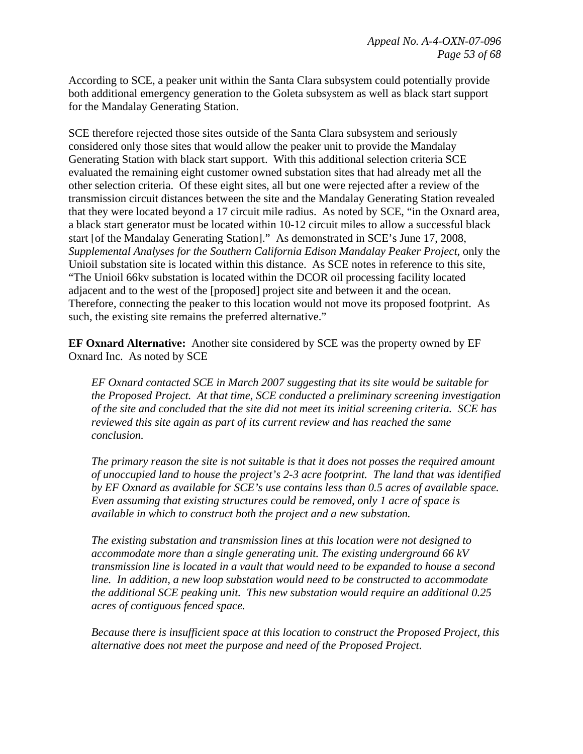According to SCE, a peaker unit within the Santa Clara subsystem could potentially provide both additional emergency generation to the Goleta subsystem as well as black start support for the Mandalay Generating Station.

SCE therefore rejected those sites outside of the Santa Clara subsystem and seriously considered only those sites that would allow the peaker unit to provide the Mandalay Generating Station with black start support. With this additional selection criteria SCE evaluated the remaining eight customer owned substation sites that had already met all the other selection criteria. Of these eight sites, all but one were rejected after a review of the transmission circuit distances between the site and the Mandalay Generating Station revealed that they were located beyond a 17 circuit mile radius. As noted by SCE, "in the Oxnard area, a black start generator must be located within 10-12 circuit miles to allow a successful black start [of the Mandalay Generating Station]." As demonstrated in SCE's June 17, 2008, *Supplemental Analyses for the Southern California Edison Mandalay Peaker Project*, only the Unioil substation site is located within this distance. As SCE notes in reference to this site, "The Unioil 66kv substation is located within the DCOR oil processing facility located adjacent and to the west of the [proposed] project site and between it and the ocean. Therefore, connecting the peaker to this location would not move its proposed footprint. As such, the existing site remains the preferred alternative."

**EF Oxnard Alternative:** Another site considered by SCE was the property owned by EF Oxnard Inc. As noted by SCE

*EF Oxnard contacted SCE in March 2007 suggesting that its site would be suitable for the Proposed Project. At that time, SCE conducted a preliminary screening investigation of the site and concluded that the site did not meet its initial screening criteria. SCE has reviewed this site again as part of its current review and has reached the same conclusion.* 

*The primary reason the site is not suitable is that it does not posses the required amount of unoccupied land to house the project's 2-3 acre footprint. The land that was identified by EF Oxnard as available for SCE's use contains less than 0.5 acres of available space. Even assuming that existing structures could be removed, only 1 acre of space is available in which to construct both the project and a new substation.* 

*The existing substation and transmission lines at this location were not designed to accommodate more than a single generating unit. The existing underground 66 kV transmission line is located in a vault that would need to be expanded to house a second line. In addition, a new loop substation would need to be constructed to accommodate the additional SCE peaking unit. This new substation would require an additional 0.25 acres of contiguous fenced space.* 

*Because there is insufficient space at this location to construct the Proposed Project, this alternative does not meet the purpose and need of the Proposed Project.*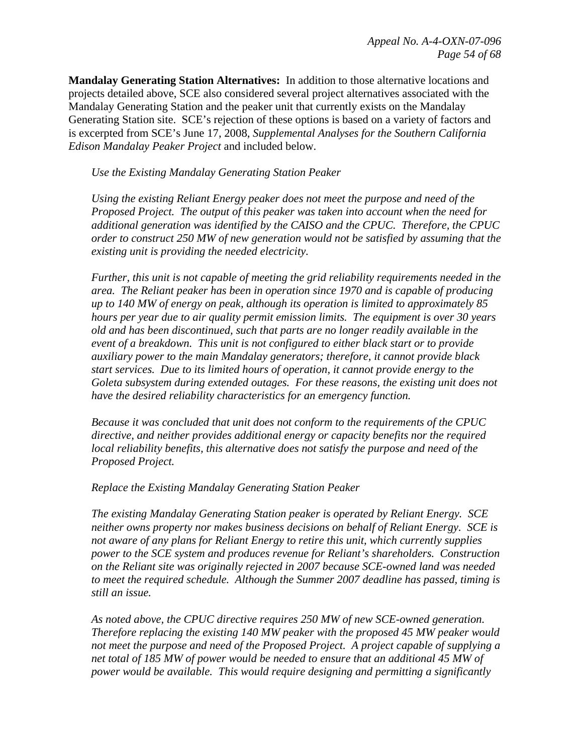**Mandalay Generating Station Alternatives:** In addition to those alternative locations and projects detailed above, SCE also considered several project alternatives associated with the Mandalay Generating Station and the peaker unit that currently exists on the Mandalay Generating Station site. SCE's rejection of these options is based on a variety of factors and is excerpted from SCE's June 17, 2008, *Supplemental Analyses for the Southern California Edison Mandalay Peaker Project* and included below.

 *Use the Existing Mandalay Generating Station Peaker* 

*Using the existing Reliant Energy peaker does not meet the purpose and need of the Proposed Project. The output of this peaker was taken into account when the need for additional generation was identified by the CAISO and the CPUC. Therefore, the CPUC order to construct 250 MW of new generation would not be satisfied by assuming that the existing unit is providing the needed electricity.* 

*Further, this unit is not capable of meeting the grid reliability requirements needed in the area. The Reliant peaker has been in operation since 1970 and is capable of producing up to 140 MW of energy on peak, although its operation is limited to approximately 85 hours per year due to air quality permit emission limits. The equipment is over 30 years old and has been discontinued, such that parts are no longer readily available in the event of a breakdown. This unit is not configured to either black start or to provide auxiliary power to the main Mandalay generators; therefore, it cannot provide black start services. Due to its limited hours of operation, it cannot provide energy to the Goleta subsystem during extended outages. For these reasons, the existing unit does not have the desired reliability characteristics for an emergency function.* 

*Because it was concluded that unit does not conform to the requirements of the CPUC directive, and neither provides additional energy or capacity benefits nor the required local reliability benefits, this alternative does not satisfy the purpose and need of the Proposed Project.* 

 *Replace the Existing Mandalay Generating Station Peaker* 

*The existing Mandalay Generating Station peaker is operated by Reliant Energy. SCE neither owns property nor makes business decisions on behalf of Reliant Energy. SCE is not aware of any plans for Reliant Energy to retire this unit, which currently supplies power to the SCE system and produces revenue for Reliant's shareholders. Construction on the Reliant site was originally rejected in 2007 because SCE-owned land was needed to meet the required schedule. Although the Summer 2007 deadline has passed, timing is still an issue.* 

*As noted above, the CPUC directive requires 250 MW of new SCE-owned generation. Therefore replacing the existing 140 MW peaker with the proposed 45 MW peaker would not meet the purpose and need of the Proposed Project. A project capable of supplying a net total of 185 MW of power would be needed to ensure that an additional 45 MW of power would be available. This would require designing and permitting a significantly*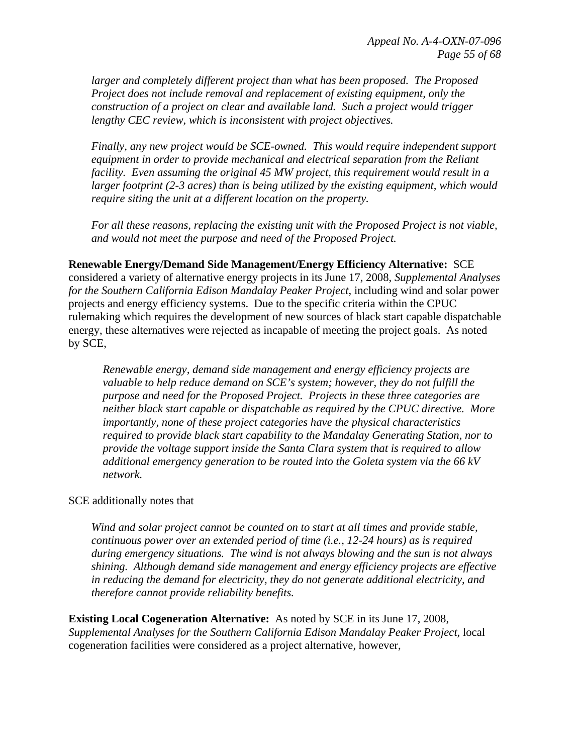*larger and completely different project than what has been proposed. The Proposed Project does not include removal and replacement of existing equipment, only the construction of a project on clear and available land. Such a project would trigger lengthy CEC review, which is inconsistent with project objectives.* 

*Finally, any new project would be SCE-owned. This would require independent support equipment in order to provide mechanical and electrical separation from the Reliant facility. Even assuming the original 45 MW project, this requirement would result in a larger footprint (2-3 acres) than is being utilized by the existing equipment, which would require siting the unit at a different location on the property.* 

*For all these reasons, replacing the existing unit with the Proposed Project is not viable, and would not meet the purpose and need of the Proposed Project.* 

**Renewable Energy/Demand Side Management/Energy Efficiency Alternative:** SCE considered a variety of alternative energy projects in its June 17, 2008, *Supplemental Analyses for the Southern California Edison Mandalay Peaker Project*, including wind and solar power projects and energy efficiency systems. Due to the specific criteria within the CPUC rulemaking which requires the development of new sources of black start capable dispatchable energy, these alternatives were rejected as incapable of meeting the project goals. As noted by SCE,

*Renewable energy, demand side management and energy efficiency projects are valuable to help reduce demand on SCE's system; however, they do not fulfill the purpose and need for the Proposed Project. Projects in these three categories are neither black start capable or dispatchable as required by the CPUC directive. More importantly, none of these project categories have the physical characteristics required to provide black start capability to the Mandalay Generating Station, nor to provide the voltage support inside the Santa Clara system that is required to allow additional emergency generation to be routed into the Goleta system via the 66 kV network.* 

#### SCE additionally notes that

*Wind and solar project cannot be counted on to start at all times and provide stable, continuous power over an extended period of time (i.e., 12-24 hours) as is required during emergency situations. The wind is not always blowing and the sun is not always shining. Although demand side management and energy efficiency projects are effective in reducing the demand for electricity, they do not generate additional electricity, and therefore cannot provide reliability benefits.*

**Existing Local Cogeneration Alternative:** As noted by SCE in its June 17, 2008, *Supplemental Analyses for the Southern California Edison Mandalay Peaker Project*, local cogeneration facilities were considered as a project alternative, however,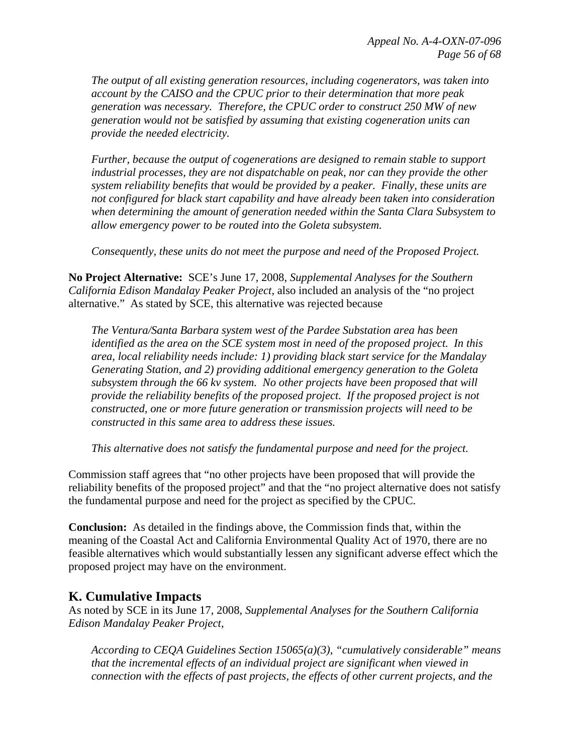*The output of all existing generation resources, including cogenerators, was taken into account by the CAISO and the CPUC prior to their determination that more peak generation was necessary. Therefore, the CPUC order to construct 250 MW of new generation would not be satisfied by assuming that existing cogeneration units can provide the needed electricity.* 

*Further, because the output of cogenerations are designed to remain stable to support industrial processes, they are not dispatchable on peak, nor can they provide the other system reliability benefits that would be provided by a peaker. Finally, these units are not configured for black start capability and have already been taken into consideration when determining the amount of generation needed within the Santa Clara Subsystem to allow emergency power to be routed into the Goleta subsystem.* 

*Consequently, these units do not meet the purpose and need of the Proposed Project.* 

**No Project Alternative:** SCE's June 17, 2008, *Supplemental Analyses for the Southern California Edison Mandalay Peaker Project*, also included an analysis of the "no project alternative." As stated by SCE, this alternative was rejected because

*The Ventura/Santa Barbara system west of the Pardee Substation area has been identified as the area on the SCE system most in need of the proposed project. In this area, local reliability needs include: 1) providing black start service for the Mandalay Generating Station, and 2) providing additional emergency generation to the Goleta subsystem through the 66 kv system. No other projects have been proposed that will provide the reliability benefits of the proposed project. If the proposed project is not constructed, one or more future generation or transmission projects will need to be constructed in this same area to address these issues.* 

 *This alternative does not satisfy the fundamental purpose and need for the project.* 

Commission staff agrees that "no other projects have been proposed that will provide the reliability benefits of the proposed project" and that the "no project alternative does not satisfy the fundamental purpose and need for the project as specified by the CPUC.

**Conclusion:** As detailed in the findings above, the Commission finds that, within the meaning of the Coastal Act and California Environmental Quality Act of 1970, there are no feasible alternatives which would substantially lessen any significant adverse effect which the proposed project may have on the environment.

# **K. Cumulative Impacts**

As noted by SCE in its June 17, 2008, *Supplemental Analyses for the Southern California Edison Mandalay Peaker Project*,

*According to CEQA Guidelines Section 15065(a)(3), "cumulatively considerable" means that the incremental effects of an individual project are significant when viewed in connection with the effects of past projects, the effects of other current projects, and the*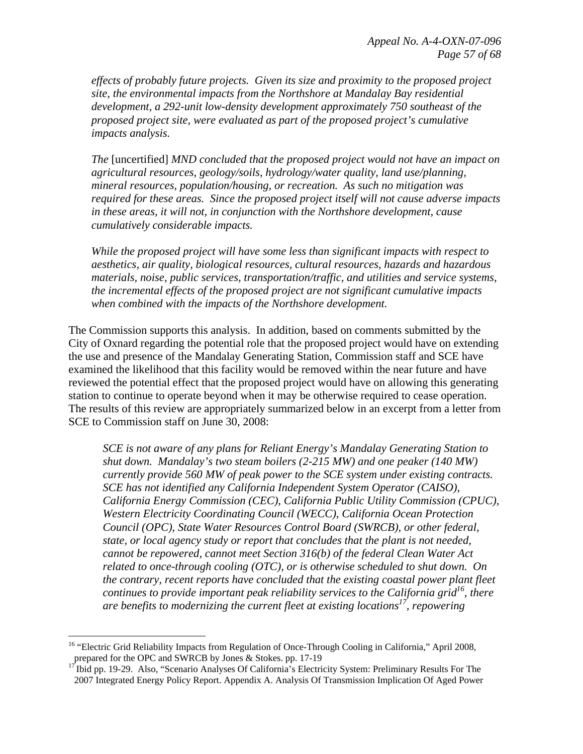*effects of probably future projects. Given its size and proximity to the proposed project site, the environmental impacts from the Northshore at Mandalay Bay residential development, a 292-unit low-density development approximately 750 southeast of the proposed project site, were evaluated as part of the proposed project's cumulative impacts analysis.* 

*The* [uncertified] *MND concluded that the proposed project would not have an impact on agricultural resources, geology/soils, hydrology/water quality, land use/planning, mineral resources, population/housing, or recreation. As such no mitigation was required for these areas. Since the proposed project itself will not cause adverse impacts in these areas, it will not, in conjunction with the Northshore development, cause cumulatively considerable impacts.* 

*While the proposed project will have some less than significant impacts with respect to aesthetics, air quality, biological resources, cultural resources, hazards and hazardous materials, noise, public services, transportation/traffic, and utilities and service systems, the incremental effects of the proposed project are not significant cumulative impacts when combined with the impacts of the Northshore development.* 

The Commission supports this analysis. In addition, based on comments submitted by the City of Oxnard regarding the potential role that the proposed project would have on extending the use and presence of the Mandalay Generating Station, Commission staff and SCE have examined the likelihood that this facility would be removed within the near future and have reviewed the potential effect that the proposed project would have on allowing this generating station to continue to operate beyond when it may be otherwise required to cease operation. The results of this review are appropriately summarized below in an excerpt from a letter from SCE to Commission staff on June 30, 2008:

*SCE is not aware of any plans for Reliant Energy's Mandalay Generating Station to shut down. Mandalay's two steam boilers (2-215 MW) and one peaker (140 MW) currently provide 560 MW of peak power to the SCE system under existing contracts. SCE has not identified any California Independent System Operator (CAISO), California Energy Commission (CEC), California Public Utility Commission (CPUC), Western Electricity Coordinating Council (WECC), California Ocean Protection Council (OPC), State Water Resources Control Board (SWRCB), or other federal, state, or local agency study or report that concludes that the plant is not needed, cannot be repowered, cannot meet Section 316(b) of the federal Clean Water Act related to once-through cooling (OTC), or is otherwise scheduled to shut down. On the contrary, recent reports have concluded that the existing coastal power plant fleet continues to provide important peak reliability services to the California grid*<sup>16</sup>, there *are benefits to modernizing the current fleet at existing locations17, repowering* 

<u>.</u>

<sup>&</sup>lt;sup>16</sup> "Electric Grid Reliability Impacts from Regulation of Once-Through Cooling in California," April 2008, prepared for the OPC and SWRCB by Jones & Stokes. pp. 17-19

<sup>&</sup>lt;sup>17</sup> Ibid pp. 19-29. Also, "Scenario Analyses Of California's Electricity System: Preliminary Results For The 2007 Integrated Energy Policy Report. Appendix A. Analysis Of Transmission Implication Of Aged Power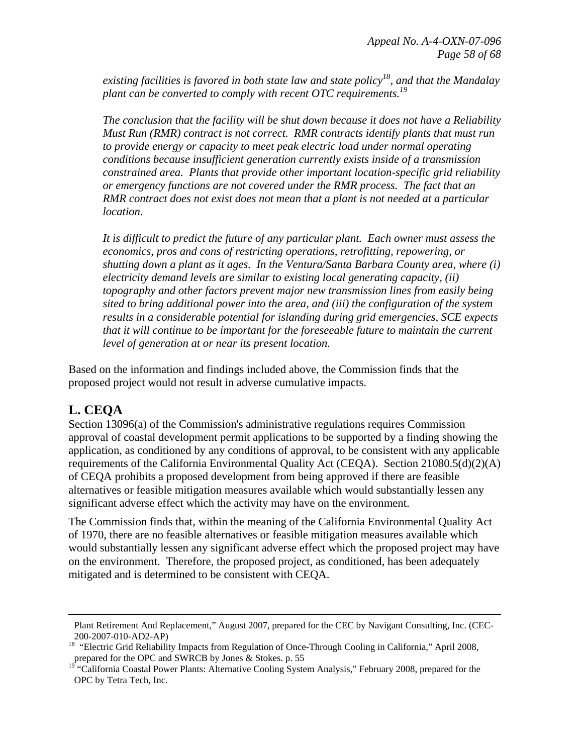existing facilities is favored in both state law and state policy<sup>18</sup>, and that the Mandalay *plant can be converted to comply with recent OTC requirements.19* 

*The conclusion that the facility will be shut down because it does not have a Reliability Must Run (RMR) contract is not correct. RMR contracts identify plants that must run to provide energy or capacity to meet peak electric load under normal operating conditions because insufficient generation currently exists inside of a transmission constrained area. Plants that provide other important location-specific grid reliability or emergency functions are not covered under the RMR process. The fact that an RMR contract does not exist does not mean that a plant is not needed at a particular location.* 

*It is difficult to predict the future of any particular plant. Each owner must assess the economics, pros and cons of restricting operations, retrofitting, repowering, or shutting down a plant as it ages. In the Ventura/Santa Barbara County area, where (i) electricity demand levels are similar to existing local generating capacity, (ii) topography and other factors prevent major new transmission lines from easily being sited to bring additional power into the area, and (iii) the configuration of the system results in a considerable potential for islanding during grid emergencies, SCE expects that it will continue to be important for the foreseeable future to maintain the current level of generation at or near its present location.* 

Based on the information and findings included above, the Commission finds that the proposed project would not result in adverse cumulative impacts.

# **L. CEQA**

 $\overline{a}$ 

Section 13096(a) of the Commission's administrative regulations requires Commission approval of coastal development permit applications to be supported by a finding showing the application, as conditioned by any conditions of approval, to be consistent with any applicable requirements of the California Environmental Quality Act (CEQA). Section 21080.5(d)(2)(A) of CEQA prohibits a proposed development from being approved if there are feasible alternatives or feasible mitigation measures available which would substantially lessen any significant adverse effect which the activity may have on the environment.

The Commission finds that, within the meaning of the California Environmental Quality Act of 1970, there are no feasible alternatives or feasible mitigation measures available which would substantially lessen any significant adverse effect which the proposed project may have on the environment. Therefore, the proposed project, as conditioned, has been adequately mitigated and is determined to be consistent with CEQA.

Plant Retirement And Replacement," August 2007, prepared for the CEC by Navigant Consulting, Inc. (CEC-200-2007-010-AD2-AP)

<sup>&</sup>lt;sup>18</sup> "Electric Grid Reliability Impacts from Regulation of Once-Through Cooling in California," April 2008, prepared for the OPC and SWRCB by Jones & Stokes. p. 55

<sup>&</sup>lt;sup>19</sup> "California Coastal Power Plants: Alternative Cooling System Analysis," February 2008, prepared for the OPC by Tetra Tech, Inc.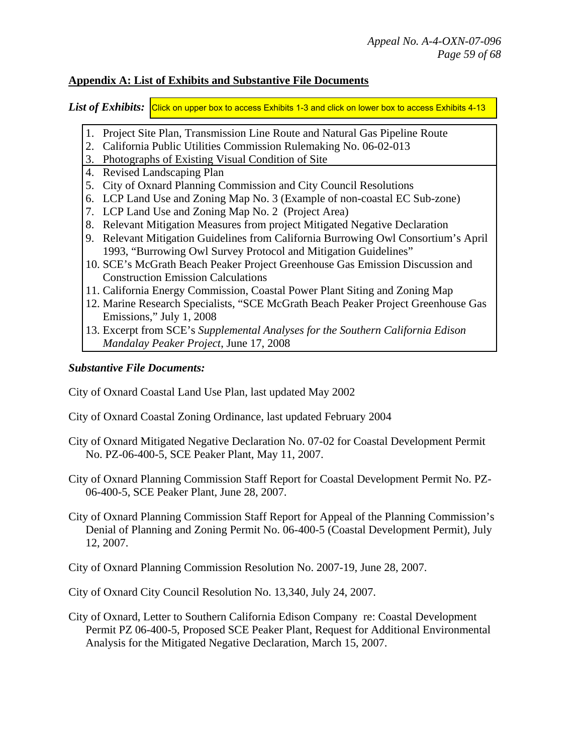#### **Appendix A: List of Exhibits and Substantive File Documents**

 $List$  *of*  $Exhibits:  $\vert$ *Click on upper box to access Exhibits 1-3 and click on lower box to access Exhibits 4-13*$ 

- 1. [Project Site Plan, Transmission Line Route and Natural Gas Pipeline Route](http://documents.coastal.ca.gov/reports/2008/8/oxnard-8-2008-a1.pdf)
- 2. California Public Utilities Commission Rulemaking No. 06-02-013
- 3. Photographs of Existing Visual Condition of Site
- 4. Revised Landscaping Plan
- 5. City of Oxnard Planning Commission and City Council Resolutions
- 6. LCP Land Use and Zoning Map No. 3 (Example of non-coastal EC Sub-zone)
- 7. LCP Land Use and Zoning Map No. 2 (Project Area)
- 8. Relevant Mitigation Measures from project Mitigated Negative Declaration
- 9. [Relevant Mitigation Guidelines from California Burrowing Owl Consortium's April](http://documents.coastal.ca.gov/reports/2008/8/oxnard-8-2008-a2.pdf)  1993, "Burrowing Owl Survey Protocol and Mitigation Guidelines"
- 10. SCE's McGrath Beach Peaker Project Greenhouse Gas Emission Discussion and Construction Emission Calculations
- 11. California Energy Commission, Coastal Power Plant Siting and Zoning Map
- 12. Marine Research Specialists, "SCE McGrath Beach Peaker Project Greenhouse Gas Emissions," July 1, 2008
- 13. Excerpt from SCE's *Supplemental Analyses for the Southern California Edison Mandalay Peaker Project*, June 17, 2008

### *Substantive File Documents:*

- City of Oxnard Coastal Land Use Plan, last updated May 2002
- City of Oxnard Coastal Zoning Ordinance, last updated February 2004
- City of Oxnard Mitigated Negative Declaration No. 07-02 for Coastal Development Permit No. PZ-06-400-5, SCE Peaker Plant, May 11, 2007.
- City of Oxnard Planning Commission Staff Report for Coastal Development Permit No. PZ-06-400-5, SCE Peaker Plant, June 28, 2007.
- City of Oxnard Planning Commission Staff Report for Appeal of the Planning Commission's Denial of Planning and Zoning Permit No. 06-400-5 (Coastal Development Permit), July 12, 2007.
- City of Oxnard Planning Commission Resolution No. 2007-19, June 28, 2007.
- City of Oxnard City Council Resolution No. 13,340, July 24, 2007.
- City of Oxnard, Letter to Southern California Edison Company re: Coastal Development Permit PZ 06-400-5, Proposed SCE Peaker Plant, Request for Additional Environmental Analysis for the Mitigated Negative Declaration, March 15, 2007.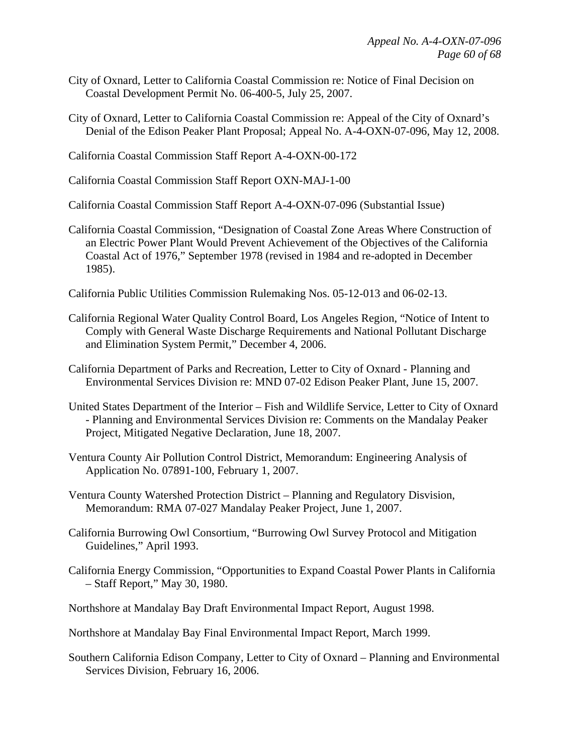- City of Oxnard, Letter to California Coastal Commission re: Notice of Final Decision on Coastal Development Permit No. 06-400-5, July 25, 2007.
- City of Oxnard, Letter to California Coastal Commission re: Appeal of the City of Oxnard's Denial of the Edison Peaker Plant Proposal; Appeal No. A-4-OXN-07-096, May 12, 2008.

California Coastal Commission Staff Report A-4-OXN-00-172

California Coastal Commission Staff Report OXN-MAJ-1-00

California Coastal Commission Staff Report A-4-OXN-07-096 (Substantial Issue)

California Coastal Commission, "Designation of Coastal Zone Areas Where Construction of an Electric Power Plant Would Prevent Achievement of the Objectives of the California Coastal Act of 1976," September 1978 (revised in 1984 and re-adopted in December 1985).

California Public Utilities Commission Rulemaking Nos. 05-12-013 and 06-02-13.

California Regional Water Quality Control Board, Los Angeles Region, "Notice of Intent to Comply with General Waste Discharge Requirements and National Pollutant Discharge and Elimination System Permit," December 4, 2006.

California Department of Parks and Recreation, Letter to City of Oxnard - Planning and Environmental Services Division re: MND 07-02 Edison Peaker Plant, June 15, 2007.

- United States Department of the Interior Fish and Wildlife Service, Letter to City of Oxnard - Planning and Environmental Services Division re: Comments on the Mandalay Peaker Project, Mitigated Negative Declaration, June 18, 2007.
- Ventura County Air Pollution Control District, Memorandum: Engineering Analysis of Application No. 07891-100, February 1, 2007.
- Ventura County Watershed Protection District Planning and Regulatory Disvision, Memorandum: RMA 07-027 Mandalay Peaker Project, June 1, 2007.
- California Burrowing Owl Consortium, "Burrowing Owl Survey Protocol and Mitigation Guidelines," April 1993.
- California Energy Commission, "Opportunities to Expand Coastal Power Plants in California – Staff Report," May 30, 1980.
- Northshore at Mandalay Bay Draft Environmental Impact Report, August 1998.
- Northshore at Mandalay Bay Final Environmental Impact Report, March 1999.
- Southern California Edison Company, Letter to City of Oxnard Planning and Environmental Services Division, February 16, 2006.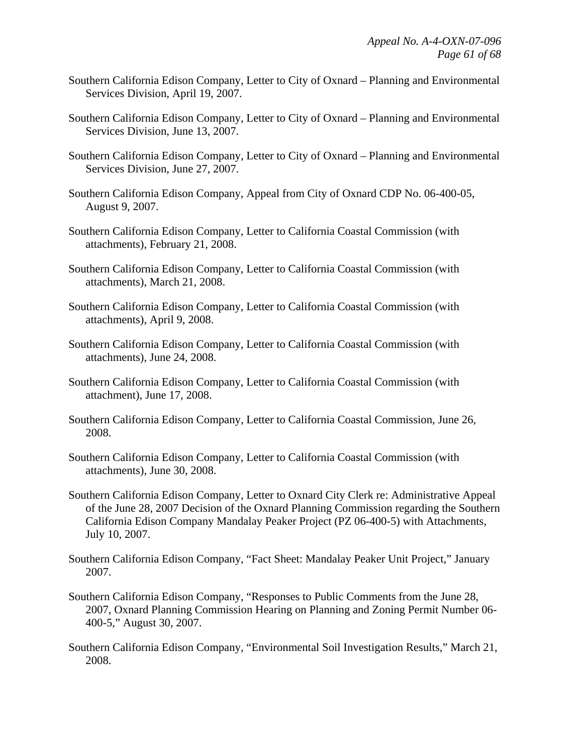- Southern California Edison Company, Letter to City of Oxnard Planning and Environmental Services Division, April 19, 2007.
- Southern California Edison Company, Letter to City of Oxnard Planning and Environmental Services Division, June 13, 2007.
- Southern California Edison Company, Letter to City of Oxnard Planning and Environmental Services Division, June 27, 2007.
- Southern California Edison Company, Appeal from City of Oxnard CDP No. 06-400-05, August 9, 2007.
- Southern California Edison Company, Letter to California Coastal Commission (with attachments), February 21, 2008.
- Southern California Edison Company, Letter to California Coastal Commission (with attachments), March 21, 2008.
- Southern California Edison Company, Letter to California Coastal Commission (with attachments), April 9, 2008.
- Southern California Edison Company, Letter to California Coastal Commission (with attachments), June 24, 2008.
- Southern California Edison Company, Letter to California Coastal Commission (with attachment), June 17, 2008.
- Southern California Edison Company, Letter to California Coastal Commission, June 26, 2008.
- Southern California Edison Company, Letter to California Coastal Commission (with attachments), June 30, 2008.
- Southern California Edison Company, Letter to Oxnard City Clerk re: Administrative Appeal of the June 28, 2007 Decision of the Oxnard Planning Commission regarding the Southern California Edison Company Mandalay Peaker Project (PZ 06-400-5) with Attachments, July 10, 2007.
- Southern California Edison Company, "Fact Sheet: Mandalay Peaker Unit Project," January 2007.
- Southern California Edison Company, "Responses to Public Comments from the June 28, 2007, Oxnard Planning Commission Hearing on Planning and Zoning Permit Number 06- 400-5," August 30, 2007.
- Southern California Edison Company, "Environmental Soil Investigation Results," March 21, 2008.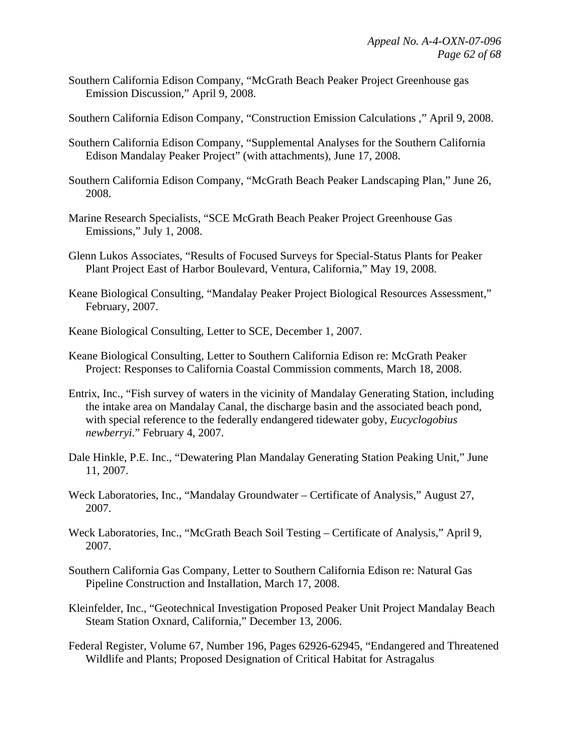- Southern California Edison Company, "McGrath Beach Peaker Project Greenhouse gas Emission Discussion," April 9, 2008.
- Southern California Edison Company, "Construction Emission Calculations ," April 9, 2008.
- Southern California Edison Company, "Supplemental Analyses for the Southern California Edison Mandalay Peaker Project" (with attachments), June 17, 2008.
- Southern California Edison Company, "McGrath Beach Peaker Landscaping Plan," June 26, 2008.
- Marine Research Specialists, "SCE McGrath Beach Peaker Project Greenhouse Gas Emissions," July 1, 2008.
- Glenn Lukos Associates, "Results of Focused Surveys for Special-Status Plants for Peaker Plant Project East of Harbor Boulevard, Ventura, California," May 19, 2008.
- Keane Biological Consulting, "Mandalay Peaker Project Biological Resources Assessment," February, 2007.
- Keane Biological Consulting, Letter to SCE, December 1, 2007.
- Keane Biological Consulting, Letter to Southern California Edison re: McGrath Peaker Project: Responses to California Coastal Commission comments, March 18, 2008.
- Entrix, Inc., "Fish survey of waters in the vicinity of Mandalay Generating Station, including the intake area on Mandalay Canal, the discharge basin and the associated beach pond, with special reference to the federally endangered tidewater goby, *Eucyclogobius newberryi*." February 4, 2007.
- Dale Hinkle, P.E. Inc., "Dewatering Plan Mandalay Generating Station Peaking Unit," June 11, 2007.
- Weck Laboratories, Inc., "Mandalay Groundwater Certificate of Analysis," August 27, 2007.
- Weck Laboratories, Inc., "McGrath Beach Soil Testing Certificate of Analysis," April 9, 2007.
- Southern California Gas Company, Letter to Southern California Edison re: Natural Gas Pipeline Construction and Installation, March 17, 2008.
- Kleinfelder, Inc., "Geotechnical Investigation Proposed Peaker Unit Project Mandalay Beach Steam Station Oxnard, California," December 13, 2006.
- Federal Register, Volume 67, Number 196, Pages 62926-62945, "Endangered and Threatened Wildlife and Plants; Proposed Designation of Critical Habitat for Astragalus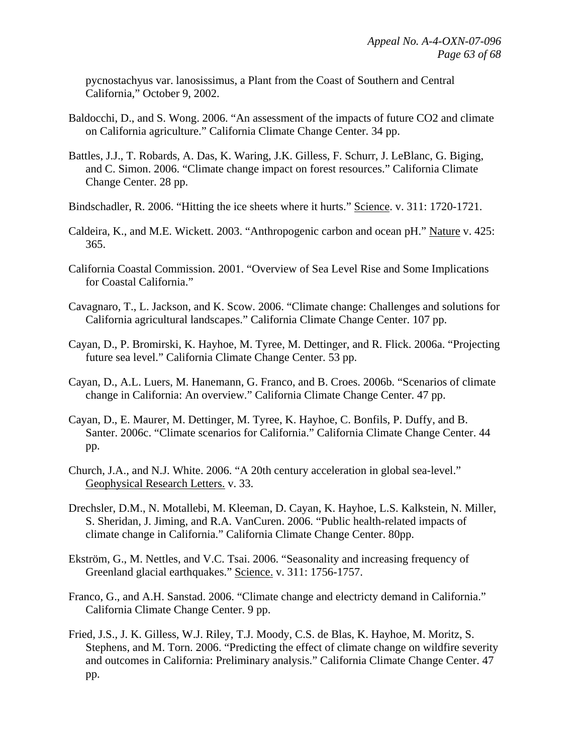pycnostachyus var. lanosissimus, a Plant from the Coast of Southern and Central California," October 9, 2002.

- Baldocchi, D., and S. Wong. 2006. "An assessment of the impacts of future CO2 and climate on California agriculture." California Climate Change Center. 34 pp.
- Battles, J.J., T. Robards, A. Das, K. Waring, J.K. Gilless, F. Schurr, J. LeBlanc, G. Biging, and C. Simon. 2006. "Climate change impact on forest resources." California Climate Change Center. 28 pp.
- Bindschadler, R. 2006. "Hitting the ice sheets where it hurts." Science. v. 311: 1720-1721.
- Caldeira, K., and M.E. Wickett. 2003. "Anthropogenic carbon and ocean pH." Nature v. 425: 365.
- California Coastal Commission. 2001. "Overview of Sea Level Rise and Some Implications for Coastal California."
- Cavagnaro, T., L. Jackson, and K. Scow. 2006. "Climate change: Challenges and solutions for California agricultural landscapes." California Climate Change Center. 107 pp.
- Cayan, D., P. Bromirski, K. Hayhoe, M. Tyree, M. Dettinger, and R. Flick. 2006a. "Projecting future sea level." California Climate Change Center. 53 pp.
- Cayan, D., A.L. Luers, M. Hanemann, G. Franco, and B. Croes. 2006b. "Scenarios of climate change in California: An overview." California Climate Change Center. 47 pp.
- Cayan, D., E. Maurer, M. Dettinger, M. Tyree, K. Hayhoe, C. Bonfils, P. Duffy, and B. Santer. 2006c. "Climate scenarios for California." California Climate Change Center. 44 pp.
- Church, J.A., and N.J. White. 2006. "A 20th century acceleration in global sea-level." Geophysical Research Letters. v. 33.
- Drechsler, D.M., N. Motallebi, M. Kleeman, D. Cayan, K. Hayhoe, L.S. Kalkstein, N. Miller, S. Sheridan, J. Jiming, and R.A. VanCuren. 2006. "Public health-related impacts of climate change in California." California Climate Change Center. 80pp.
- Ekström, G., M. Nettles, and V.C. Tsai. 2006. "Seasonality and increasing frequency of Greenland glacial earthquakes." Science. v. 311: 1756-1757.
- Franco, G., and A.H. Sanstad. 2006. "Climate change and electricty demand in California." California Climate Change Center. 9 pp.
- Fried, J.S., J. K. Gilless, W.J. Riley, T.J. Moody, C.S. de Blas, K. Hayhoe, M. Moritz, S. Stephens, and M. Torn. 2006. "Predicting the effect of climate change on wildfire severity and outcomes in California: Preliminary analysis." California Climate Change Center. 47 pp.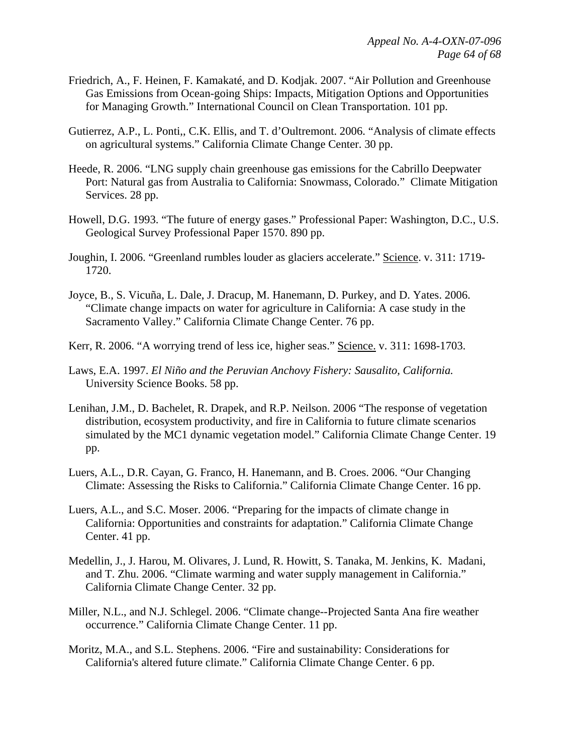- Friedrich, A., F. Heinen, F. Kamakaté, and D. Kodjak. 2007. "Air Pollution and Greenhouse Gas Emissions from Ocean-going Ships: Impacts, Mitigation Options and Opportunities for Managing Growth." International Council on Clean Transportation. 101 pp.
- Gutierrez, A.P., L. Ponti,, C.K. Ellis, and T. d'Oultremont. 2006. "Analysis of climate effects on agricultural systems." California Climate Change Center. 30 pp.
- Heede, R. 2006. "LNG supply chain greenhouse gas emissions for the Cabrillo Deepwater Port: Natural gas from Australia to California: Snowmass, Colorado." Climate Mitigation Services. 28 pp.
- Howell, D.G. 1993. "The future of energy gases." Professional Paper: Washington, D.C., U.S. Geological Survey Professional Paper 1570. 890 pp.
- Joughin, I. 2006. "Greenland rumbles louder as glaciers accelerate." Science. v. 311: 1719- 1720.
- Joyce, B., S. Vicuña, L. Dale, J. Dracup, M. Hanemann, D. Purkey, and D. Yates. 2006. "Climate change impacts on water for agriculture in California: A case study in the Sacramento Valley." California Climate Change Center. 76 pp.
- Kerr, R. 2006. "A worrying trend of less ice, higher seas." Science. v. 311: 1698-1703.
- Laws, E.A. 1997. *El Niño and the Peruvian Anchovy Fishery: Sausalito, California.* University Science Books. 58 pp.
- Lenihan, J.M., D. Bachelet, R. Drapek, and R.P. Neilson. 2006 "The response of vegetation distribution, ecosystem productivity, and fire in California to future climate scenarios simulated by the MC1 dynamic vegetation model." California Climate Change Center. 19 pp.
- Luers, A.L., D.R. Cayan, G. Franco, H. Hanemann, and B. Croes. 2006. "Our Changing Climate: Assessing the Risks to California." California Climate Change Center. 16 pp.
- Luers, A.L., and S.C. Moser. 2006. "Preparing for the impacts of climate change in California: Opportunities and constraints for adaptation." California Climate Change Center. 41 pp.
- Medellin, J., J. Harou, M. Olivares, J. Lund, R. Howitt, S. Tanaka, M. Jenkins, K. Madani, and T. Zhu. 2006. "Climate warming and water supply management in California." California Climate Change Center. 32 pp.
- Miller, N.L., and N.J. Schlegel. 2006. "Climate change--Projected Santa Ana fire weather occurrence." California Climate Change Center. 11 pp.
- Moritz, M.A., and S.L. Stephens. 2006. "Fire and sustainability: Considerations for California's altered future climate." California Climate Change Center. 6 pp.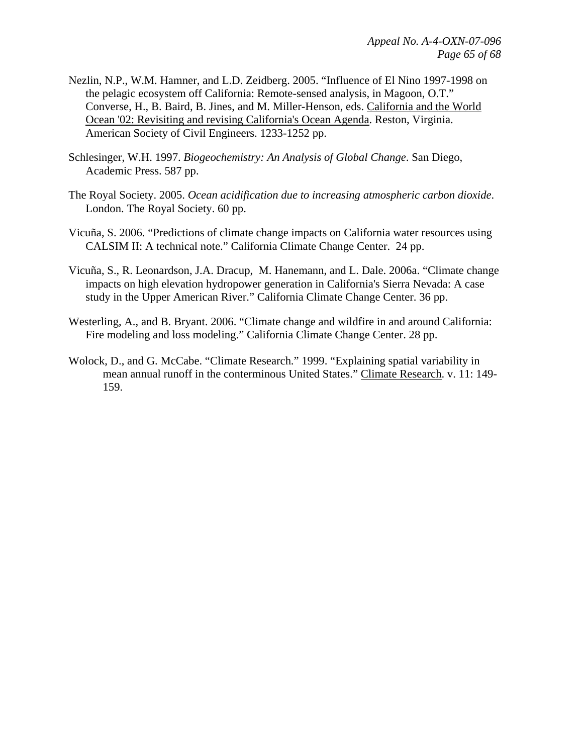- Nezlin, N.P., W.M. Hamner, and L.D. Zeidberg. 2005. "Influence of El Nino 1997-1998 on the pelagic ecosystem off California: Remote-sensed analysis, in Magoon, O.T." Converse, H., B. Baird, B. Jines, and M. Miller-Henson, eds. California and the World Ocean '02: Revisiting and revising California's Ocean Agenda. Reston, Virginia. American Society of Civil Engineers. 1233-1252 pp.
- Schlesinger, W.H. 1997. *Biogeochemistry: An Analysis of Global Change*. San Diego, Academic Press. 587 pp.
- The Royal Society. 2005. *Ocean acidification due to increasing atmospheric carbon dioxide*. London. The Royal Society. 60 pp.
- Vicuña, S. 2006. "Predictions of climate change impacts on California water resources using CALSIM II: A technical note." California Climate Change Center. 24 pp.
- Vicuña, S., R. Leonardson, J.A. Dracup, M. Hanemann, and L. Dale. 2006a. "Climate change impacts on high elevation hydropower generation in California's Sierra Nevada: A case study in the Upper American River." California Climate Change Center. 36 pp.
- Westerling, A., and B. Bryant. 2006. "Climate change and wildfire in and around California: Fire modeling and loss modeling." California Climate Change Center. 28 pp.
- Wolock, D., and G. McCabe. "Climate Research." 1999. "Explaining spatial variability in mean annual runoff in the conterminous United States." Climate Research. v. 11: 149- 159.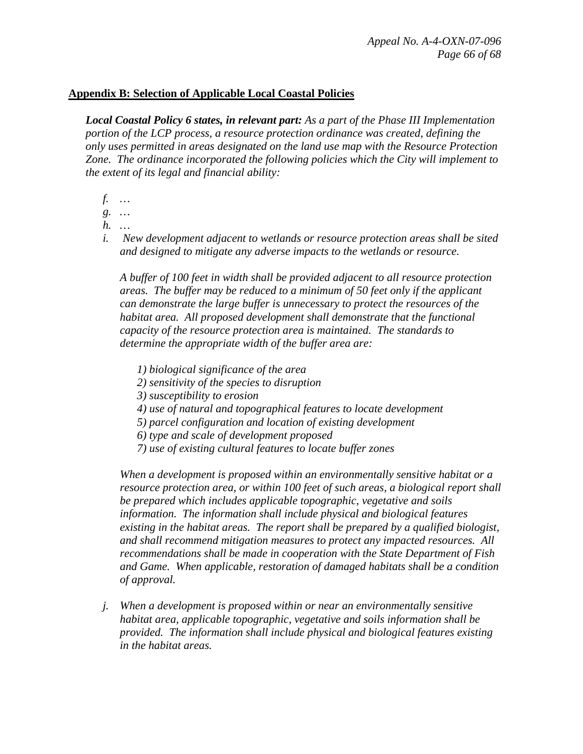#### **Appendix B: Selection of Applicable Local Coastal Policies**

*Local Coastal Policy 6 states, in relevant part: As a part of the Phase III Implementation portion of the LCP process, a resource protection ordinance was created, defining the only uses permitted in areas designated on the land use map with the Resource Protection Zone. The ordinance incorporated the following policies which the City will implement to the extent of its legal and financial ability:* 

- *f. …*
- *g. …*
- *h. …*
- *i. New development adjacent to wetlands or resource protection areas shall be sited and designed to mitigate any adverse impacts to the wetlands or resource.*

*A buffer of 100 feet in width shall be provided adjacent to all resource protection areas. The buffer may be reduced to a minimum of 50 feet only if the applicant can demonstrate the large buffer is unnecessary to protect the resources of the habitat area. All proposed development shall demonstrate that the functional capacity of the resource protection area is maintained. The standards to determine the appropriate width of the buffer area are:* 

- *1) biological significance of the area*
- *2) sensitivity of the species to disruption*
- *3) susceptibility to erosion*
- *4) use of natural and topographical features to locate development*
- *5) parcel configuration and location of existing development*
- *6) type and scale of development proposed*
- *7) use of existing cultural features to locate buffer zones*

*When a development is proposed within an environmentally sensitive habitat or a resource protection area, or within 100 feet of such areas, a biological report shall be prepared which includes applicable topographic, vegetative and soils information. The information shall include physical and biological features existing in the habitat areas. The report shall be prepared by a qualified biologist, and shall recommend mitigation measures to protect any impacted resources. All recommendations shall be made in cooperation with the State Department of Fish and Game. When applicable, restoration of damaged habitats shall be a condition of approval.* 

*j. When a development is proposed within or near an environmentally sensitive habitat area, applicable topographic, vegetative and soils information shall be provided. The information shall include physical and biological features existing in the habitat areas.*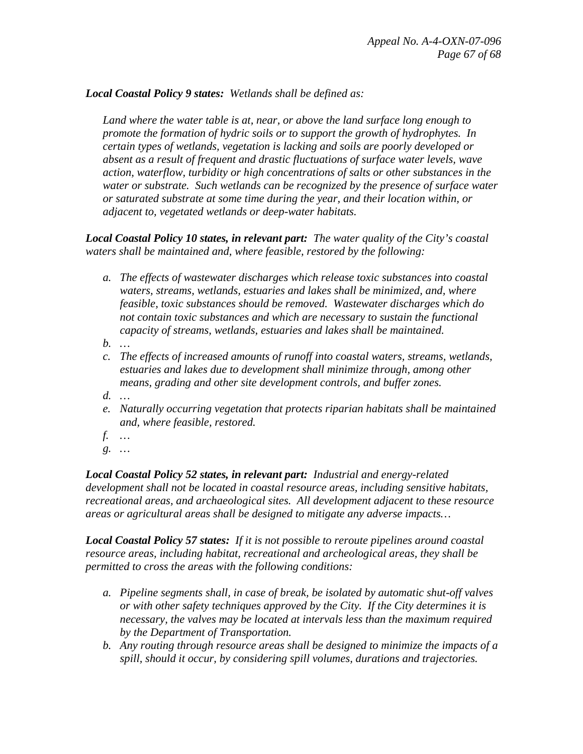#### *Local Coastal Policy 9 states: Wetlands shall be defined as:*

*Land where the water table is at, near, or above the land surface long enough to promote the formation of hydric soils or to support the growth of hydrophytes. In certain types of wetlands, vegetation is lacking and soils are poorly developed or absent as a result of frequent and drastic fluctuations of surface water levels, wave action, waterflow, turbidity or high concentrations of salts or other substances in the water or substrate. Such wetlands can be recognized by the presence of surface water or saturated substrate at some time during the year, and their location within, or adjacent to, vegetated wetlands or deep-water habitats.* 

*Local Coastal Policy 10 states, in relevant part: The water quality of the City's coastal waters shall be maintained and, where feasible, restored by the following:* 

- *a. The effects of wastewater discharges which release toxic substances into coastal waters, streams, wetlands, estuaries and lakes shall be minimized, and, where feasible, toxic substances should be removed. Wastewater discharges which do not contain toxic substances and which are necessary to sustain the functional capacity of streams, wetlands, estuaries and lakes shall be maintained.*
- *b. …*
- *c. The effects of increased amounts of runoff into coastal waters, streams, wetlands, estuaries and lakes due to development shall minimize through, among other means, grading and other site development controls, and buffer zones.*
- *d. …*
- *e. Naturally occurring vegetation that protects riparian habitats shall be maintained and, where feasible, restored.*
- *f. …*
- *g. …*

*Local Coastal Policy 52 states, in relevant part: Industrial and energy-related development shall not be located in coastal resource areas, including sensitive habitats, recreational areas, and archaeological sites. All development adjacent to these resource areas or agricultural areas shall be designed to mitigate any adverse impacts…* 

*Local Coastal Policy 57 states: If it is not possible to reroute pipelines around coastal resource areas, including habitat, recreational and archeological areas, they shall be permitted to cross the areas with the following conditions:* 

- *a. Pipeline segments shall, in case of break, be isolated by automatic shut-off valves or with other safety techniques approved by the City. If the City determines it is necessary, the valves may be located at intervals less than the maximum required by the Department of Transportation.*
- *b. Any routing through resource areas shall be designed to minimize the impacts of a spill, should it occur, by considering spill volumes, durations and trajectories.*